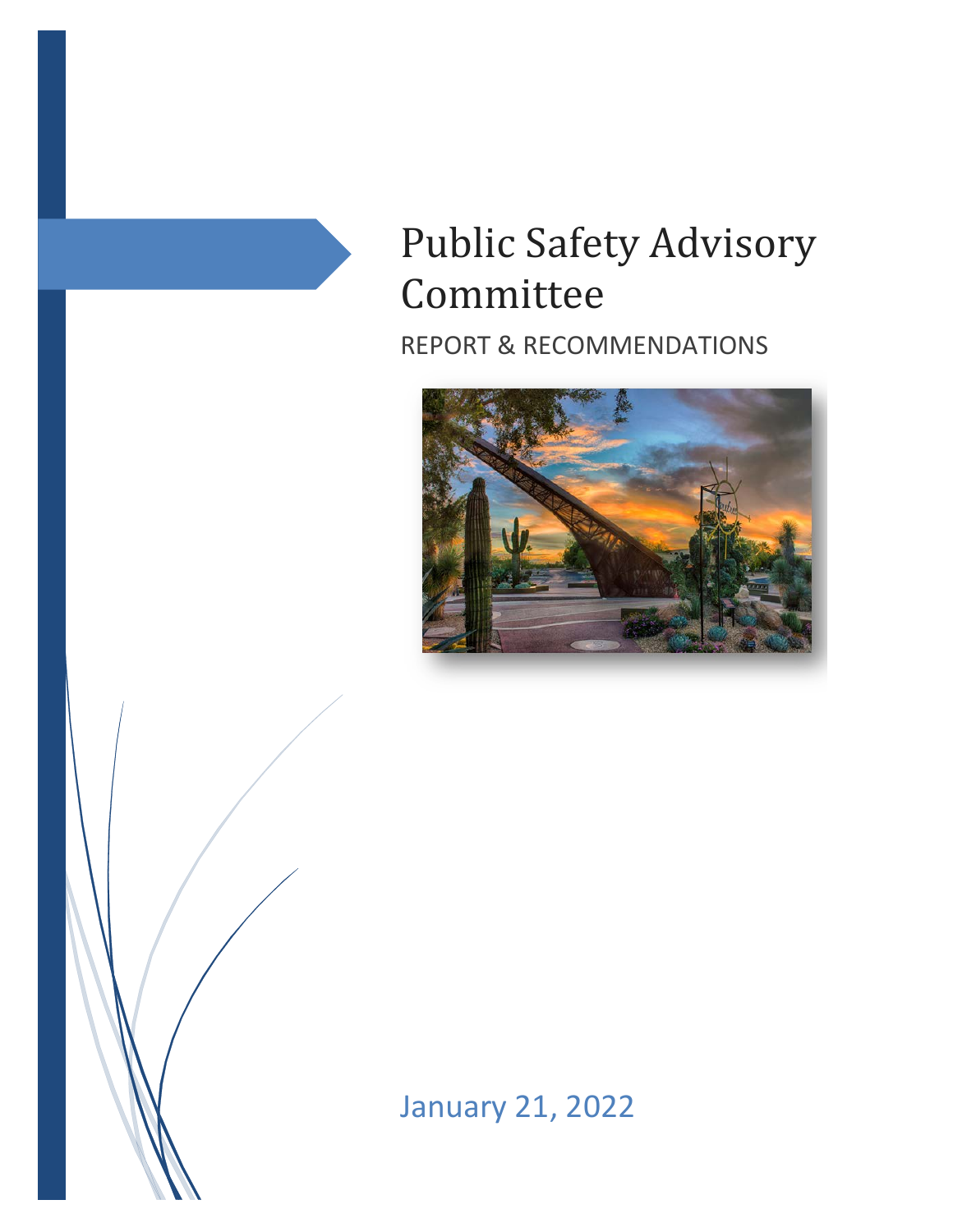# Public Safety Advisory Committee

REPORT & RECOMMENDATIONS





January 21, 2022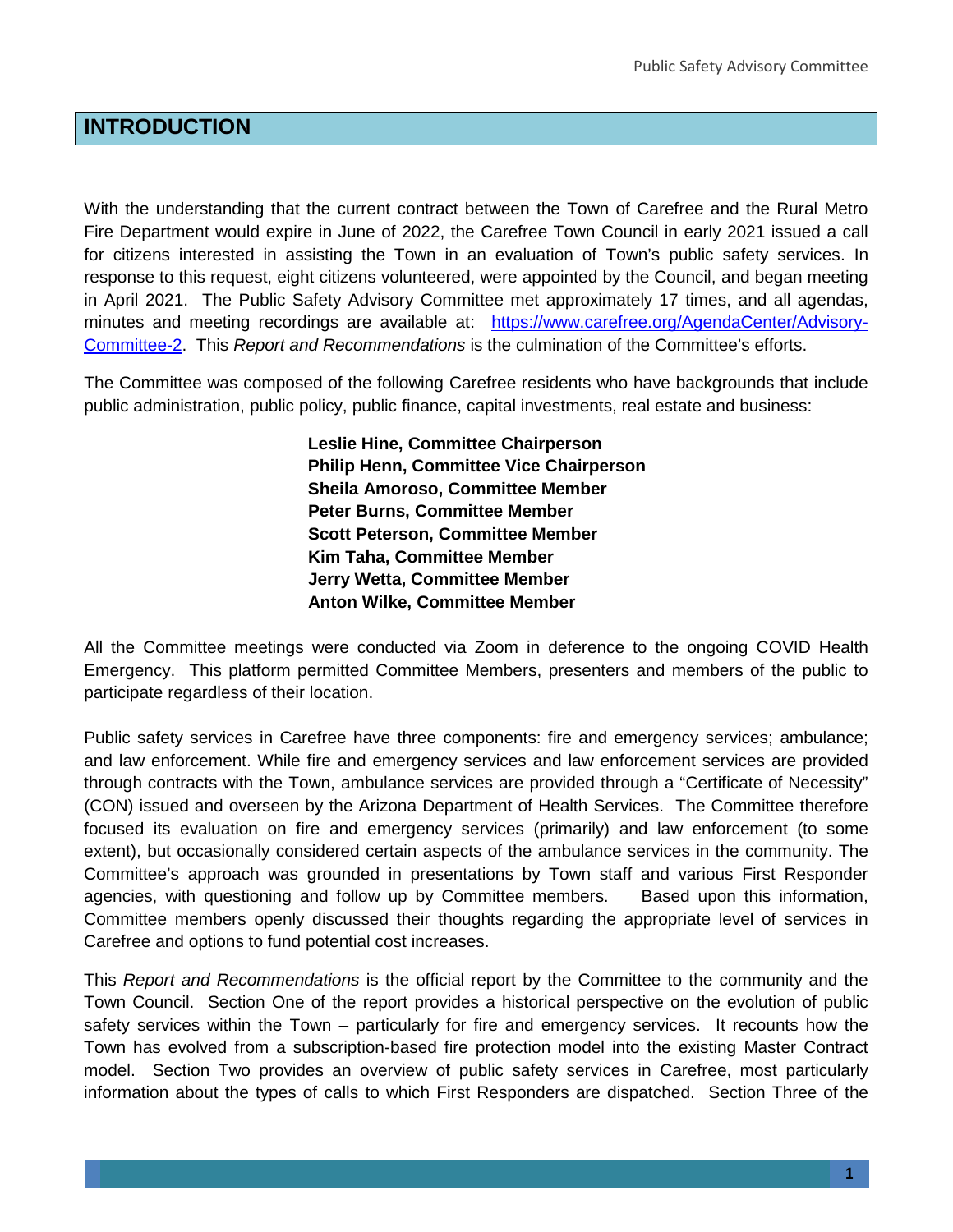# **INTRODUCTION**

With the understanding that the current contract between the Town of Carefree and the Rural Metro Fire Department would expire in June of 2022, the Carefree Town Council in early 2021 issued a call for citizens interested in assisting the Town in an evaluation of Town's public safety services. In response to this request, eight citizens volunteered, were appointed by the Council, and began meeting in April 2021. The Public Safety Advisory Committee met approximately 17 times, and all agendas, minutes and meeting recordings are available at: [https://www.carefree.org/AgendaCenter/Advisory-](https://www.carefree.org/AgendaCenter/Advisory-Committee-2)[Committee-2.](https://www.carefree.org/AgendaCenter/Advisory-Committee-2) This *Report and Recommendations* is the culmination of the Committee's efforts.

The Committee was composed of the following Carefree residents who have backgrounds that include public administration, public policy, public finance, capital investments, real estate and business:

> **Leslie Hine, Committee Chairperson Philip Henn, Committee Vice Chairperson Sheila Amoroso, Committee Member Peter Burns, Committee Member Scott Peterson, Committee Member Kim Taha, Committee Member Jerry Wetta, Committee Member Anton Wilke, Committee Member**

All the Committee meetings were conducted via Zoom in deference to the ongoing COVID Health Emergency. This platform permitted Committee Members, presenters and members of the public to participate regardless of their location.

Public safety services in Carefree have three components: fire and emergency services; ambulance; and law enforcement. While fire and emergency services and law enforcement services are provided through contracts with the Town, ambulance services are provided through a "Certificate of Necessity" (CON) issued and overseen by the Arizona Department of Health Services. The Committee therefore focused its evaluation on fire and emergency services (primarily) and law enforcement (to some extent), but occasionally considered certain aspects of the ambulance services in the community. The Committee's approach was grounded in presentations by Town staff and various First Responder agencies, with questioning and follow up by Committee members. Based upon this information, Committee members openly discussed their thoughts regarding the appropriate level of services in Carefree and options to fund potential cost increases.

This *Report and Recommendations* is the official report by the Committee to the community and the Town Council. Section One of the report provides a historical perspective on the evolution of public safety services within the Town – particularly for fire and emergency services. It recounts how the Town has evolved from a subscription-based fire protection model into the existing Master Contract model. Section Two provides an overview of public safety services in Carefree, most particularly information about the types of calls to which First Responders are dispatched. Section Three of the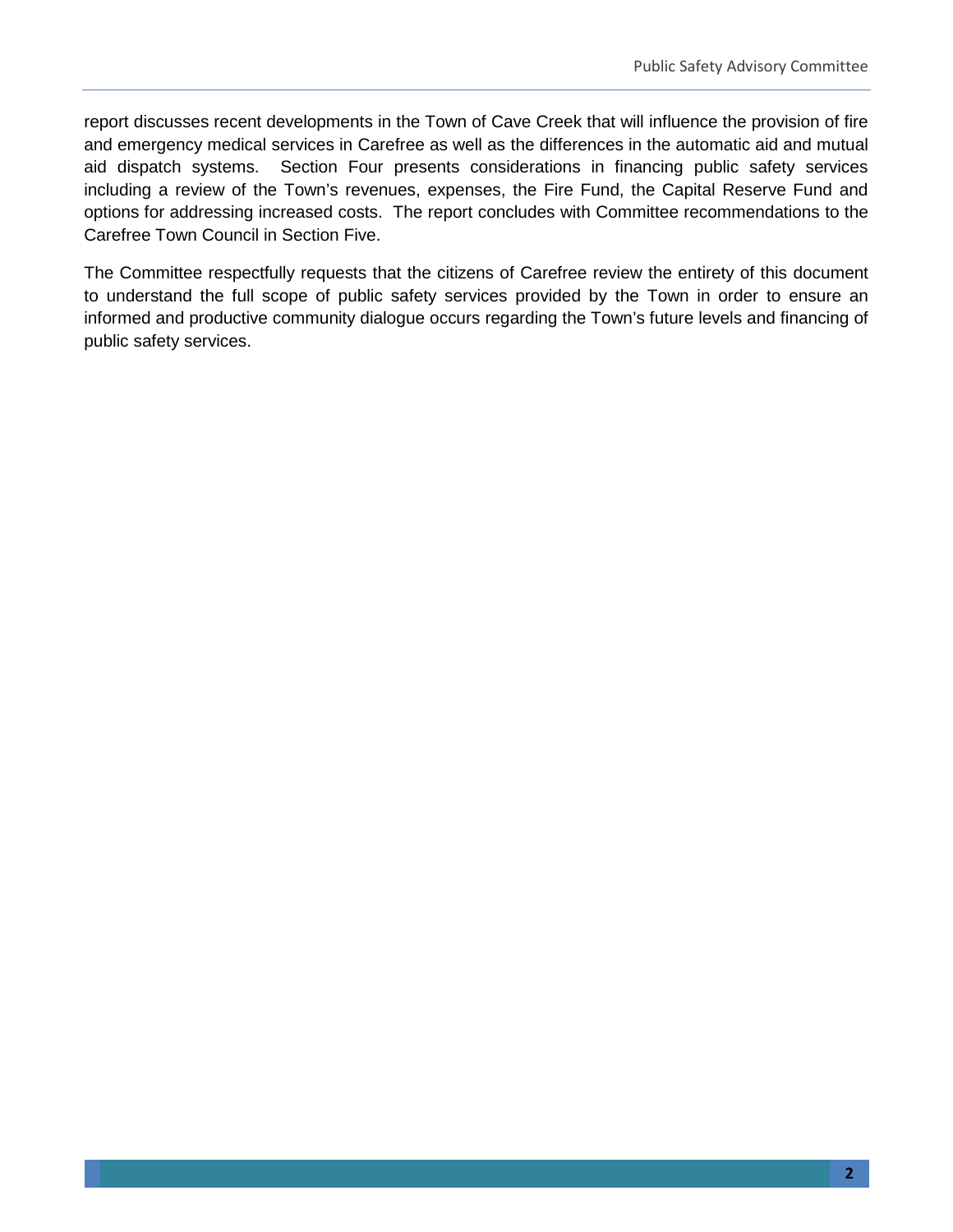report discusses recent developments in the Town of Cave Creek that will influence the provision of fire and emergency medical services in Carefree as well as the differences in the automatic aid and mutual aid dispatch systems. Section Four presents considerations in financing public safety services including a review of the Town's revenues, expenses, the Fire Fund, the Capital Reserve Fund and options for addressing increased costs. The report concludes with Committee recommendations to the Carefree Town Council in Section Five.

The Committee respectfully requests that the citizens of Carefree review the entirety of this document to understand the full scope of public safety services provided by the Town in order to ensure an informed and productive community dialogue occurs regarding the Town's future levels and financing of public safety services.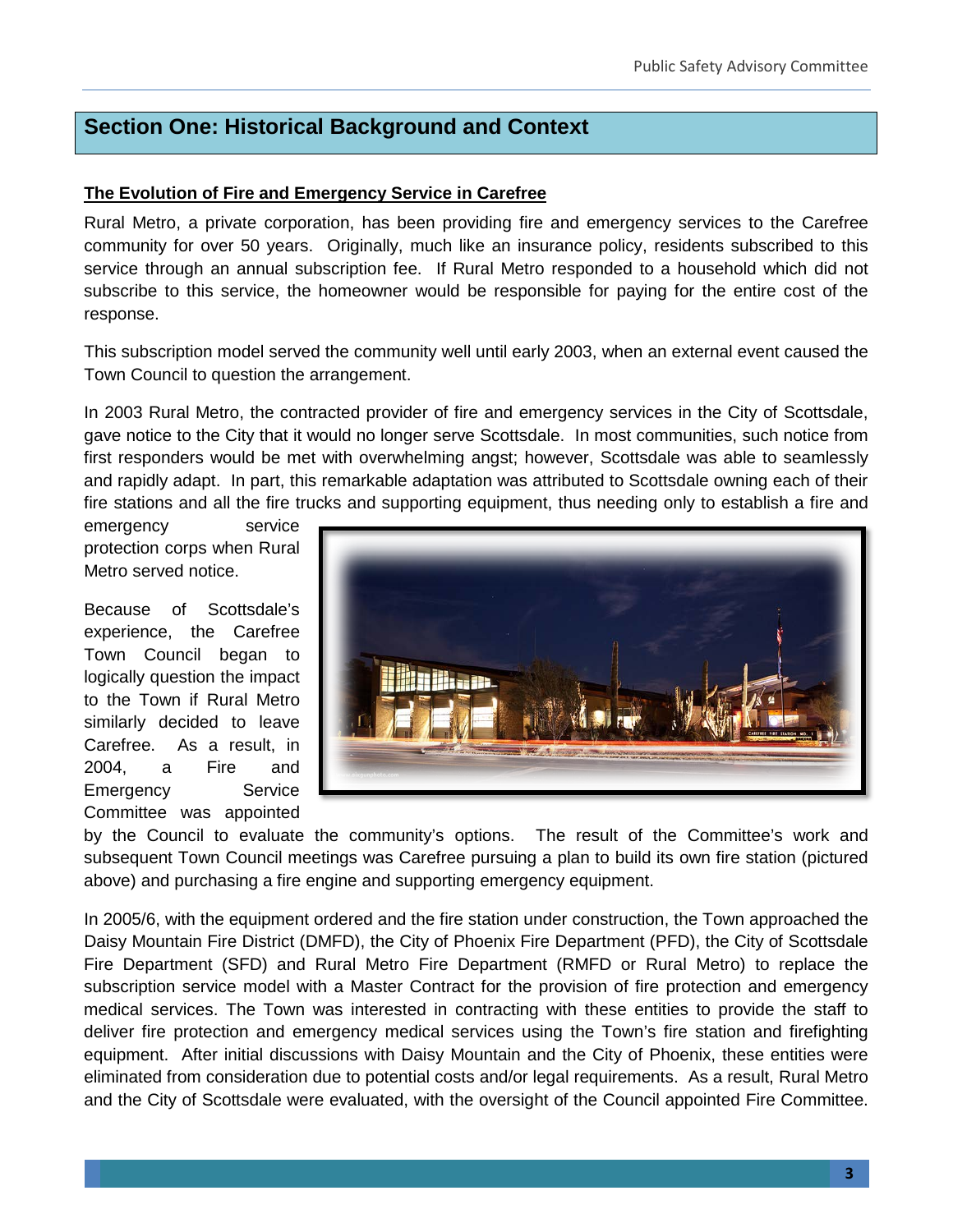# **Section One: Historical Background and Context**

#### **The Evolution of Fire and Emergency Service in Carefree**

Rural Metro, a private corporation, has been providing fire and emergency services to the Carefree community for over 50 years. Originally, much like an insurance policy, residents subscribed to this service through an annual subscription fee. If Rural Metro responded to a household which did not subscribe to this service, the homeowner would be responsible for paying for the entire cost of the response.

This subscription model served the community well until early 2003, when an external event caused the Town Council to question the arrangement.

In 2003 Rural Metro, the contracted provider of fire and emergency services in the City of Scottsdale, gave notice to the City that it would no longer serve Scottsdale. In most communities, such notice from first responders would be met with overwhelming angst; however, Scottsdale was able to seamlessly and rapidly adapt. In part, this remarkable adaptation was attributed to Scottsdale owning each of their fire stations and all the fire trucks and supporting equipment, thus needing only to establish a fire and

emergency service protection corps when Rural Metro served notice.

Because of Scottsdale's experience, the Carefree Town Council began to logically question the impact to the Town if Rural Metro similarly decided to leave Carefree. As a result, in 2004, a Fire and Emergency Service Committee was appointed



by the Council to evaluate the community's options. The result of the Committee's work and subsequent Town Council meetings was Carefree pursuing a plan to build its own fire station (pictured above) and purchasing a fire engine and supporting emergency equipment.

In 2005/6, with the equipment ordered and the fire station under construction, the Town approached the Daisy Mountain Fire District (DMFD), the City of Phoenix Fire Department (PFD), the City of Scottsdale Fire Department (SFD) and Rural Metro Fire Department (RMFD or Rural Metro) to replace the subscription service model with a Master Contract for the provision of fire protection and emergency medical services. The Town was interested in contracting with these entities to provide the staff to deliver fire protection and emergency medical services using the Town's fire station and firefighting equipment. After initial discussions with Daisy Mountain and the City of Phoenix, these entities were eliminated from consideration due to potential costs and/or legal requirements. As a result, Rural Metro and the City of Scottsdale were evaluated, with the oversight of the Council appointed Fire Committee.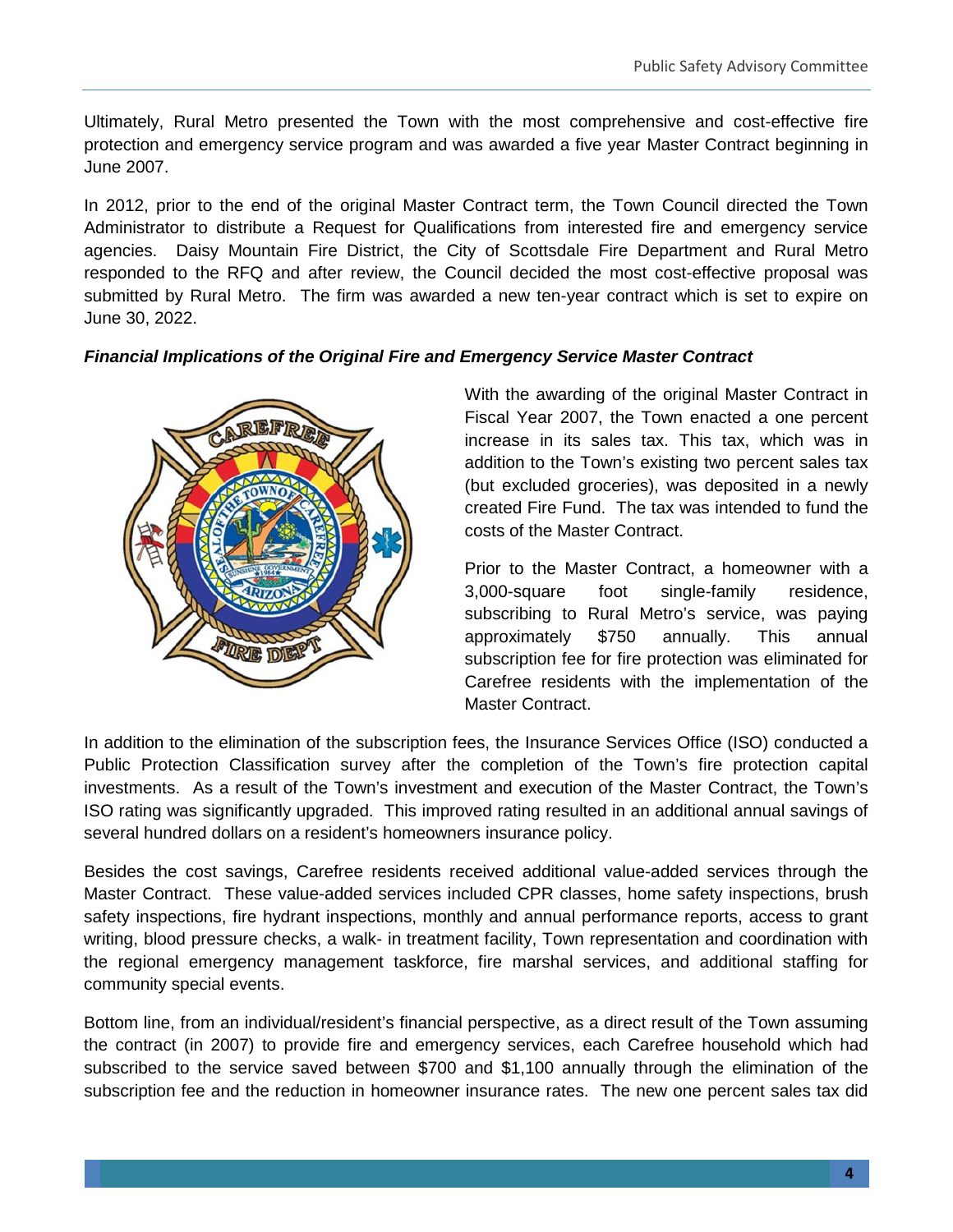Ultimately, Rural Metro presented the Town with the most comprehensive and cost-effective fire protection and emergency service program and was awarded a five year Master Contract beginning in June 2007.

In 2012, prior to the end of the original Master Contract term, the Town Council directed the Town Administrator to distribute a Request for Qualifications from interested fire and emergency service agencies. Daisy Mountain Fire District, the City of Scottsdale Fire Department and Rural Metro responded to the RFQ and after review, the Council decided the most cost-effective proposal was submitted by Rural Metro. The firm was awarded a new ten-year contract which is set to expire on June 30, 2022.

#### *Financial Implications of the Original Fire and Emergency Service Master Contract*



With the awarding of the original Master Contract in Fiscal Year 2007, the Town enacted a one percent increase in its sales tax. This tax, which was in addition to the Town's existing two percent sales tax (but excluded groceries), was deposited in a newly created Fire Fund. The tax was intended to fund the costs of the Master Contract.

Prior to the Master Contract, a homeowner with a 3,000-square foot single-family residence, subscribing to Rural Metro's service, was paying approximately \$750 annually. This annual subscription fee for fire protection was eliminated for Carefree residents with the implementation of the Master Contract.

In addition to the elimination of the subscription fees, the Insurance Services Office (ISO) conducted a Public Protection Classification survey after the completion of the Town's fire protection capital investments. As a result of the Town's investment and execution of the Master Contract, the Town's ISO rating was significantly upgraded. This improved rating resulted in an additional annual savings of several hundred dollars on a resident's homeowners insurance policy.

Besides the cost savings, Carefree residents received additional value-added services through the Master Contract. These value-added services included CPR classes, home safety inspections, brush safety inspections, fire hydrant inspections, monthly and annual performance reports, access to grant writing, blood pressure checks, a walk- in treatment facility, Town representation and coordination with the regional emergency management taskforce, fire marshal services, and additional staffing for community special events.

Bottom line, from an individual/resident's financial perspective, as a direct result of the Town assuming the contract (in 2007) to provide fire and emergency services, each Carefree household which had subscribed to the service saved between \$700 and \$1,100 annually through the elimination of the subscription fee and the reduction in homeowner insurance rates. The new one percent sales tax did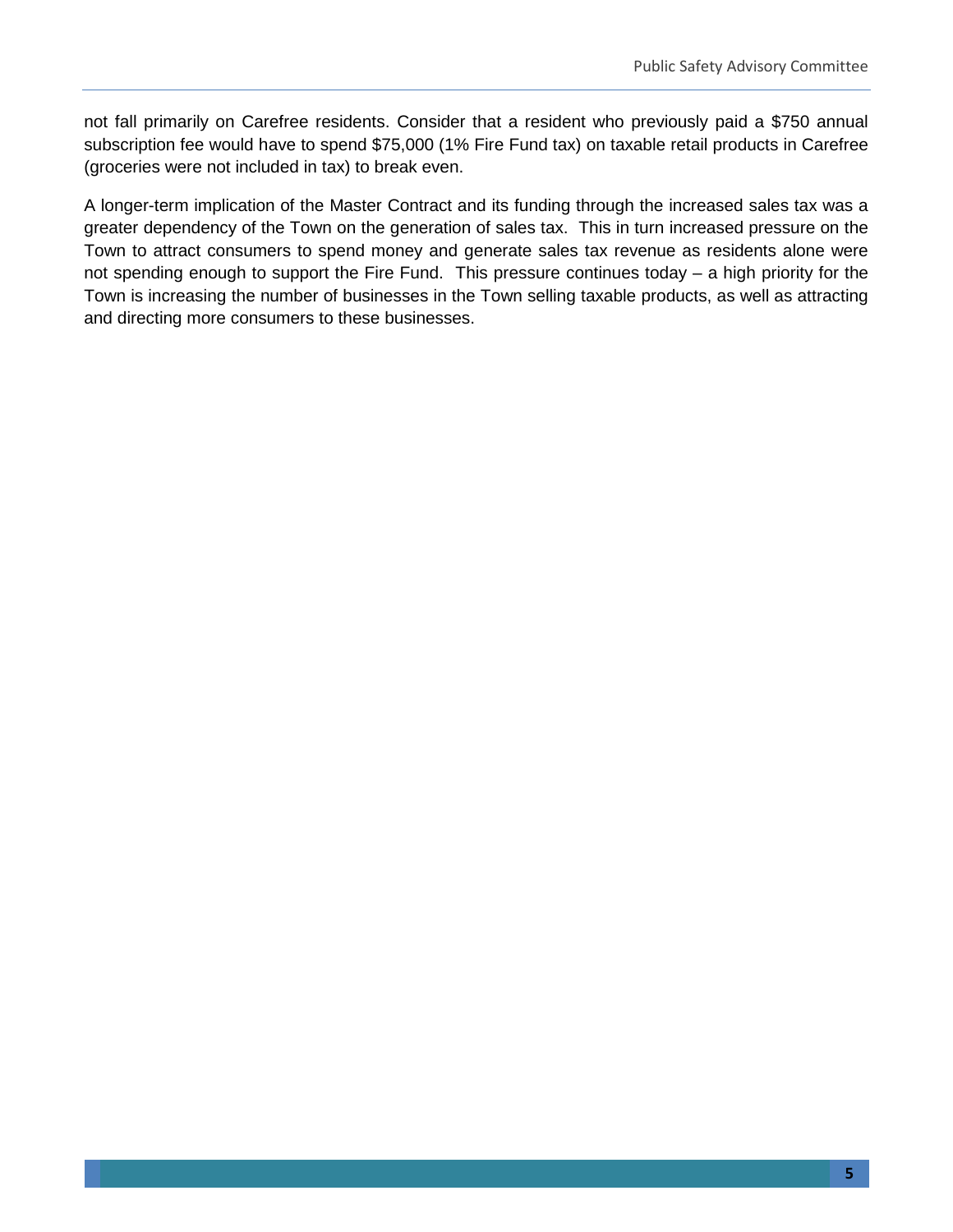not fall primarily on Carefree residents. Consider that a resident who previously paid a \$750 annual subscription fee would have to spend \$75,000 (1% Fire Fund tax) on taxable retail products in Carefree (groceries were not included in tax) to break even.

A longer-term implication of the Master Contract and its funding through the increased sales tax was a greater dependency of the Town on the generation of sales tax. This in turn increased pressure on the Town to attract consumers to spend money and generate sales tax revenue as residents alone were not spending enough to support the Fire Fund. This pressure continues today – a high priority for the Town is increasing the number of businesses in the Town selling taxable products, as well as attracting and directing more consumers to these businesses.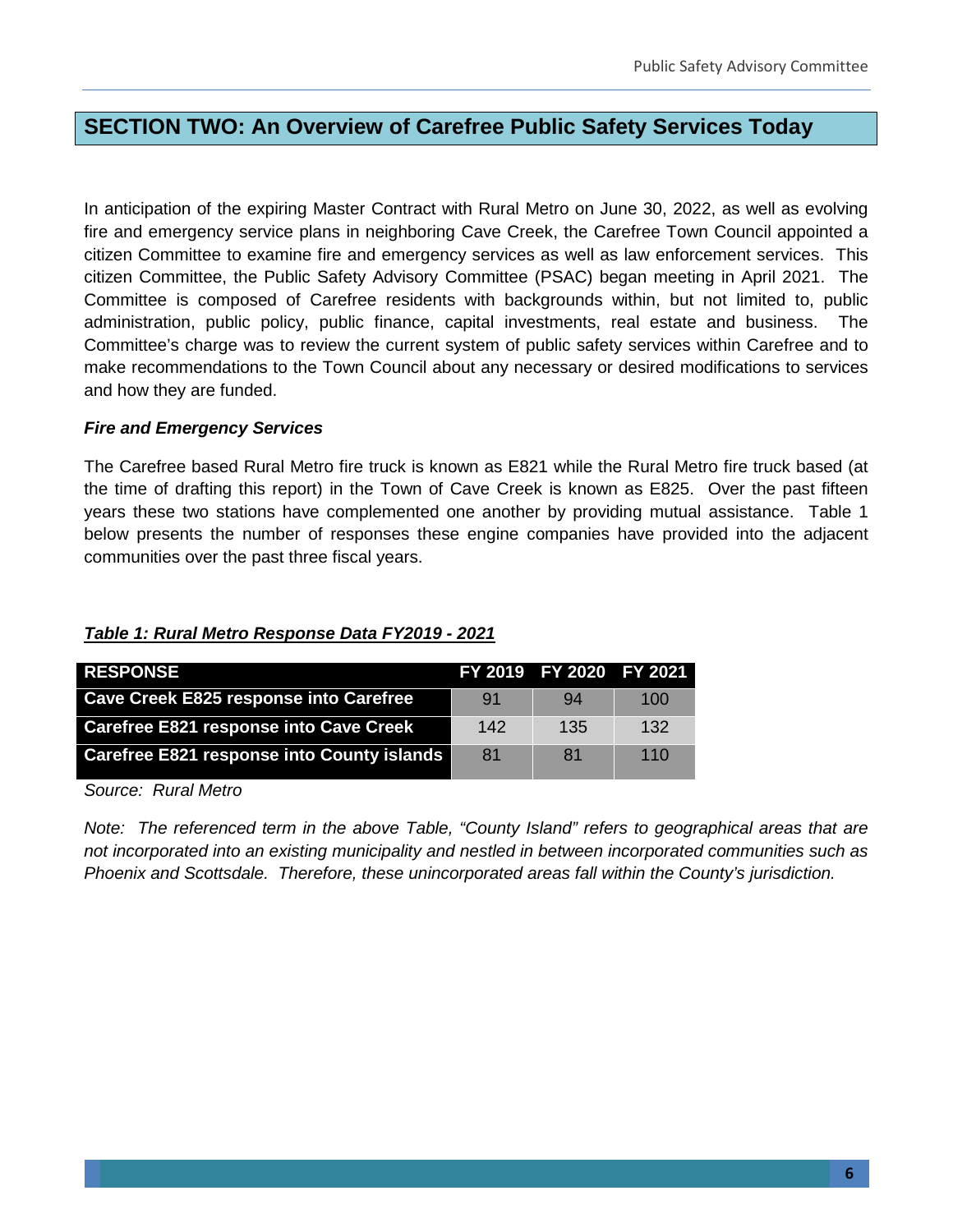### **SECTION TWO: An Overview of Carefree Public Safety Services Today**

In anticipation of the expiring Master Contract with Rural Metro on June 30, 2022, as well as evolving fire and emergency service plans in neighboring Cave Creek, the Carefree Town Council appointed a citizen Committee to examine fire and emergency services as well as law enforcement services. This citizen Committee, the Public Safety Advisory Committee (PSAC) began meeting in April 2021. The Committee is composed of Carefree residents with backgrounds within, but not limited to, public administration, public policy, public finance, capital investments, real estate and business. The Committee's charge was to review the current system of public safety services within Carefree and to make recommendations to the Town Council about any necessary or desired modifications to services and how they are funded.

#### *Fire and Emergency Services*

The Carefree based Rural Metro fire truck is known as E821 while the Rural Metro fire truck based (at the time of drafting this report) in the Town of Cave Creek is known as E825. Over the past fifteen years these two stations have complemented one another by providing mutual assistance. Table 1 below presents the number of responses these engine companies have provided into the adjacent communities over the past three fiscal years.

| <b>RESPONSE</b>                               |     | FY 2019 FY 2020 FY 2021 |     |
|-----------------------------------------------|-----|-------------------------|-----|
| <b>Cave Creek E825 response into Carefree</b> | 91  | 94                      | 100 |
| <b>Carefree E821 response into Cave Creek</b> | 142 | 135                     | 132 |
| Carefree E821 response into County islands    | 81  | 81                      | 110 |
| $\sim$<br>.<br>$\overline{\phantom{0}}$       |     |                         |     |

#### *Table 1: Rural Metro Response Data FY2019 - 2021*

*Source: Rural Metro*

*Note: The referenced term in the above Table, "County Island" refers to geographical areas that are not incorporated into an existing municipality and nestled in between incorporated communities such as Phoenix and Scottsdale. Therefore, these unincorporated areas fall within the County's jurisdiction.*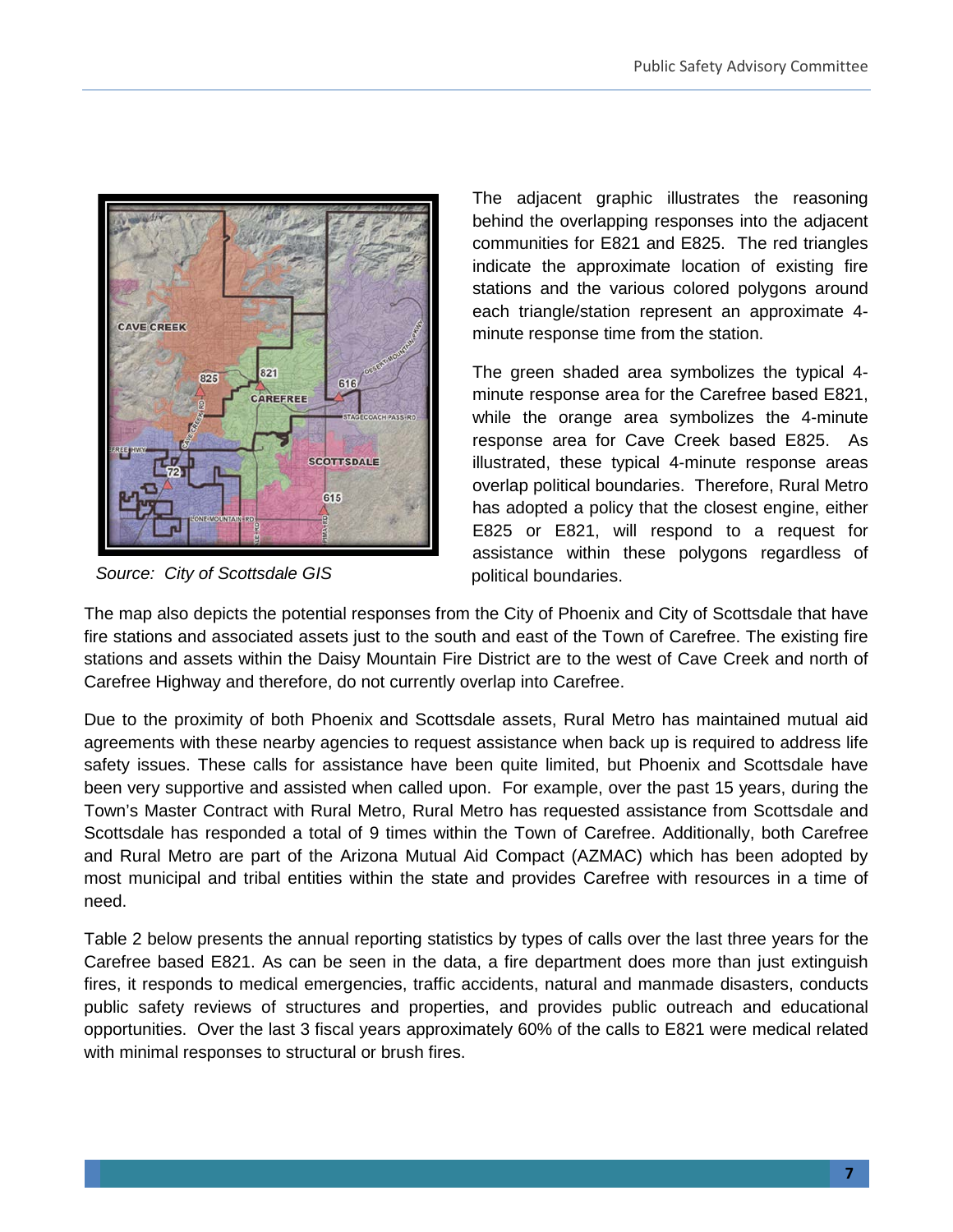

*Source: City of Scottsdale GIS*

The adjacent graphic illustrates the reasoning behind the overlapping responses into the adjacent communities for E821 and E825. The red triangles indicate the approximate location of existing fire stations and the various colored polygons around each triangle/station represent an approximate 4 minute response time from the station.

The green shaded area symbolizes the typical 4 minute response area for the Carefree based E821, while the orange area symbolizes the 4-minute response area for Cave Creek based E825. As illustrated, these typical 4-minute response areas overlap political boundaries. Therefore, Rural Metro has adopted a policy that the closest engine, either E825 or E821, will respond to a request for assistance within these polygons regardless of political boundaries.

The map also depicts the potential responses from the City of Phoenix and City of Scottsdale that have fire stations and associated assets just to the south and east of the Town of Carefree. The existing fire stations and assets within the Daisy Mountain Fire District are to the west of Cave Creek and north of Carefree Highway and therefore, do not currently overlap into Carefree.

Due to the proximity of both Phoenix and Scottsdale assets, Rural Metro has maintained mutual aid agreements with these nearby agencies to request assistance when back up is required to address life safety issues. These calls for assistance have been quite limited, but Phoenix and Scottsdale have been very supportive and assisted when called upon. For example, over the past 15 years, during the Town's Master Contract with Rural Metro, Rural Metro has requested assistance from Scottsdale and Scottsdale has responded a total of 9 times within the Town of Carefree. Additionally, both Carefree and Rural Metro are part of the Arizona Mutual Aid Compact (AZMAC) which has been adopted by most municipal and tribal entities within the state and provides Carefree with resources in a time of need.

Table 2 below presents the annual reporting statistics by types of calls over the last three years for the Carefree based E821. As can be seen in the data, a fire department does more than just extinguish fires, it responds to medical emergencies, traffic accidents, natural and manmade disasters, conducts public safety reviews of structures and properties, and provides public outreach and educational opportunities. Over the last 3 fiscal years approximately 60% of the calls to E821 were medical related with minimal responses to structural or brush fires.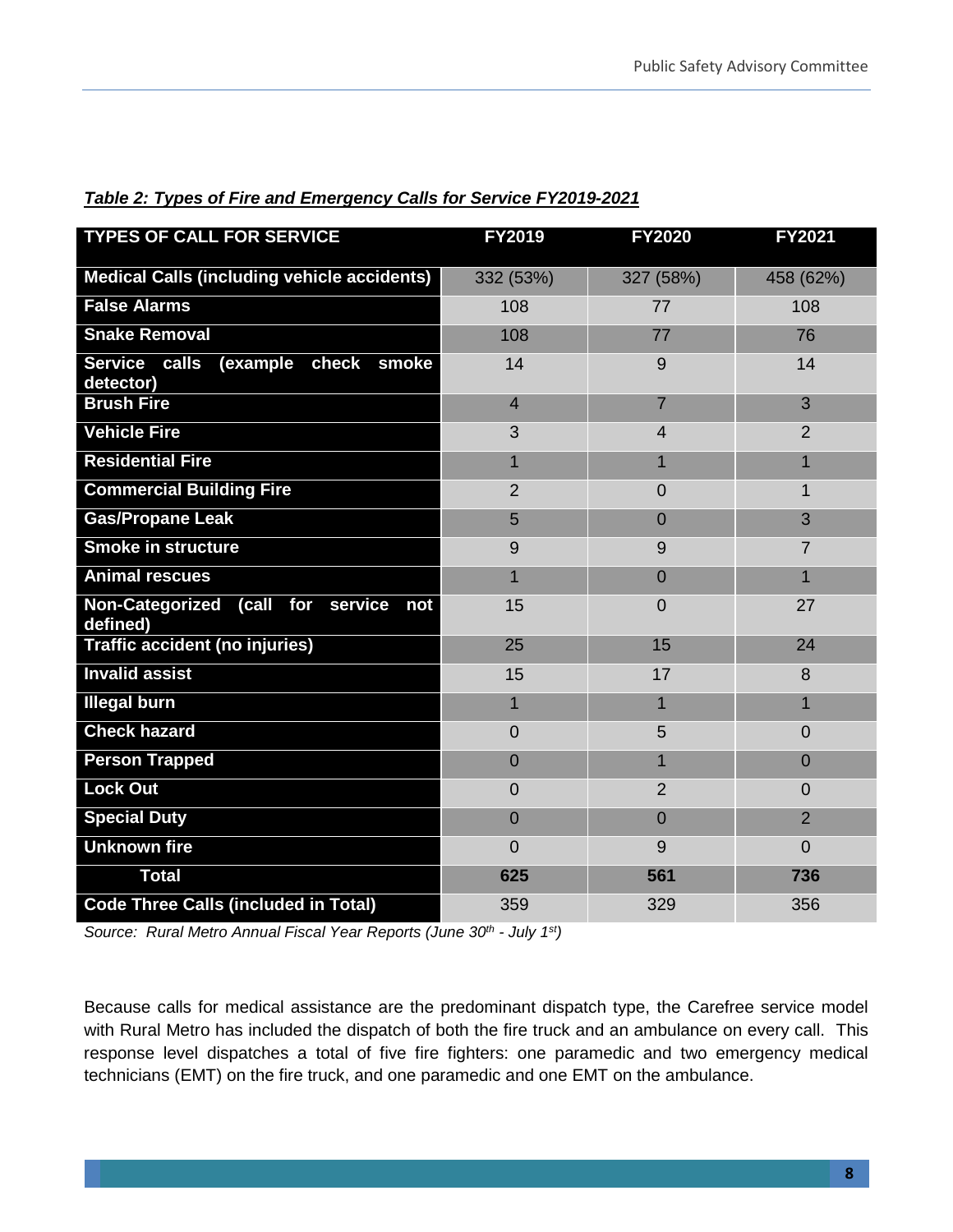| <b>TYPES OF CALL FOR SERVICE</b>                   | FY2019         | <b>FY2020</b>  | <b>FY2021</b>  |
|----------------------------------------------------|----------------|----------------|----------------|
| <b>Medical Calls (including vehicle accidents)</b> | 332 (53%)      | 327 (58%)      | 458 (62%)      |
| <b>False Alarms</b>                                | 108            | 77             | 108            |
| <b>Snake Removal</b>                               | 108            | 77             | 76             |
| (example check smoke<br>Service calls<br>detector) | 14             | 9              | 14             |
| <b>Brush Fire</b>                                  | $\overline{4}$ | $\overline{7}$ | 3              |
| <b>Vehicle Fire</b>                                | 3              | $\overline{4}$ | $\overline{2}$ |
| <b>Residential Fire</b>                            | 1              | 1              | 1              |
| <b>Commercial Building Fire</b>                    | $\overline{2}$ | $\Omega$       | 1              |
| <b>Gas/Propane Leak</b>                            | 5              | $\Omega$       | 3              |
| Smoke in structure                                 | 9              | 9              | 7              |
| <b>Animal rescues</b>                              | 1              | $\Omega$       | 1              |
| Non-Categorized (call for service not<br>defined)  | 15             | 0              | 27             |
| <b>Traffic accident (no injuries)</b>              | 25             | 15             | 24             |
| <b>Invalid assist</b>                              | 15             | 17             | 8              |
| <b>Illegal burn</b>                                |                | 1              | 1              |
| <b>Check hazard</b>                                | $\overline{0}$ | 5              | 0              |
| <b>Person Trapped</b>                              | $\overline{0}$ | 1              | $\overline{0}$ |
| <b>Lock Out</b>                                    | $\overline{0}$ | $\overline{2}$ | 0              |
| <b>Special Duty</b>                                | $\overline{0}$ | $\Omega$       | $\overline{2}$ |
| <b>Unknown fire</b>                                | $\overline{0}$ | 9              | $\Omega$       |
| <b>Total</b>                                       | 625            | 561            | 736            |
| <b>Code Three Calls (included in Total)</b>        | 359            | 329            | 356            |

*Table 2: Types of Fire and Emergency Calls for Service FY2019-2021*

*Source: Rural Metro Annual Fiscal Year Reports (June 30th - July 1st)*

Because calls for medical assistance are the predominant dispatch type, the Carefree service model with Rural Metro has included the dispatch of both the fire truck and an ambulance on every call. This response level dispatches a total of five fire fighters: one paramedic and two emergency medical technicians (EMT) on the fire truck, and one paramedic and one EMT on the ambulance.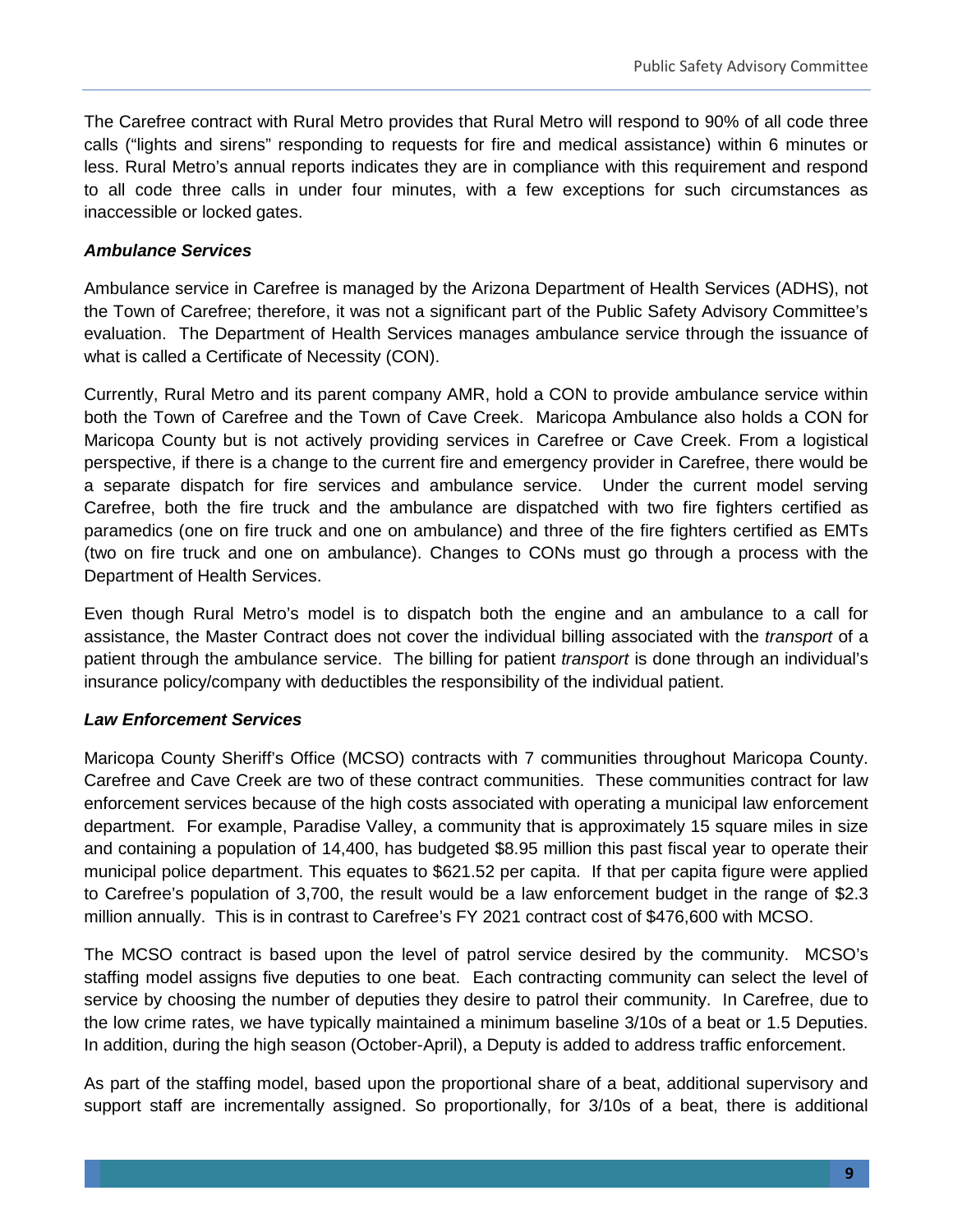The Carefree contract with Rural Metro provides that Rural Metro will respond to 90% of all code three calls ("lights and sirens" responding to requests for fire and medical assistance) within 6 minutes or less. Rural Metro's annual reports indicates they are in compliance with this requirement and respond to all code three calls in under four minutes, with a few exceptions for such circumstances as inaccessible or locked gates.

#### *Ambulance Services*

Ambulance service in Carefree is managed by the Arizona Department of Health Services (ADHS), not the Town of Carefree; therefore, it was not a significant part of the Public Safety Advisory Committee's evaluation. The Department of Health Services manages ambulance service through the issuance of what is called a Certificate of Necessity (CON).

Currently, Rural Metro and its parent company AMR, hold a CON to provide ambulance service within both the Town of Carefree and the Town of Cave Creek. Maricopa Ambulance also holds a CON for Maricopa County but is not actively providing services in Carefree or Cave Creek. From a logistical perspective, if there is a change to the current fire and emergency provider in Carefree, there would be a separate dispatch for fire services and ambulance service. Under the current model serving Carefree, both the fire truck and the ambulance are dispatched with two fire fighters certified as paramedics (one on fire truck and one on ambulance) and three of the fire fighters certified as EMTs (two on fire truck and one on ambulance). Changes to CONs must go through a process with the Department of Health Services.

Even though Rural Metro's model is to dispatch both the engine and an ambulance to a call for assistance, the Master Contract does not cover the individual billing associated with the *transport* of a patient through the ambulance service. The billing for patient *transport* is done through an individual's insurance policy/company with deductibles the responsibility of the individual patient.

#### *Law Enforcement Services*

Maricopa County Sheriff's Office (MCSO) contracts with 7 communities throughout Maricopa County. Carefree and Cave Creek are two of these contract communities. These communities contract for law enforcement services because of the high costs associated with operating a municipal law enforcement department. For example, Paradise Valley, a community that is approximately 15 square miles in size and containing a population of 14,400, has budgeted \$8.95 million this past fiscal year to operate their municipal police department. This equates to \$621.52 per capita. If that per capita figure were applied to Carefree's population of 3,700, the result would be a law enforcement budget in the range of \$2.3 million annually. This is in contrast to Carefree's FY 2021 contract cost of \$476,600 with MCSO.

The MCSO contract is based upon the level of patrol service desired by the community. MCSO's staffing model assigns five deputies to one beat. Each contracting community can select the level of service by choosing the number of deputies they desire to patrol their community. In Carefree, due to the low crime rates, we have typically maintained a minimum baseline 3/10s of a beat or 1.5 Deputies. In addition, during the high season (October-April), a Deputy is added to address traffic enforcement.

As part of the staffing model, based upon the proportional share of a beat, additional supervisory and support staff are incrementally assigned. So proportionally, for 3/10s of a beat, there is additional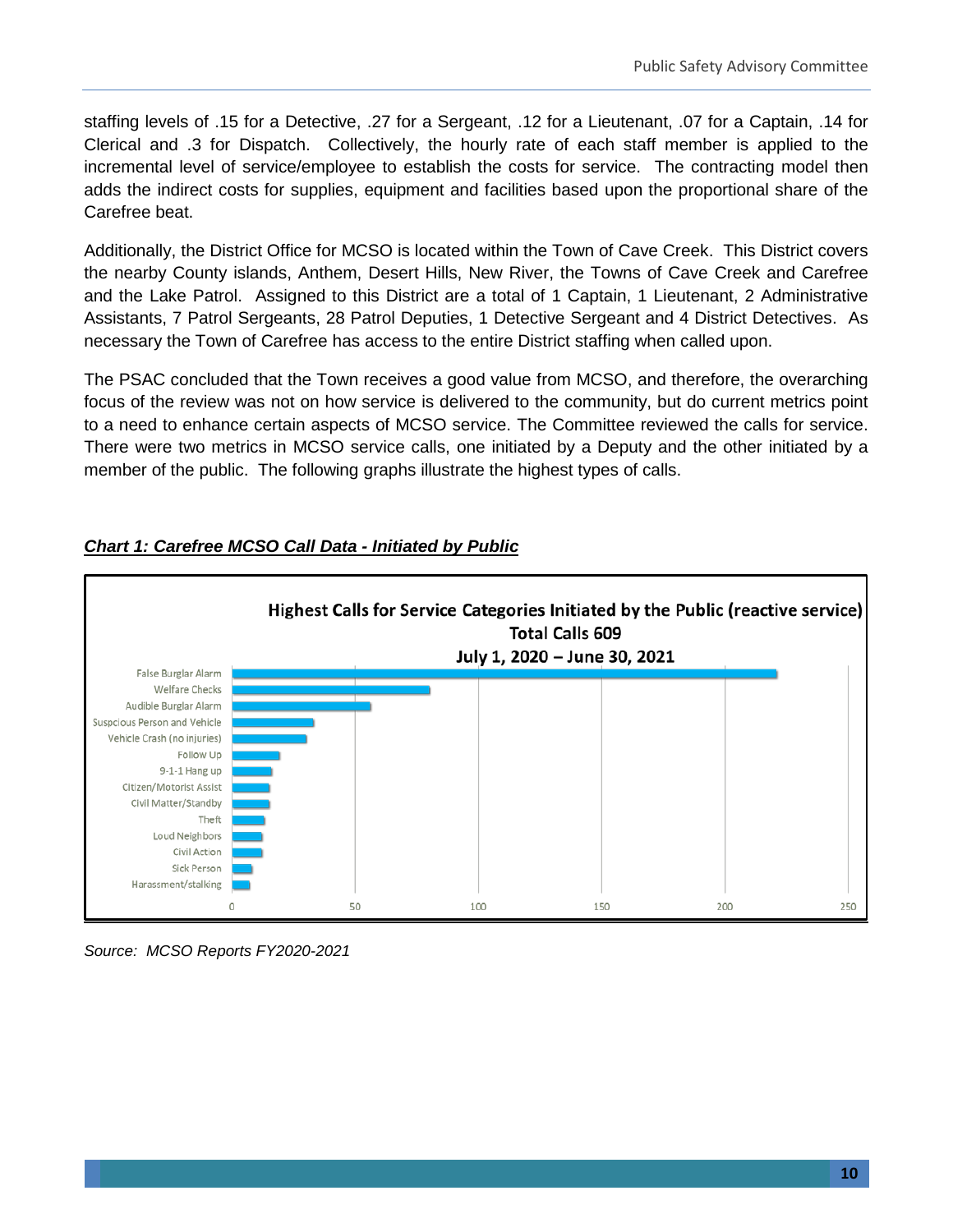staffing levels of .15 for a Detective, .27 for a Sergeant, .12 for a Lieutenant, .07 for a Captain, .14 for Clerical and .3 for Dispatch. Collectively, the hourly rate of each staff member is applied to the incremental level of service/employee to establish the costs for service. The contracting model then adds the indirect costs for supplies, equipment and facilities based upon the proportional share of the Carefree beat.

Additionally, the District Office for MCSO is located within the Town of Cave Creek. This District covers the nearby County islands, Anthem, Desert Hills, New River, the Towns of Cave Creek and Carefree and the Lake Patrol. Assigned to this District are a total of 1 Captain, 1 Lieutenant, 2 Administrative Assistants, 7 Patrol Sergeants, 28 Patrol Deputies, 1 Detective Sergeant and 4 District Detectives. As necessary the Town of Carefree has access to the entire District staffing when called upon.

The PSAC concluded that the Town receives a good value from MCSO, and therefore, the overarching focus of the review was not on how service is delivered to the community, but do current metrics point to a need to enhance certain aspects of MCSO service. The Committee reviewed the calls for service. There were two metrics in MCSO service calls, one initiated by a Deputy and the other initiated by a member of the public. The following graphs illustrate the highest types of calls.



#### *Chart 1: Carefree MCSO Call Data - Initiated by Public*

*Source: MCSO Reports FY2020-2021*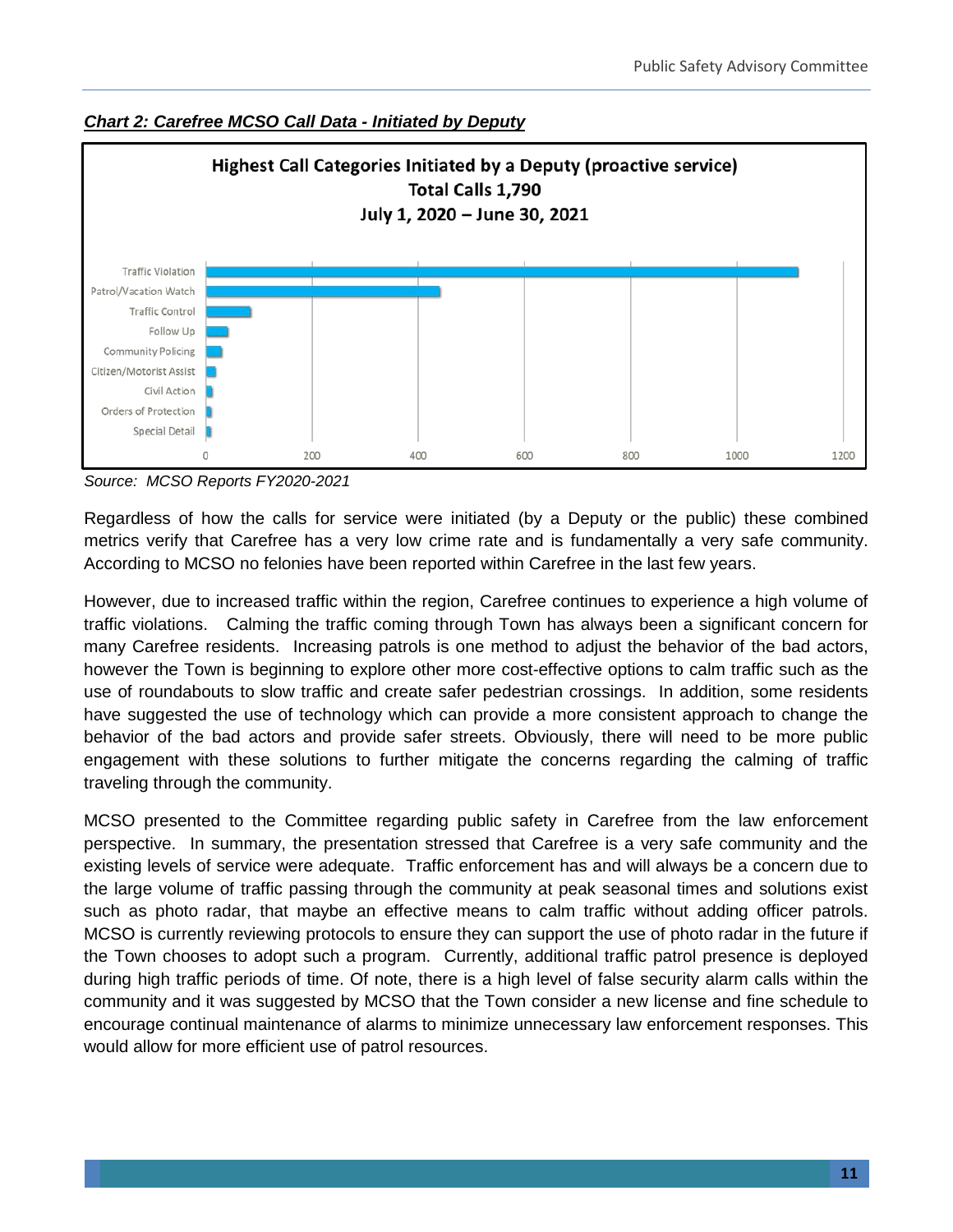

*Chart 2: Carefree MCSO Call Data - Initiated by Deputy*

*Source: MCSO Reports FY2020-2021*

Regardless of how the calls for service were initiated (by a Deputy or the public) these combined metrics verify that Carefree has a very low crime rate and is fundamentally a very safe community. According to MCSO no felonies have been reported within Carefree in the last few years.

However, due to increased traffic within the region, Carefree continues to experience a high volume of traffic violations. Calming the traffic coming through Town has always been a significant concern for many Carefree residents. Increasing patrols is one method to adjust the behavior of the bad actors, however the Town is beginning to explore other more cost-effective options to calm traffic such as the use of roundabouts to slow traffic and create safer pedestrian crossings. In addition, some residents have suggested the use of technology which can provide a more consistent approach to change the behavior of the bad actors and provide safer streets. Obviously, there will need to be more public engagement with these solutions to further mitigate the concerns regarding the calming of traffic traveling through the community.

MCSO presented to the Committee regarding public safety in Carefree from the law enforcement perspective. In summary, the presentation stressed that Carefree is a very safe community and the existing levels of service were adequate. Traffic enforcement has and will always be a concern due to the large volume of traffic passing through the community at peak seasonal times and solutions exist such as photo radar, that maybe an effective means to calm traffic without adding officer patrols. MCSO is currently reviewing protocols to ensure they can support the use of photo radar in the future if the Town chooses to adopt such a program. Currently, additional traffic patrol presence is deployed during high traffic periods of time. Of note, there is a high level of false security alarm calls within the community and it was suggested by MCSO that the Town consider a new license and fine schedule to encourage continual maintenance of alarms to minimize unnecessary law enforcement responses. This would allow for more efficient use of patrol resources.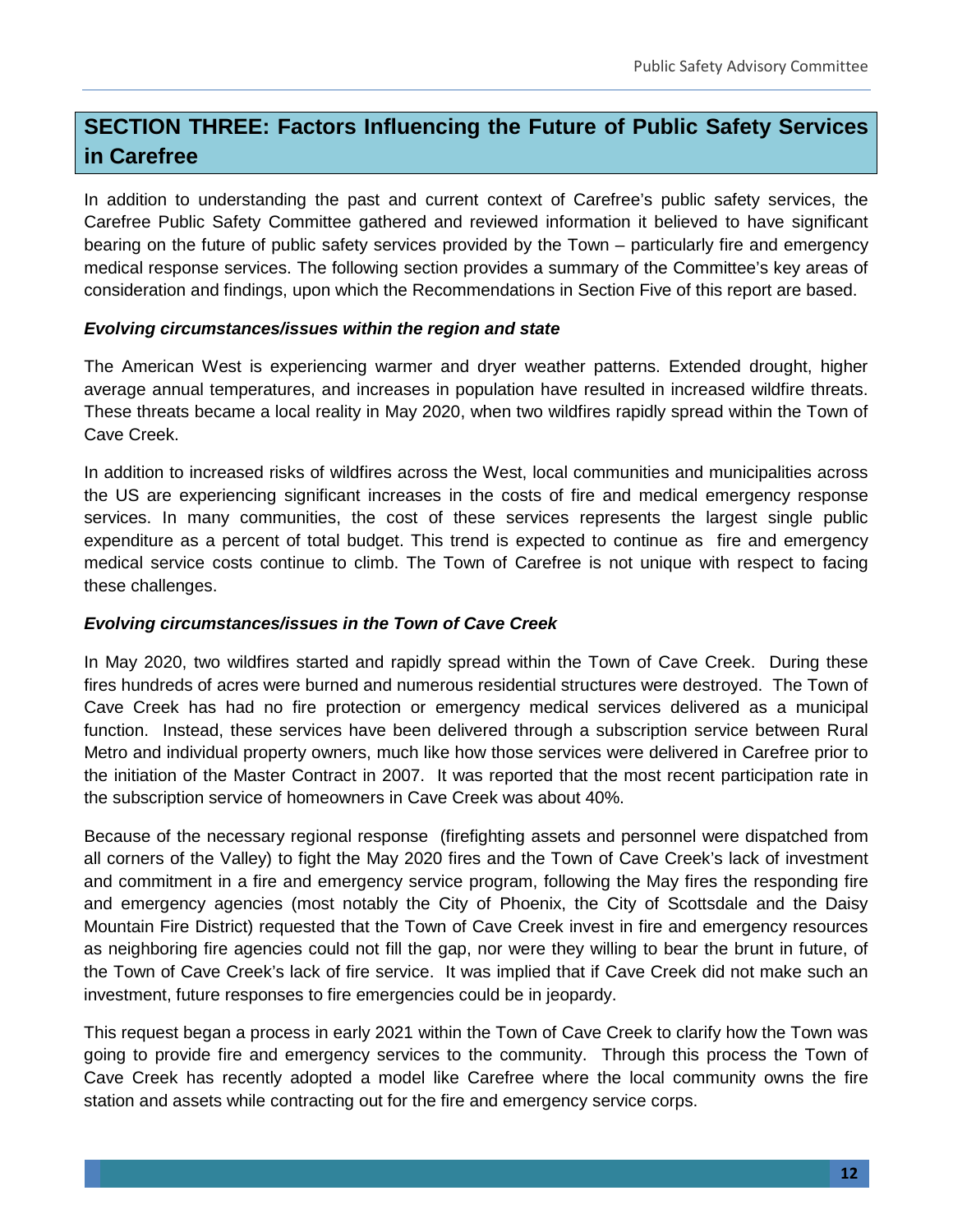# **SECTION THREE: Factors Influencing the Future of Public Safety Services in Carefree**

In addition to understanding the past and current context of Carefree's public safety services, the Carefree Public Safety Committee gathered and reviewed information it believed to have significant bearing on the future of public safety services provided by the Town – particularly fire and emergency medical response services. The following section provides a summary of the Committee's key areas of consideration and findings, upon which the Recommendations in Section Five of this report are based.

#### *Evolving circumstances/issues within the region and state*

The American West is experiencing warmer and dryer weather patterns. Extended drought, higher average annual temperatures, and increases in population have resulted in increased wildfire threats. These threats became a local reality in May 2020, when two wildfires rapidly spread within the Town of Cave Creek.

In addition to increased risks of wildfires across the West, local communities and municipalities across the US are experiencing significant increases in the costs of fire and medical emergency response services. In many communities, the cost of these services represents the largest single public expenditure as a percent of total budget. This trend is expected to continue as fire and emergency medical service costs continue to climb. The Town of Carefree is not unique with respect to facing these challenges.

#### *Evolving circumstances/issues in the Town of Cave Creek*

In May 2020, two wildfires started and rapidly spread within the Town of Cave Creek. During these fires hundreds of acres were burned and numerous residential structures were destroyed. The Town of Cave Creek has had no fire protection or emergency medical services delivered as a municipal function. Instead, these services have been delivered through a subscription service between Rural Metro and individual property owners, much like how those services were delivered in Carefree prior to the initiation of the Master Contract in 2007. It was reported that the most recent participation rate in the subscription service of homeowners in Cave Creek was about 40%.

Because of the necessary regional response (firefighting assets and personnel were dispatched from all corners of the Valley) to fight the May 2020 fires and the Town of Cave Creek's lack of investment and commitment in a fire and emergency service program, following the May fires the responding fire and emergency agencies (most notably the City of Phoenix, the City of Scottsdale and the Daisy Mountain Fire District) requested that the Town of Cave Creek invest in fire and emergency resources as neighboring fire agencies could not fill the gap, nor were they willing to bear the brunt in future, of the Town of Cave Creek's lack of fire service. It was implied that if Cave Creek did not make such an investment, future responses to fire emergencies could be in jeopardy.

This request began a process in early 2021 within the Town of Cave Creek to clarify how the Town was going to provide fire and emergency services to the community. Through this process the Town of Cave Creek has recently adopted a model like Carefree where the local community owns the fire station and assets while contracting out for the fire and emergency service corps.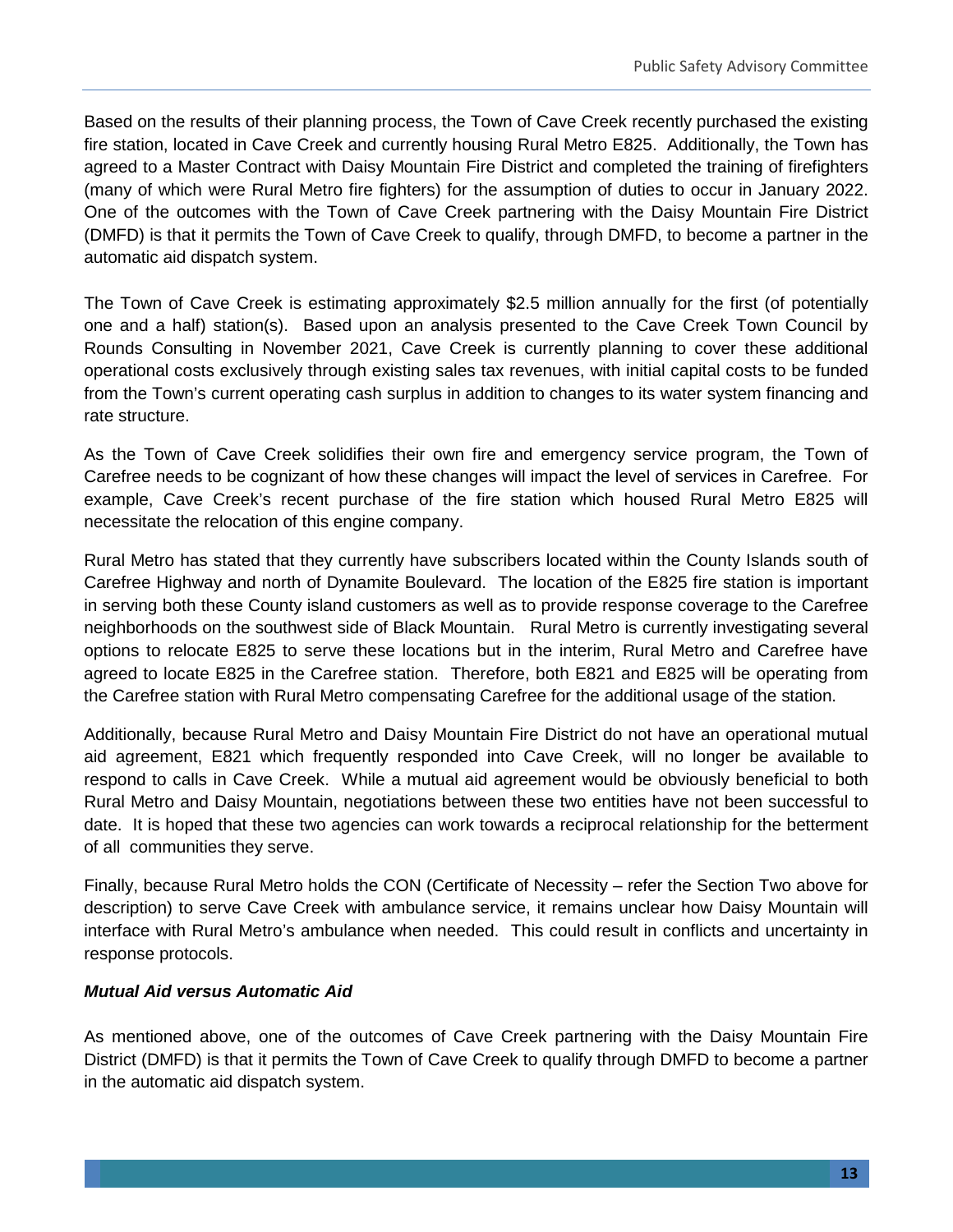Based on the results of their planning process, the Town of Cave Creek recently purchased the existing fire station, located in Cave Creek and currently housing Rural Metro E825. Additionally, the Town has agreed to a Master Contract with Daisy Mountain Fire District and completed the training of firefighters (many of which were Rural Metro fire fighters) for the assumption of duties to occur in January 2022. One of the outcomes with the Town of Cave Creek partnering with the Daisy Mountain Fire District (DMFD) is that it permits the Town of Cave Creek to qualify, through DMFD, to become a partner in the automatic aid dispatch system.

The Town of Cave Creek is estimating approximately \$2.5 million annually for the first (of potentially one and a half) station(s). Based upon an analysis presented to the Cave Creek Town Council by Rounds Consulting in November 2021, Cave Creek is currently planning to cover these additional operational costs exclusively through existing sales tax revenues, with initial capital costs to be funded from the Town's current operating cash surplus in addition to changes to its water system financing and rate structure.

As the Town of Cave Creek solidifies their own fire and emergency service program, the Town of Carefree needs to be cognizant of how these changes will impact the level of services in Carefree. For example, Cave Creek's recent purchase of the fire station which housed Rural Metro E825 will necessitate the relocation of this engine company.

Rural Metro has stated that they currently have subscribers located within the County Islands south of Carefree Highway and north of Dynamite Boulevard. The location of the E825 fire station is important in serving both these County island customers as well as to provide response coverage to the Carefree neighborhoods on the southwest side of Black Mountain. Rural Metro is currently investigating several options to relocate E825 to serve these locations but in the interim, Rural Metro and Carefree have agreed to locate E825 in the Carefree station. Therefore, both E821 and E825 will be operating from the Carefree station with Rural Metro compensating Carefree for the additional usage of the station.

Additionally, because Rural Metro and Daisy Mountain Fire District do not have an operational mutual aid agreement, E821 which frequently responded into Cave Creek, will no longer be available to respond to calls in Cave Creek. While a mutual aid agreement would be obviously beneficial to both Rural Metro and Daisy Mountain, negotiations between these two entities have not been successful to date. It is hoped that these two agencies can work towards a reciprocal relationship for the betterment of all communities they serve.

Finally, because Rural Metro holds the CON (Certificate of Necessity – refer the Section Two above for description) to serve Cave Creek with ambulance service, it remains unclear how Daisy Mountain will interface with Rural Metro's ambulance when needed. This could result in conflicts and uncertainty in response protocols.

#### *Mutual Aid versus Automatic Aid*

As mentioned above, one of the outcomes of Cave Creek partnering with the Daisy Mountain Fire District (DMFD) is that it permits the Town of Cave Creek to qualify through DMFD to become a partner in the automatic aid dispatch system.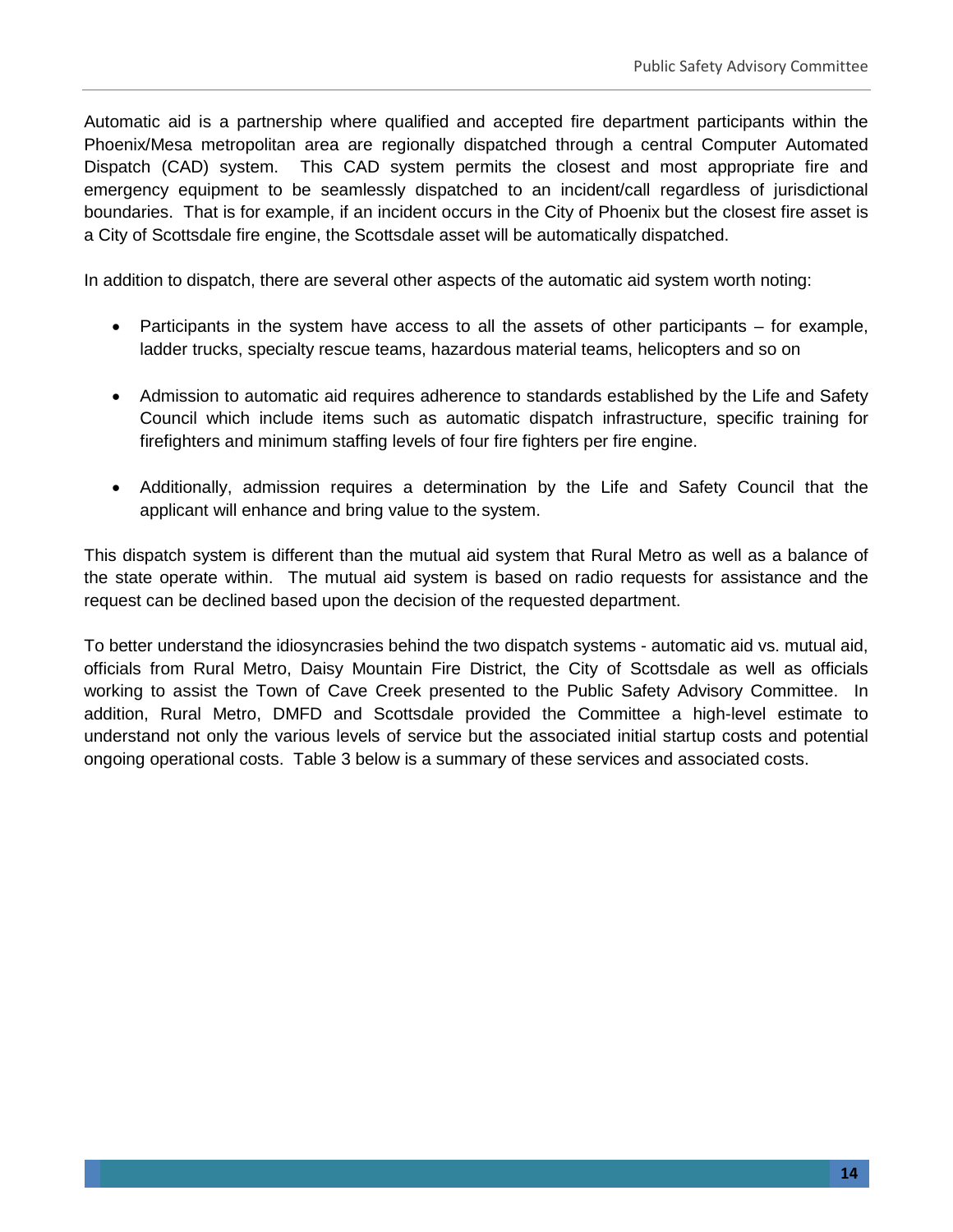Automatic aid is a partnership where qualified and accepted fire department participants within the Phoenix/Mesa metropolitan area are regionally dispatched through a central Computer Automated Dispatch (CAD) system. This CAD system permits the closest and most appropriate fire and emergency equipment to be seamlessly dispatched to an incident/call regardless of jurisdictional boundaries. That is for example, if an incident occurs in the City of Phoenix but the closest fire asset is a City of Scottsdale fire engine, the Scottsdale asset will be automatically dispatched.

In addition to dispatch, there are several other aspects of the automatic aid system worth noting:

- Participants in the system have access to all the assets of other participants for example, ladder trucks, specialty rescue teams, hazardous material teams, helicopters and so on
- Admission to automatic aid requires adherence to standards established by the Life and Safety Council which include items such as automatic dispatch infrastructure, specific training for firefighters and minimum staffing levels of four fire fighters per fire engine.
- Additionally, admission requires a determination by the Life and Safety Council that the applicant will enhance and bring value to the system.

This dispatch system is different than the mutual aid system that Rural Metro as well as a balance of the state operate within. The mutual aid system is based on radio requests for assistance and the request can be declined based upon the decision of the requested department.

To better understand the idiosyncrasies behind the two dispatch systems - automatic aid vs. mutual aid, officials from Rural Metro, Daisy Mountain Fire District, the City of Scottsdale as well as officials working to assist the Town of Cave Creek presented to the Public Safety Advisory Committee. In addition, Rural Metro, DMFD and Scottsdale provided the Committee a high-level estimate to understand not only the various levels of service but the associated initial startup costs and potential ongoing operational costs. Table 3 below is a summary of these services and associated costs.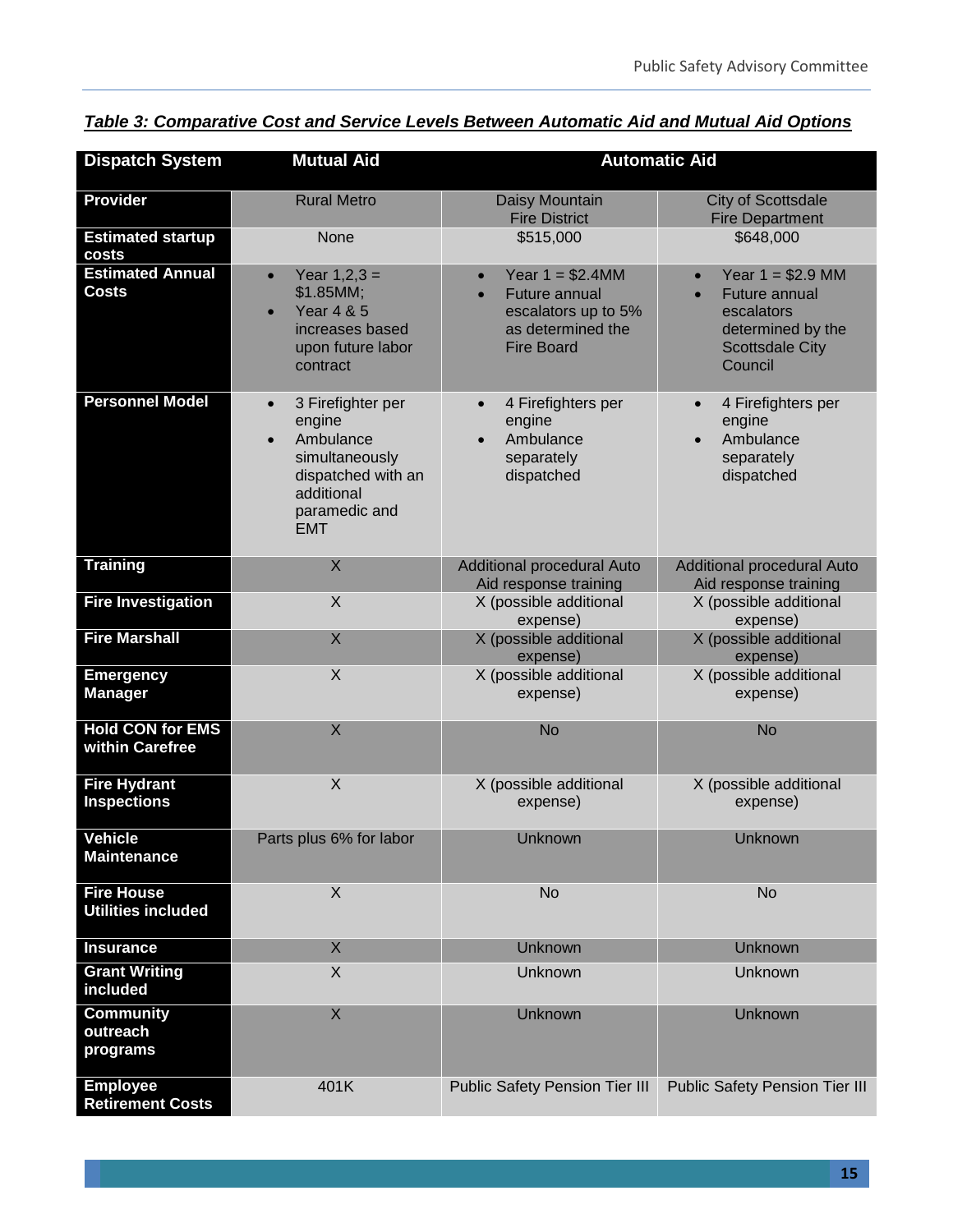| <b>Dispatch System</b>                         | <b>Mutual Aid</b>                                                                                                                          | <b>Automatic Aid</b>                                                                                                           |                                                                                                                                       |  |  |  |
|------------------------------------------------|--------------------------------------------------------------------------------------------------------------------------------------------|--------------------------------------------------------------------------------------------------------------------------------|---------------------------------------------------------------------------------------------------------------------------------------|--|--|--|
| <b>Provider</b>                                | <b>Rural Metro</b>                                                                                                                         | Daisy Mountain<br><b>Fire District</b>                                                                                         | <b>City of Scottsdale</b><br><b>Fire Department</b>                                                                                   |  |  |  |
| <b>Estimated startup</b><br>costs              | None                                                                                                                                       | \$515,000                                                                                                                      | \$648,000                                                                                                                             |  |  |  |
| <b>Estimated Annual</b><br><b>Costs</b>        | Year $1,2,3 =$<br>$\bullet$<br>\$1.85MM;<br><b>Year 4 &amp; 5</b><br>increases based<br>upon future labor<br>contract                      | Year $1 = $2.4$ MM<br>$\bullet$<br>Future annual<br>$\bullet$<br>escalators up to 5%<br>as determined the<br><b>Fire Board</b> | Year $1 = $2.9$ MM<br>$\bullet$<br>Future annual<br>$\bullet$<br>escalators<br>determined by the<br><b>Scottsdale City</b><br>Council |  |  |  |
| <b>Personnel Model</b>                         | 3 Firefighter per<br>$\bullet$<br>engine<br>Ambulance<br>simultaneously<br>dispatched with an<br>additional<br>paramedic and<br><b>EMT</b> | 4 Firefighters per<br>$\bullet$<br>engine<br>Ambulance<br>$\bullet$<br>separately<br>dispatched                                | 4 Firefighters per<br>$\bullet$<br>engine<br>Ambulance<br>separately<br>dispatched                                                    |  |  |  |
| <b>Training</b>                                | X                                                                                                                                          | <b>Additional procedural Auto</b><br>Aid response training                                                                     | Additional procedural Auto<br>Aid response training                                                                                   |  |  |  |
| <b>Fire Investigation</b>                      | X                                                                                                                                          | X (possible additional<br>expense)                                                                                             | X (possible additional<br>expense)                                                                                                    |  |  |  |
| <b>Fire Marshall</b>                           | X                                                                                                                                          | X (possible additional<br>expense)                                                                                             | X (possible additional<br>expense)                                                                                                    |  |  |  |
| <b>Emergency</b><br><b>Manager</b>             | X                                                                                                                                          | X (possible additional<br>expense)                                                                                             | X (possible additional<br>expense)                                                                                                    |  |  |  |
| <b>Hold CON for EMS</b><br>within Carefree     | X                                                                                                                                          | <b>No</b>                                                                                                                      | <b>No</b>                                                                                                                             |  |  |  |
| <b>Fire Hydrant</b><br><b>Inspections</b>      | $\sf X$                                                                                                                                    | X (possible additional<br>expense)                                                                                             | X (possible additional<br>expense)                                                                                                    |  |  |  |
| <b>Vehicle</b><br><b>Maintenance</b>           | Parts plus 6% for labor                                                                                                                    | Unknown                                                                                                                        | <b>Unknown</b>                                                                                                                        |  |  |  |
| <b>Fire House</b><br><b>Utilities included</b> | $\times$                                                                                                                                   | <b>No</b>                                                                                                                      | <b>No</b>                                                                                                                             |  |  |  |
| <b>Insurance</b>                               | X                                                                                                                                          | Unknown                                                                                                                        | Unknown                                                                                                                               |  |  |  |
| <b>Grant Writing</b><br>included               | X                                                                                                                                          | Unknown                                                                                                                        | Unknown                                                                                                                               |  |  |  |
| <b>Community</b><br>outreach<br>programs       | X                                                                                                                                          | Unknown                                                                                                                        | Unknown                                                                                                                               |  |  |  |
| <b>Employee</b><br><b>Retirement Costs</b>     | 401K                                                                                                                                       | <b>Public Safety Pension Tier III</b>                                                                                          | <b>Public Safety Pension Tier III</b>                                                                                                 |  |  |  |

*Table 3: Comparative Cost and Service Levels Between Automatic Aid and Mutual Aid Options*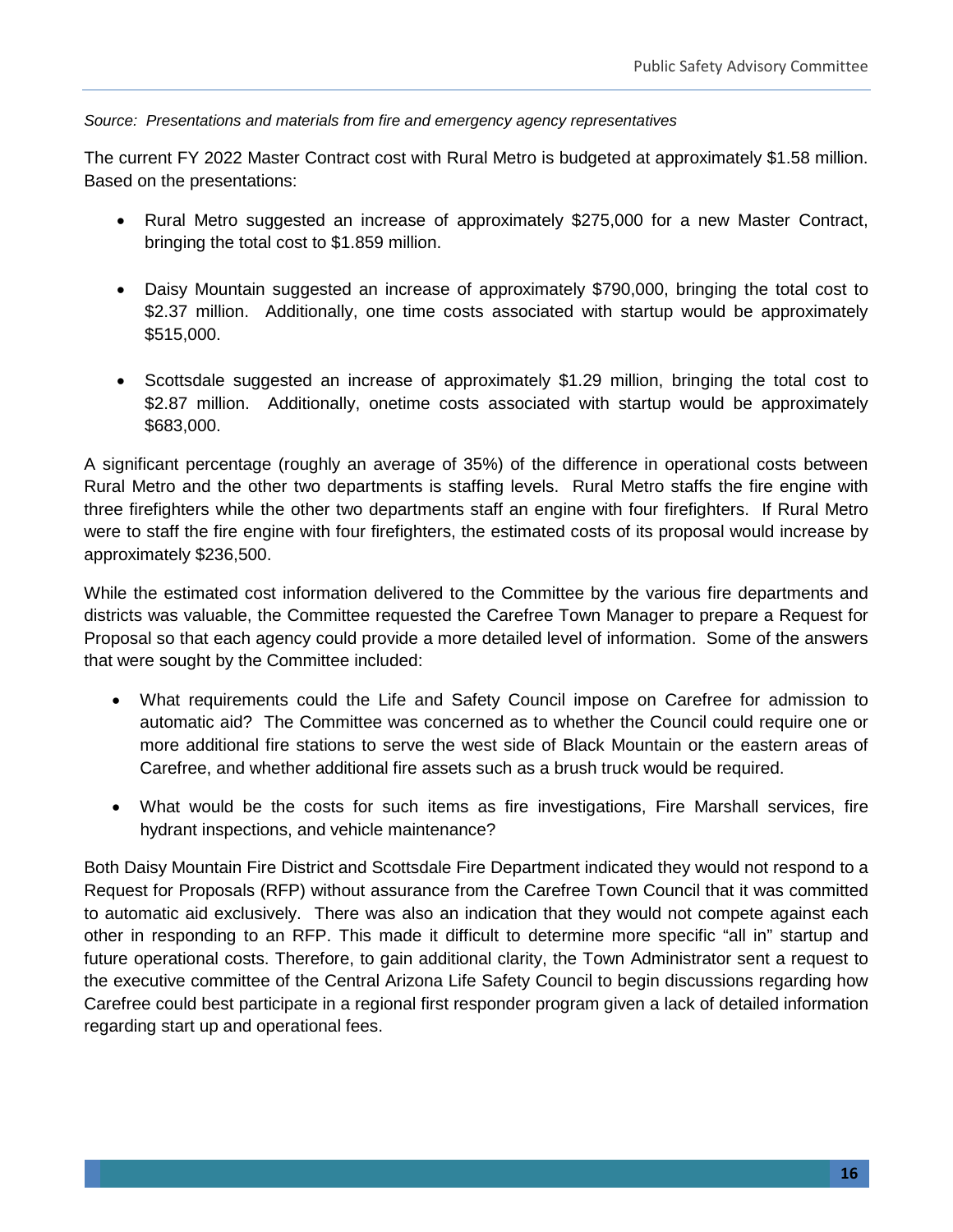#### *Source: Presentations and materials from fire and emergency agency representatives*

The current FY 2022 Master Contract cost with Rural Metro is budgeted at approximately \$1.58 million. Based on the presentations:

- Rural Metro suggested an increase of approximately \$275,000 for a new Master Contract, bringing the total cost to \$1.859 million.
- Daisy Mountain suggested an increase of approximately \$790,000, bringing the total cost to \$2.37 million. Additionally, one time costs associated with startup would be approximately \$515,000.
- Scottsdale suggested an increase of approximately \$1.29 million, bringing the total cost to \$2.87 million. Additionally, onetime costs associated with startup would be approximately \$683,000.

A significant percentage (roughly an average of 35%) of the difference in operational costs between Rural Metro and the other two departments is staffing levels. Rural Metro staffs the fire engine with three firefighters while the other two departments staff an engine with four firefighters. If Rural Metro were to staff the fire engine with four firefighters, the estimated costs of its proposal would increase by approximately \$236,500.

While the estimated cost information delivered to the Committee by the various fire departments and districts was valuable, the Committee requested the Carefree Town Manager to prepare a Request for Proposal so that each agency could provide a more detailed level of information. Some of the answers that were sought by the Committee included:

- What requirements could the Life and Safety Council impose on Carefree for admission to automatic aid? The Committee was concerned as to whether the Council could require one or more additional fire stations to serve the west side of Black Mountain or the eastern areas of Carefree, and whether additional fire assets such as a brush truck would be required.
- What would be the costs for such items as fire investigations, Fire Marshall services, fire hydrant inspections, and vehicle maintenance?

Both Daisy Mountain Fire District and Scottsdale Fire Department indicated they would not respond to a Request for Proposals (RFP) without assurance from the Carefree Town Council that it was committed to automatic aid exclusively. There was also an indication that they would not compete against each other in responding to an RFP. This made it difficult to determine more specific "all in" startup and future operational costs. Therefore, to gain additional clarity, the Town Administrator sent a request to the executive committee of the Central Arizona Life Safety Council to begin discussions regarding how Carefree could best participate in a regional first responder program given a lack of detailed information regarding start up and operational fees.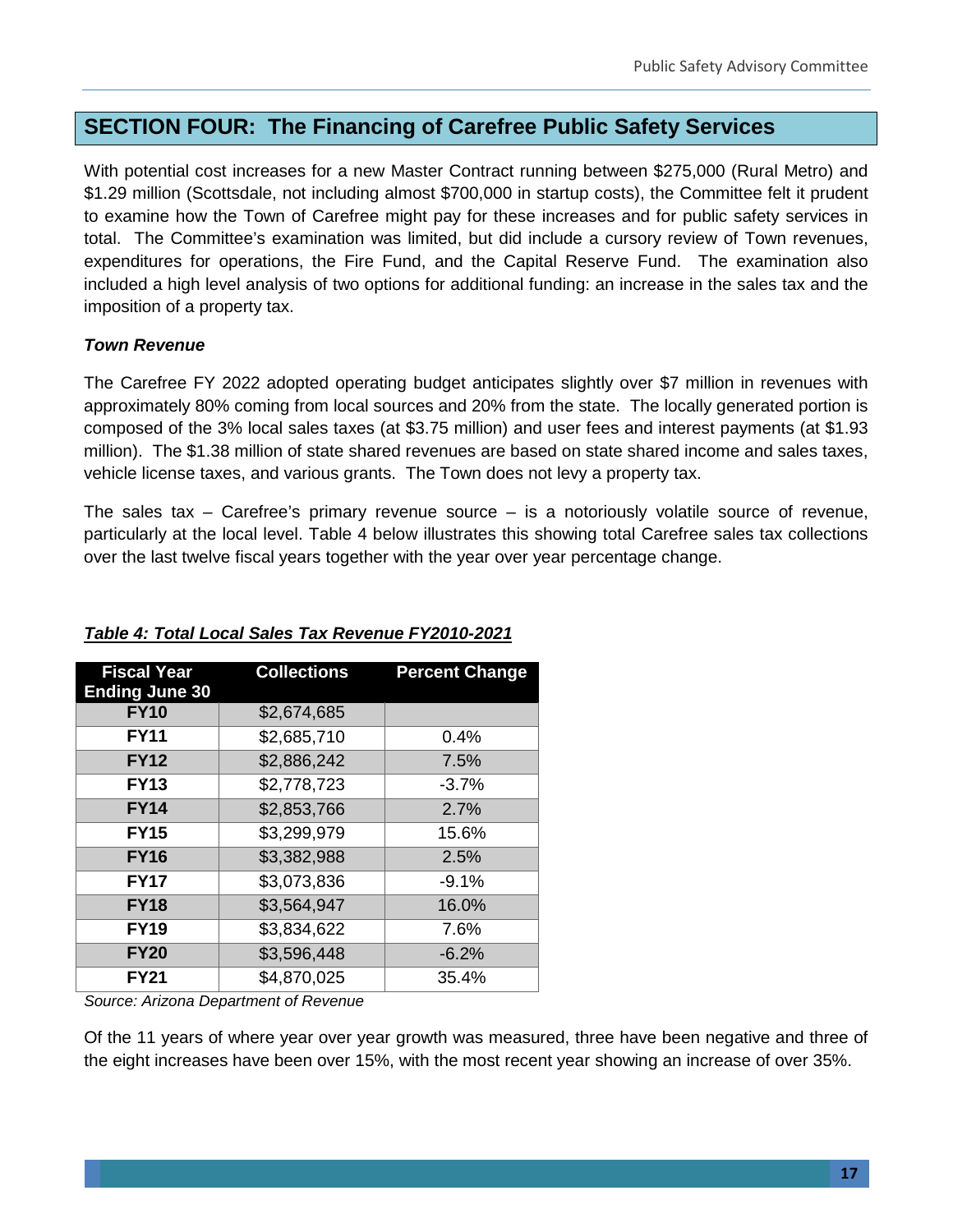# **SECTION FOUR: The Financing of Carefree Public Safety Services**

With potential cost increases for a new Master Contract running between \$275,000 (Rural Metro) and \$1.29 million (Scottsdale, not including almost \$700,000 in startup costs), the Committee felt it prudent to examine how the Town of Carefree might pay for these increases and for public safety services in total. The Committee's examination was limited, but did include a cursory review of Town revenues, expenditures for operations, the Fire Fund, and the Capital Reserve Fund. The examination also included a high level analysis of two options for additional funding: an increase in the sales tax and the imposition of a property tax.

#### *Town Revenue*

The Carefree FY 2022 adopted operating budget anticipates slightly over \$7 million in revenues with approximately 80% coming from local sources and 20% from the state. The locally generated portion is composed of the 3% local sales taxes (at \$3.75 million) and user fees and interest payments (at \$1.93 million). The \$1.38 million of state shared revenues are based on state shared income and sales taxes, vehicle license taxes, and various grants. The Town does not levy a property tax.

The sales tax  $-$  Carefree's primary revenue source  $-$  is a notoriously volatile source of revenue, particularly at the local level. Table 4 below illustrates this showing total Carefree sales tax collections over the last twelve fiscal years together with the year over year percentage change.

| <b>Fiscal Year</b><br><b>Ending June 30</b> | <b>Collections</b> | <b>Percent Change</b> |
|---------------------------------------------|--------------------|-----------------------|
| <b>FY10</b>                                 | \$2,674,685        |                       |
| <b>FY11</b>                                 | \$2,685,710        | 0.4%                  |
| <b>FY12</b>                                 | \$2,886,242        | 7.5%                  |
| <b>FY13</b>                                 | \$2,778,723        | $-3.7%$               |
| <b>FY14</b>                                 | \$2,853,766        | 2.7%                  |
| <b>FY15</b>                                 | \$3,299,979        | 15.6%                 |
| <b>FY16</b>                                 | \$3,382,988        | 2.5%                  |
| <b>FY17</b>                                 | \$3,073,836        | $-9.1%$               |
| <b>FY18</b>                                 | \$3,564,947        | 16.0%                 |
| <b>FY19</b>                                 | \$3,834,622        | 7.6%                  |
| <b>FY20</b>                                 | \$3,596,448        | $-6.2%$               |
| <b>FY21</b>                                 | \$4,870,025        | 35.4%                 |

#### *Table 4: Total Local Sales Tax Revenue FY2010-2021*

*Source: Arizona Department of Revenue*

Of the 11 years of where year over year growth was measured, three have been negative and three of the eight increases have been over 15%, with the most recent year showing an increase of over 35%.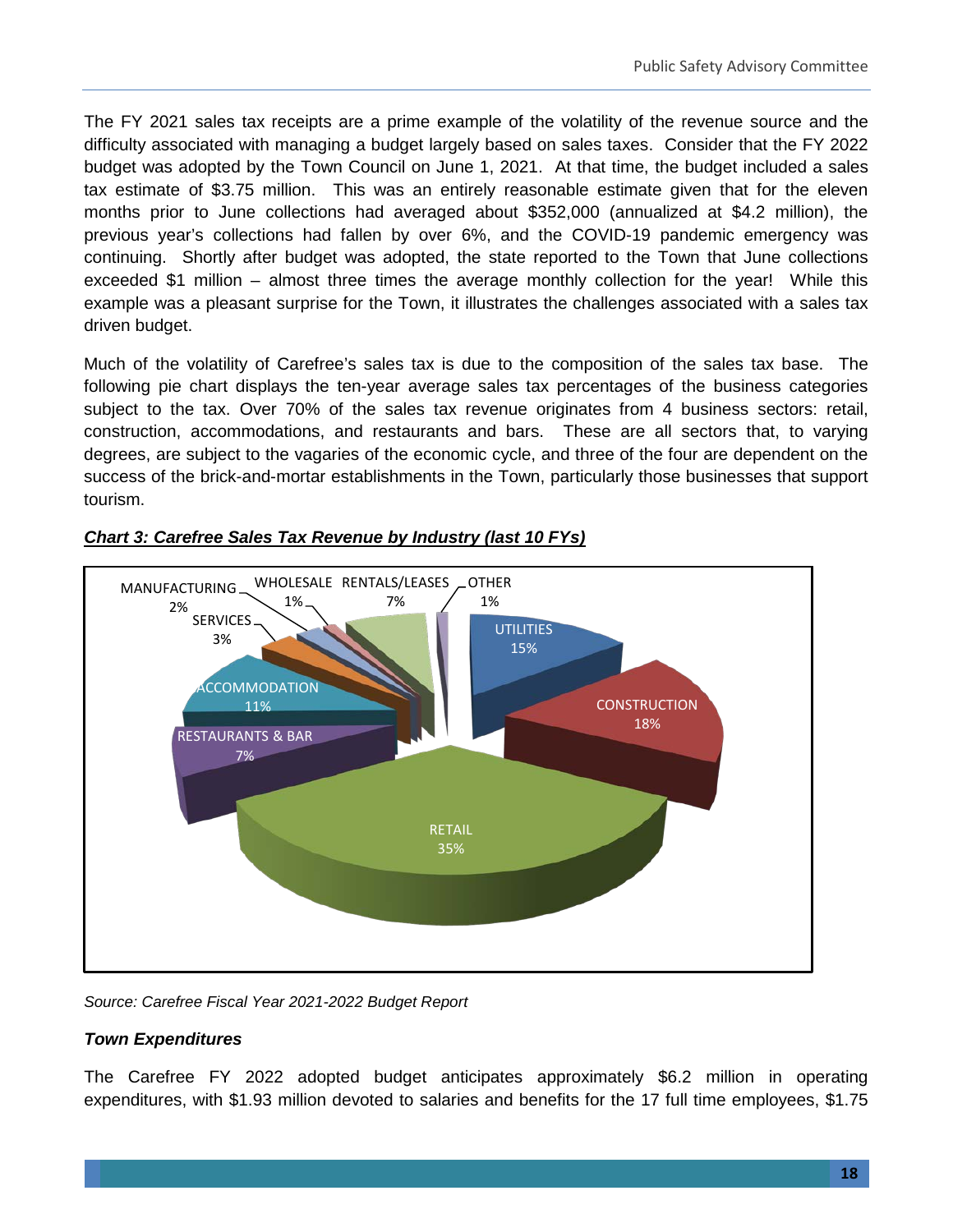The FY 2021 sales tax receipts are a prime example of the volatility of the revenue source and the difficulty associated with managing a budget largely based on sales taxes. Consider that the FY 2022 budget was adopted by the Town Council on June 1, 2021. At that time, the budget included a sales tax estimate of \$3.75 million. This was an entirely reasonable estimate given that for the eleven months prior to June collections had averaged about \$352,000 (annualized at \$4.2 million), the previous year's collections had fallen by over 6%, and the COVID-19 pandemic emergency was continuing. Shortly after budget was adopted, the state reported to the Town that June collections exceeded \$1 million – almost three times the average monthly collection for the year! While this example was a pleasant surprise for the Town, it illustrates the challenges associated with a sales tax driven budget.

Much of the volatility of Carefree's sales tax is due to the composition of the sales tax base. The following pie chart displays the ten-year average sales tax percentages of the business categories subject to the tax. Over 70% of the sales tax revenue originates from 4 business sectors: retail, construction, accommodations, and restaurants and bars. These are all sectors that, to varying degrees, are subject to the vagaries of the economic cycle, and three of the four are dependent on the success of the brick-and-mortar establishments in the Town, particularly those businesses that support tourism.



#### *Chart 3: Carefree Sales Tax Revenue by Industry (last 10 FYs)*

*Source: Carefree Fiscal Year 2021-2022 Budget Report* 

#### *Town Expenditures*

The Carefree FY 2022 adopted budget anticipates approximately \$6.2 million in operating expenditures, with \$1.93 million devoted to salaries and benefits for the 17 full time employees, \$1.75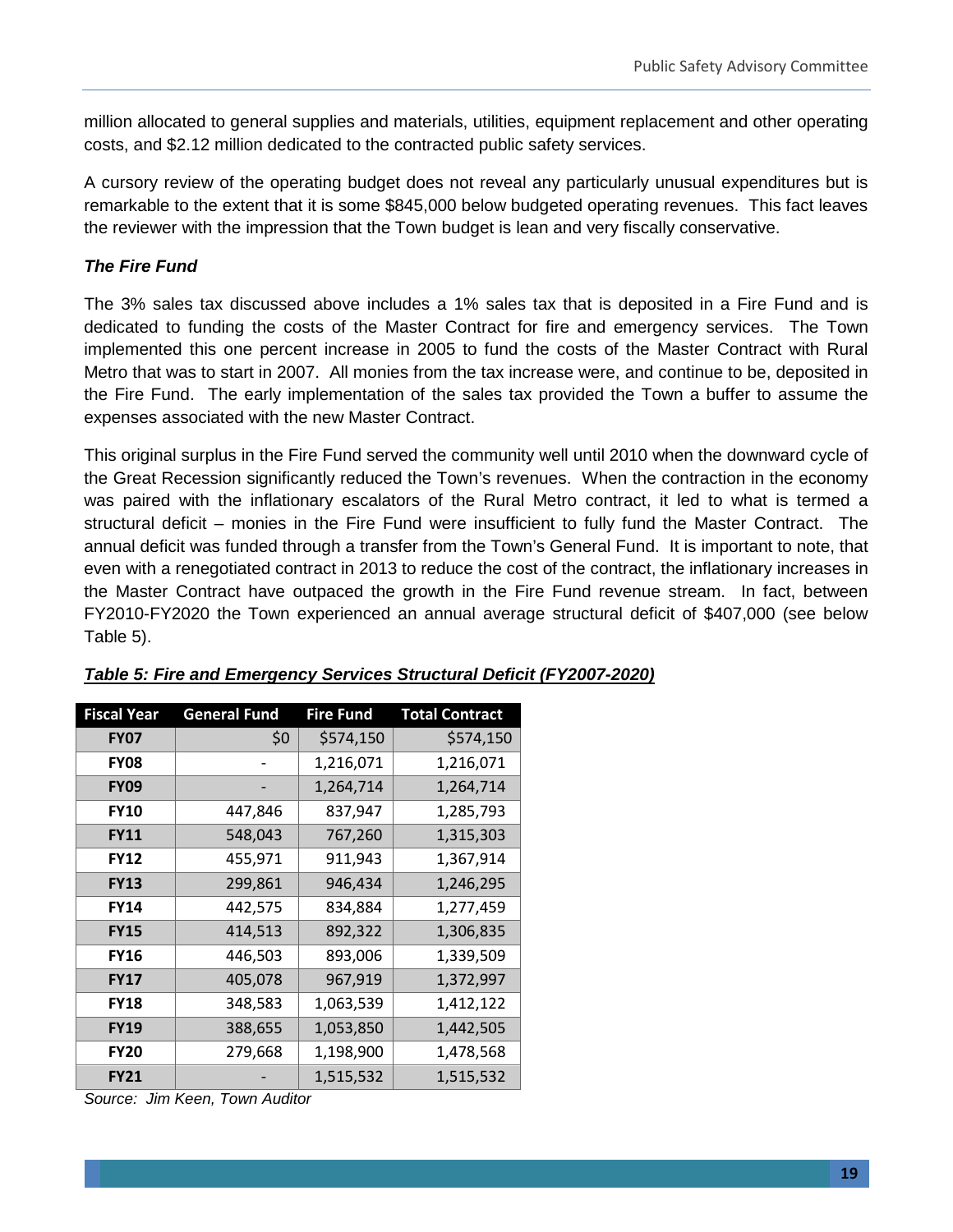million allocated to general supplies and materials, utilities, equipment replacement and other operating costs, and \$2.12 million dedicated to the contracted public safety services.

A cursory review of the operating budget does not reveal any particularly unusual expenditures but is remarkable to the extent that it is some \$845,000 below budgeted operating revenues. This fact leaves the reviewer with the impression that the Town budget is lean and very fiscally conservative.

#### *The Fire Fund*

The 3% sales tax discussed above includes a 1% sales tax that is deposited in a Fire Fund and is dedicated to funding the costs of the Master Contract for fire and emergency services. The Town implemented this one percent increase in 2005 to fund the costs of the Master Contract with Rural Metro that was to start in 2007. All monies from the tax increase were, and continue to be, deposited in the Fire Fund. The early implementation of the sales tax provided the Town a buffer to assume the expenses associated with the new Master Contract.

This original surplus in the Fire Fund served the community well until 2010 when the downward cycle of the Great Recession significantly reduced the Town's revenues. When the contraction in the economy was paired with the inflationary escalators of the Rural Metro contract, it led to what is termed a structural deficit – monies in the Fire Fund were insufficient to fully fund the Master Contract. The annual deficit was funded through a transfer from the Town's General Fund. It is important to note, that even with a renegotiated contract in 2013 to reduce the cost of the contract, the inflationary increases in the Master Contract have outpaced the growth in the Fire Fund revenue stream. In fact, between FY2010-FY2020 the Town experienced an annual average structural deficit of \$407,000 (see below Table 5).

| <b>Fiscal Year</b> | <b>General Fund</b> | <b>Fire Fund</b> | <b>Total Contract</b> |  |  |  |
|--------------------|---------------------|------------------|-----------------------|--|--|--|
| <b>FY07</b>        | \$0                 | \$574,150        | \$574,150             |  |  |  |
| <b>FY08</b>        |                     | 1,216,071        | 1,216,071             |  |  |  |
| <b>FY09</b>        |                     | 1,264,714        | 1,264,714             |  |  |  |
| <b>FY10</b>        | 447,846             | 837,947          | 1,285,793             |  |  |  |
| <b>FY11</b>        | 548,043             | 767,260          | 1,315,303             |  |  |  |
| <b>FY12</b>        | 455,971             | 911,943          | 1,367,914             |  |  |  |
| <b>FY13</b>        | 299,861             | 946,434          | 1,246,295             |  |  |  |
| <b>FY14</b>        | 442,575             | 834,884          | 1,277,459             |  |  |  |
| <b>FY15</b>        | 414,513             | 892,322          | 1,306,835             |  |  |  |
| <b>FY16</b>        | 446,503             | 893,006          | 1,339,509             |  |  |  |
| <b>FY17</b>        | 405,078             | 967,919          | 1,372,997             |  |  |  |
| <b>FY18</b>        | 348,583             | 1,063,539        | 1,412,122             |  |  |  |
| <b>FY19</b>        | 388,655             | 1,053,850        | 1,442,505             |  |  |  |
| <b>FY20</b>        | 279,668             | 1,198,900        | 1,478,568             |  |  |  |
| <b>FY21</b>        |                     | 1,515,532        | 1,515,532             |  |  |  |

#### *Table 5: Fire and Emergency Services Structural Deficit (FY2007-2020)*

*Source: Jim Keen, Town Auditor*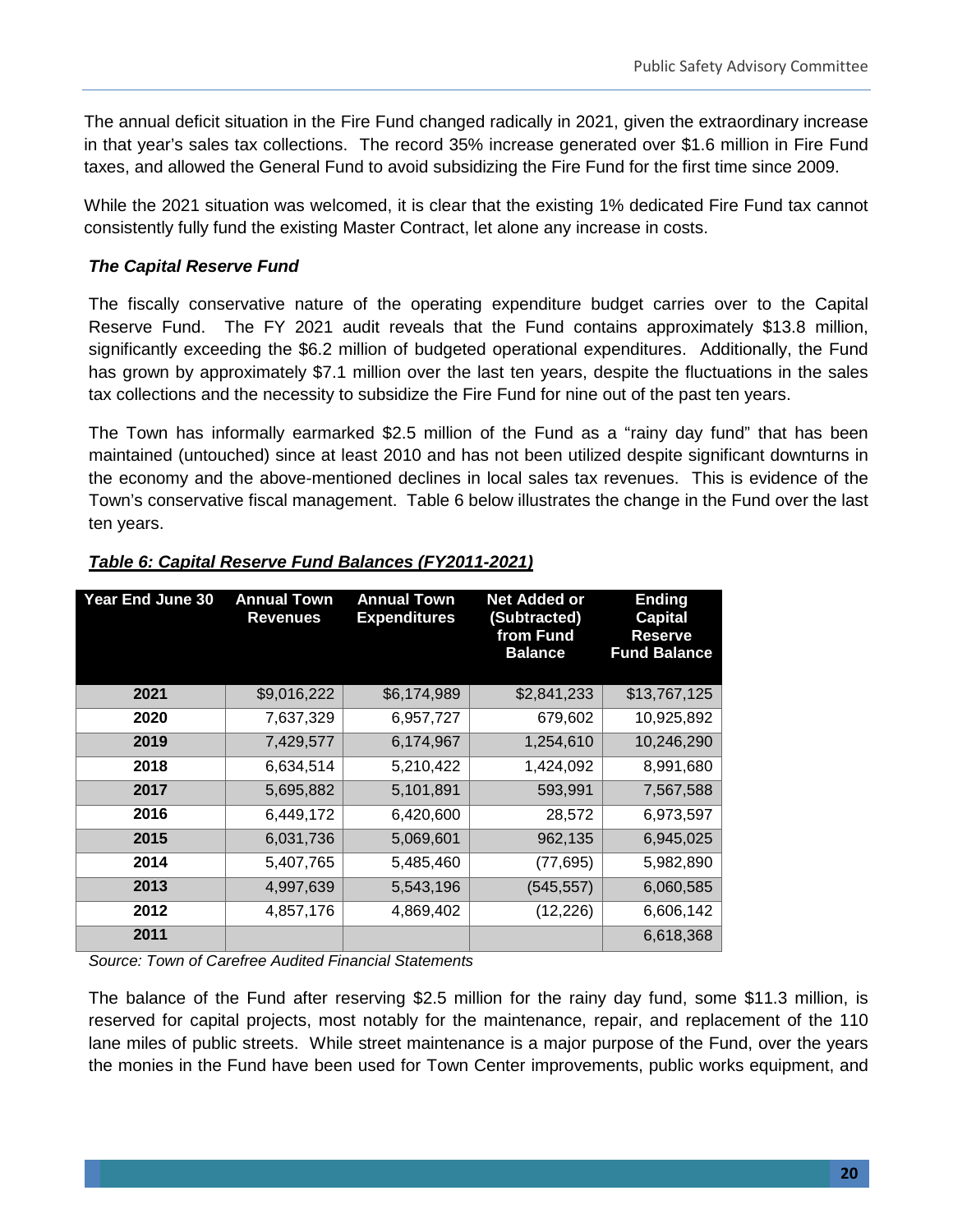The annual deficit situation in the Fire Fund changed radically in 2021, given the extraordinary increase in that year's sales tax collections. The record 35% increase generated over \$1.6 million in Fire Fund taxes, and allowed the General Fund to avoid subsidizing the Fire Fund for the first time since 2009.

While the 2021 situation was welcomed, it is clear that the existing 1% dedicated Fire Fund tax cannot consistently fully fund the existing Master Contract, let alone any increase in costs.

#### *The Capital Reserve Fund*

The fiscally conservative nature of the operating expenditure budget carries over to the Capital Reserve Fund. The FY 2021 audit reveals that the Fund contains approximately \$13.8 million, significantly exceeding the \$6.2 million of budgeted operational expenditures. Additionally, the Fund has grown by approximately \$7.1 million over the last ten years, despite the fluctuations in the sales tax collections and the necessity to subsidize the Fire Fund for nine out of the past ten years.

The Town has informally earmarked \$2.5 million of the Fund as a "rainy day fund" that has been maintained (untouched) since at least 2010 and has not been utilized despite significant downturns in the economy and the above-mentioned declines in local sales tax revenues. This is evidence of the Town's conservative fiscal management. Table 6 below illustrates the change in the Fund over the last ten years.

| Year End June 30 | <b>Annual Town</b><br><b>Revenues</b> | Annual Town<br><b>Expenditures</b> | <b>Net Added or</b><br>(Subtracted)<br>from Fund<br><b>Balance</b> | <b>Ending</b><br><b>Capital</b><br><b>Reserve</b><br><b>Fund Balance</b> |
|------------------|---------------------------------------|------------------------------------|--------------------------------------------------------------------|--------------------------------------------------------------------------|
| 2021             | \$9,016,222                           | \$6,174,989                        | \$2,841,233                                                        | \$13,767,125                                                             |
| 2020             | 7,637,329                             | 6,957,727                          | 679,602                                                            | 10,925,892                                                               |
| 2019             | 7,429,577                             | 6,174,967                          | 1,254,610                                                          | 10,246,290                                                               |
| 2018             | 6,634,514                             | 5,210,422                          | 1,424,092                                                          | 8,991,680                                                                |
| 2017             | 5,695,882                             | 5,101,891                          | 593,991                                                            | 7,567,588                                                                |
| 2016             | 6,449,172                             | 6,420,600                          | 28,572                                                             | 6,973,597                                                                |
| 2015             | 6,031,736                             | 5,069,601                          | 962,135                                                            | 6,945,025                                                                |
| 2014             | 5,407,765                             | 5,485,460                          | (77, 695)                                                          | 5,982,890                                                                |
| 2013             | 4,997,639                             | 5,543,196                          | (545, 557)                                                         | 6,060,585                                                                |
| 2012             | 4,857,176                             | 4,869,402                          | (12, 226)                                                          | 6,606,142                                                                |
| 2011             |                                       |                                    |                                                                    | 6,618,368                                                                |

#### *Table 6: Capital Reserve Fund Balances (FY2011-2021)*

*Source: Town of Carefree Audited Financial Statements*

The balance of the Fund after reserving \$2.5 million for the rainy day fund, some \$11.3 million, is reserved for capital projects, most notably for the maintenance, repair, and replacement of the 110 lane miles of public streets. While street maintenance is a major purpose of the Fund, over the years the monies in the Fund have been used for Town Center improvements, public works equipment, and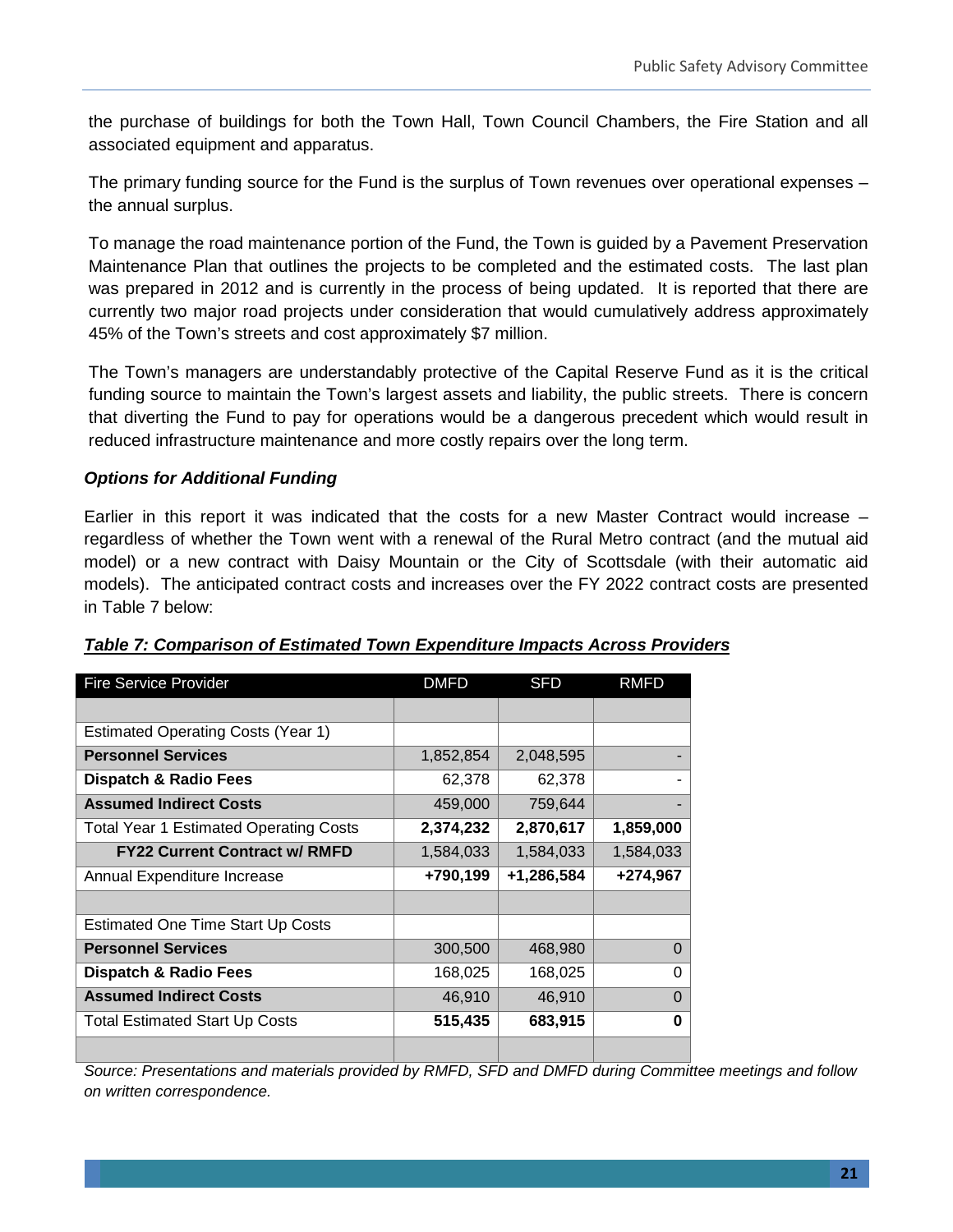the purchase of buildings for both the Town Hall, Town Council Chambers, the Fire Station and all associated equipment and apparatus.

The primary funding source for the Fund is the surplus of Town revenues over operational expenses – the annual surplus.

To manage the road maintenance portion of the Fund, the Town is guided by a Pavement Preservation Maintenance Plan that outlines the projects to be completed and the estimated costs. The last plan was prepared in 2012 and is currently in the process of being updated. It is reported that there are currently two major road projects under consideration that would cumulatively address approximately 45% of the Town's streets and cost approximately \$7 million.

The Town's managers are understandably protective of the Capital Reserve Fund as it is the critical funding source to maintain the Town's largest assets and liability, the public streets. There is concern that diverting the Fund to pay for operations would be a dangerous precedent which would result in reduced infrastructure maintenance and more costly repairs over the long term.

#### *Options for Additional Funding*

Earlier in this report it was indicated that the costs for a new Master Contract would increase – regardless of whether the Town went with a renewal of the Rural Metro contract (and the mutual aid model) or a new contract with Daisy Mountain or the City of Scottsdale (with their automatic aid models). The anticipated contract costs and increases over the FY 2022 contract costs are presented in Table 7 below:

| <b>Fire Service Provider</b>                  | <b>DMFD</b> | <b>SFD</b> | <b>RMFD</b> |
|-----------------------------------------------|-------------|------------|-------------|
|                                               |             |            |             |
| <b>Estimated Operating Costs (Year 1)</b>     |             |            |             |
| <b>Personnel Services</b>                     | 1,852,854   | 2,048,595  |             |
| <b>Dispatch &amp; Radio Fees</b>              | 62,378      | 62,378     |             |
| <b>Assumed Indirect Costs</b>                 | 459,000     | 759,644    |             |
| <b>Total Year 1 Estimated Operating Costs</b> | 2,374,232   | 2,870,617  | 1,859,000   |
| <b>FY22 Current Contract w/ RMFD</b>          | 1,584,033   | 1,584,033  | 1,584,033   |
| Annual Expenditure Increase                   | +790,199    | +1,286,584 | +274,967    |
|                                               |             |            |             |
| <b>Estimated One Time Start Up Costs</b>      |             |            |             |
| <b>Personnel Services</b>                     | 300,500     | 468,980    | $\Omega$    |
| <b>Dispatch &amp; Radio Fees</b>              | 168,025     | 168,025    | 0           |
| <b>Assumed Indirect Costs</b>                 | 46,910      | 46,910     | 0           |
| <b>Total Estimated Start Up Costs</b>         | 515,435     | 683,915    | ŋ           |
|                                               |             |            |             |

#### *Table 7: Comparison of Estimated Town Expenditure Impacts Across Providers*

*Source: Presentations and materials provided by RMFD, SFD and DMFD during Committee meetings and follow on written correspondence.*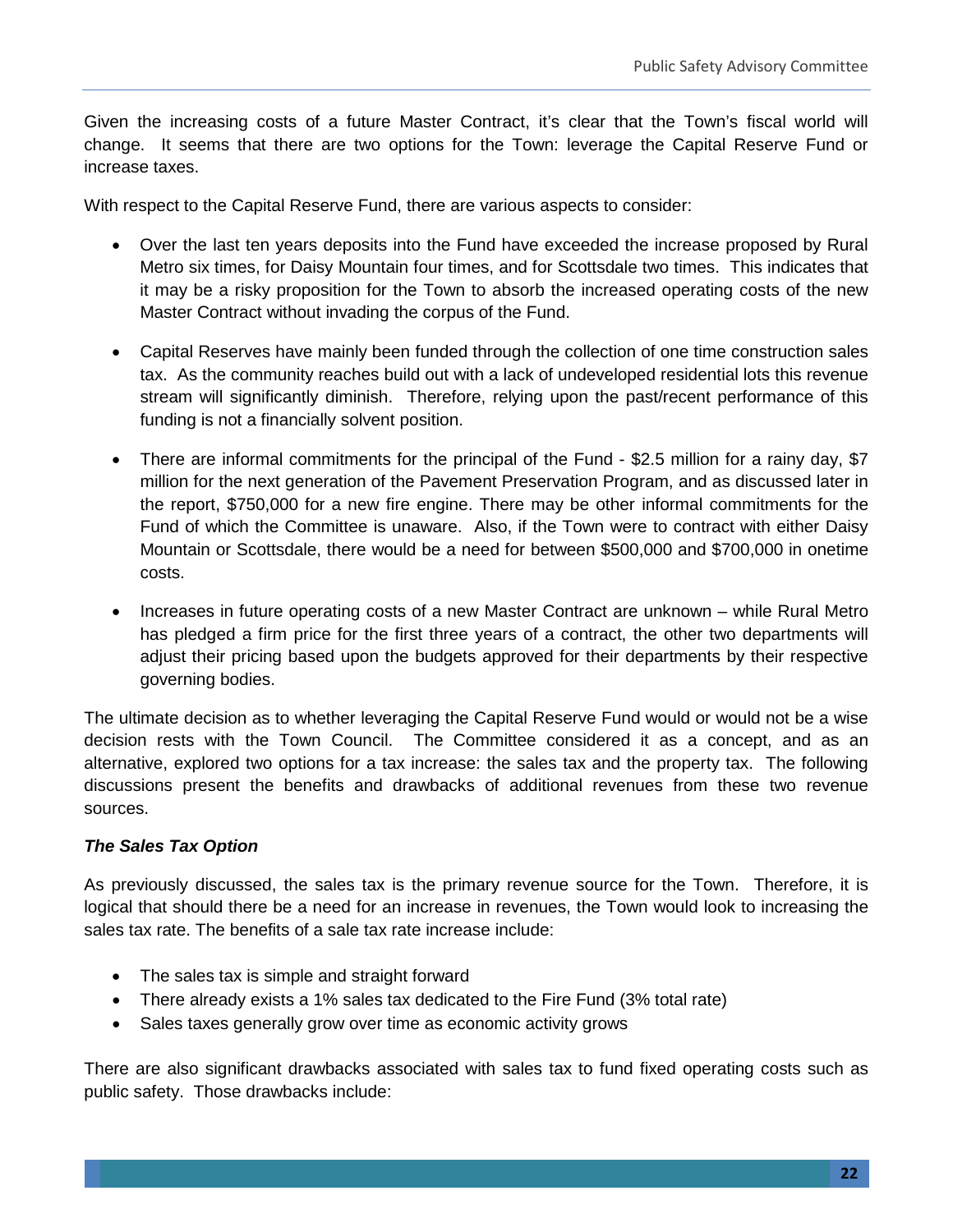Given the increasing costs of a future Master Contract, it's clear that the Town's fiscal world will change. It seems that there are two options for the Town: leverage the Capital Reserve Fund or increase taxes.

With respect to the Capital Reserve Fund, there are various aspects to consider:

- Over the last ten years deposits into the Fund have exceeded the increase proposed by Rural Metro six times, for Daisy Mountain four times, and for Scottsdale two times. This indicates that it may be a risky proposition for the Town to absorb the increased operating costs of the new Master Contract without invading the corpus of the Fund.
- Capital Reserves have mainly been funded through the collection of one time construction sales tax. As the community reaches build out with a lack of undeveloped residential lots this revenue stream will significantly diminish. Therefore, relying upon the past/recent performance of this funding is not a financially solvent position.
- There are informal commitments for the principal of the Fund \$2.5 million for a rainy day, \$7 million for the next generation of the Pavement Preservation Program, and as discussed later in the report, \$750,000 for a new fire engine. There may be other informal commitments for the Fund of which the Committee is unaware. Also, if the Town were to contract with either Daisy Mountain or Scottsdale, there would be a need for between \$500,000 and \$700,000 in onetime costs.
- Increases in future operating costs of a new Master Contract are unknown while Rural Metro has pledged a firm price for the first three years of a contract, the other two departments will adjust their pricing based upon the budgets approved for their departments by their respective governing bodies.

The ultimate decision as to whether leveraging the Capital Reserve Fund would or would not be a wise decision rests with the Town Council. The Committee considered it as a concept, and as an alternative, explored two options for a tax increase: the sales tax and the property tax. The following discussions present the benefits and drawbacks of additional revenues from these two revenue sources.

#### *The Sales Tax Option*

As previously discussed, the sales tax is the primary revenue source for the Town. Therefore, it is logical that should there be a need for an increase in revenues, the Town would look to increasing the sales tax rate. The benefits of a sale tax rate increase include:

- The sales tax is simple and straight forward
- There already exists a 1% sales tax dedicated to the Fire Fund (3% total rate)
- Sales taxes generally grow over time as economic activity grows

There are also significant drawbacks associated with sales tax to fund fixed operating costs such as public safety. Those drawbacks include: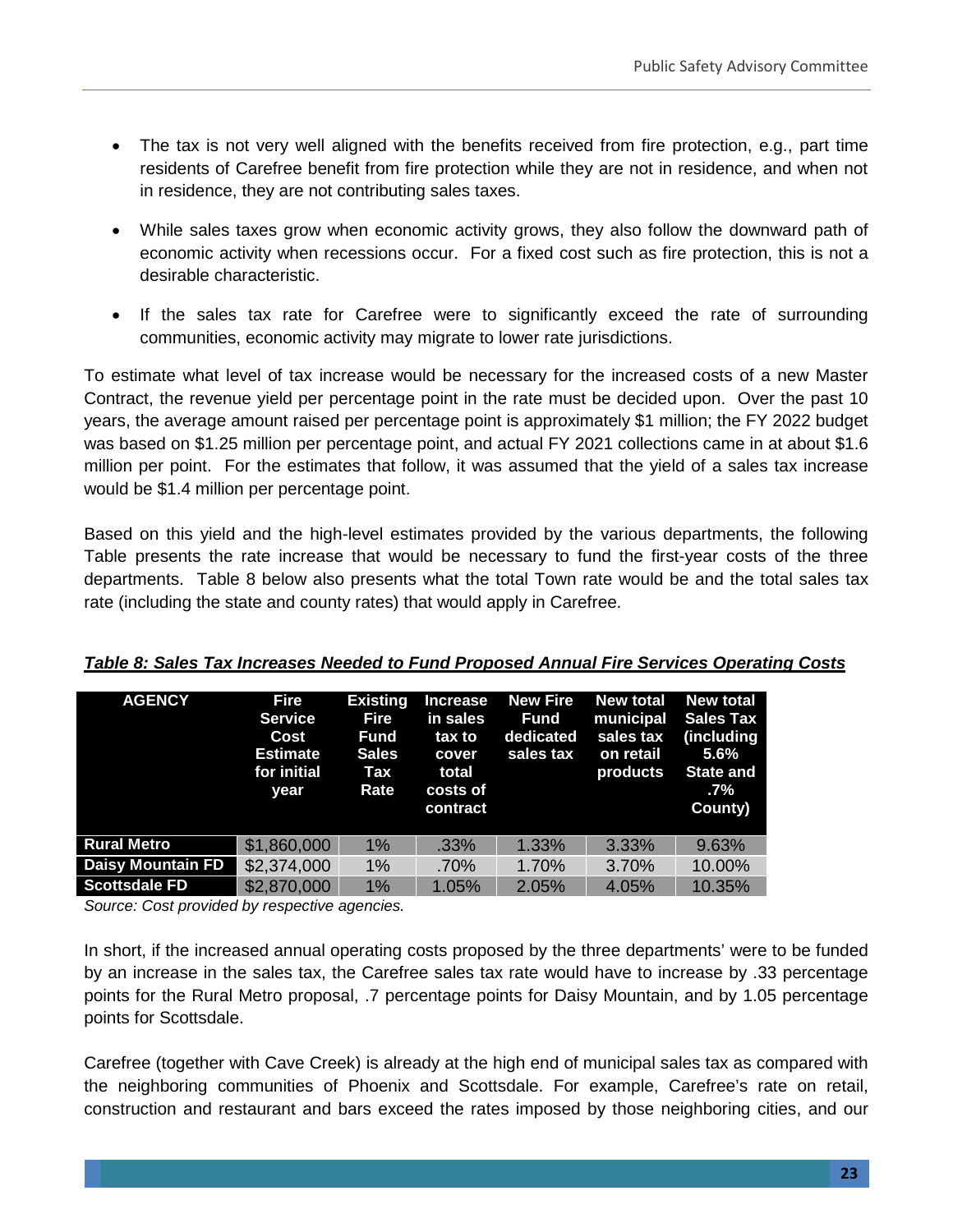- The tax is not very well aligned with the benefits received from fire protection, e.g., part time residents of Carefree benefit from fire protection while they are not in residence, and when not in residence, they are not contributing sales taxes.
- While sales taxes grow when economic activity grows, they also follow the downward path of economic activity when recessions occur. For a fixed cost such as fire protection, this is not a desirable characteristic.
- If the sales tax rate for Carefree were to significantly exceed the rate of surrounding communities, economic activity may migrate to lower rate jurisdictions.

To estimate what level of tax increase would be necessary for the increased costs of a new Master Contract, the revenue yield per percentage point in the rate must be decided upon. Over the past 10 years, the average amount raised per percentage point is approximately \$1 million; the FY 2022 budget was based on \$1.25 million per percentage point, and actual FY 2021 collections came in at about \$1.6 million per point. For the estimates that follow, it was assumed that the yield of a sales tax increase would be \$1.4 million per percentage point.

Based on this yield and the high-level estimates provided by the various departments, the following Table presents the rate increase that would be necessary to fund the first-year costs of the three departments. Table 8 below also presents what the total Town rate would be and the total sales tax rate (including the state and county rates) that would apply in Carefree.

| <b>AGENCY</b>            | <b>Fire</b><br><b>Service</b><br>Cost<br><b>Estimate</b><br>for initial<br>year | <b>Existing</b><br>Fire<br>Fund<br><b>Sales</b><br>Tax<br>Rate | Increase<br>in sales<br>tax to<br>cover<br>total<br>costs of<br>contract | <b>New Fire</b><br><b>Fund</b><br>dedicated<br>sales tax | <b>New total</b><br>municipal<br>sales tax<br>on retail<br>products | <b>New total</b><br><b>Sales Tax</b><br>(including<br>$5.6\%$<br><b>State and</b><br>$.7\%$<br>County) |
|--------------------------|---------------------------------------------------------------------------------|----------------------------------------------------------------|--------------------------------------------------------------------------|----------------------------------------------------------|---------------------------------------------------------------------|--------------------------------------------------------------------------------------------------------|
| <b>Rural Metro</b>       | \$1,860,000                                                                     | 1%                                                             | .33%                                                                     | 1.33%                                                    | 3.33%                                                               | 9.63%                                                                                                  |
| <b>Daisy Mountain FD</b> | \$2,374,000                                                                     | 1%                                                             | .70%                                                                     | 1.70%                                                    | 3.70%                                                               | 10.00%                                                                                                 |
| <b>Scottsdale FD</b>     | \$2,870,000                                                                     | $1\%$                                                          | 1.05%                                                                    | 2.05%                                                    | 4.05%                                                               | 10.35%                                                                                                 |

#### *Table 8: Sales Tax Increases Needed to Fund Proposed Annual Fire Services Operating Costs*

*Source: Cost provided by respective agencies.*

In short, if the increased annual operating costs proposed by the three departments' were to be funded by an increase in the sales tax, the Carefree sales tax rate would have to increase by .33 percentage points for the Rural Metro proposal, .7 percentage points for Daisy Mountain, and by 1.05 percentage points for Scottsdale.

Carefree (together with Cave Creek) is already at the high end of municipal sales tax as compared with the neighboring communities of Phoenix and Scottsdale. For example, Carefree's rate on retail, construction and restaurant and bars exceed the rates imposed by those neighboring cities, and our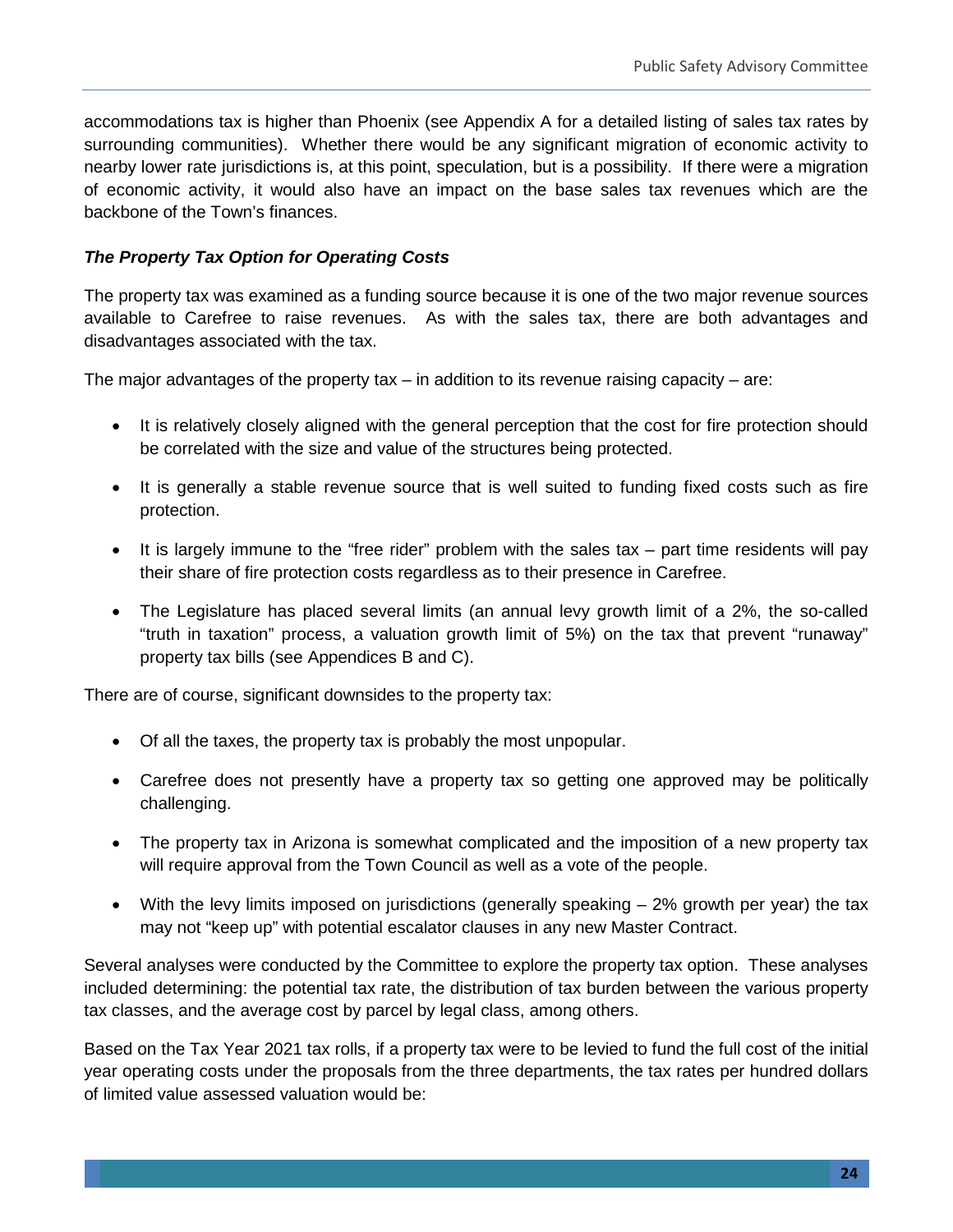accommodations tax is higher than Phoenix (see Appendix A for a detailed listing of sales tax rates by surrounding communities). Whether there would be any significant migration of economic activity to nearby lower rate jurisdictions is, at this point, speculation, but is a possibility. If there were a migration of economic activity, it would also have an impact on the base sales tax revenues which are the backbone of the Town's finances.

#### *The Property Tax Option for Operating Costs*

The property tax was examined as a funding source because it is one of the two major revenue sources available to Carefree to raise revenues. As with the sales tax, there are both advantages and disadvantages associated with the tax.

The major advantages of the property tax  $-$  in addition to its revenue raising capacity  $-$  are:

- It is relatively closely aligned with the general perception that the cost for fire protection should be correlated with the size and value of the structures being protected.
- It is generally a stable revenue source that is well suited to funding fixed costs such as fire protection.
- It is largely immune to the "free rider" problem with the sales tax part time residents will pay their share of fire protection costs regardless as to their presence in Carefree.
- The Legislature has placed several limits (an annual levy growth limit of a 2%, the so-called "truth in taxation" process, a valuation growth limit of 5%) on the tax that prevent "runaway" property tax bills (see Appendices B and C).

There are of course, significant downsides to the property tax:

- Of all the taxes, the property tax is probably the most unpopular.
- Carefree does not presently have a property tax so getting one approved may be politically challenging.
- The property tax in Arizona is somewhat complicated and the imposition of a new property tax will require approval from the Town Council as well as a vote of the people.
- With the levy limits imposed on jurisdictions (generally speaking 2% growth per year) the tax may not "keep up" with potential escalator clauses in any new Master Contract.

Several analyses were conducted by the Committee to explore the property tax option. These analyses included determining: the potential tax rate, the distribution of tax burden between the various property tax classes, and the average cost by parcel by legal class, among others.

Based on the Tax Year 2021 tax rolls, if a property tax were to be levied to fund the full cost of the initial year operating costs under the proposals from the three departments, the tax rates per hundred dollars of limited value assessed valuation would be: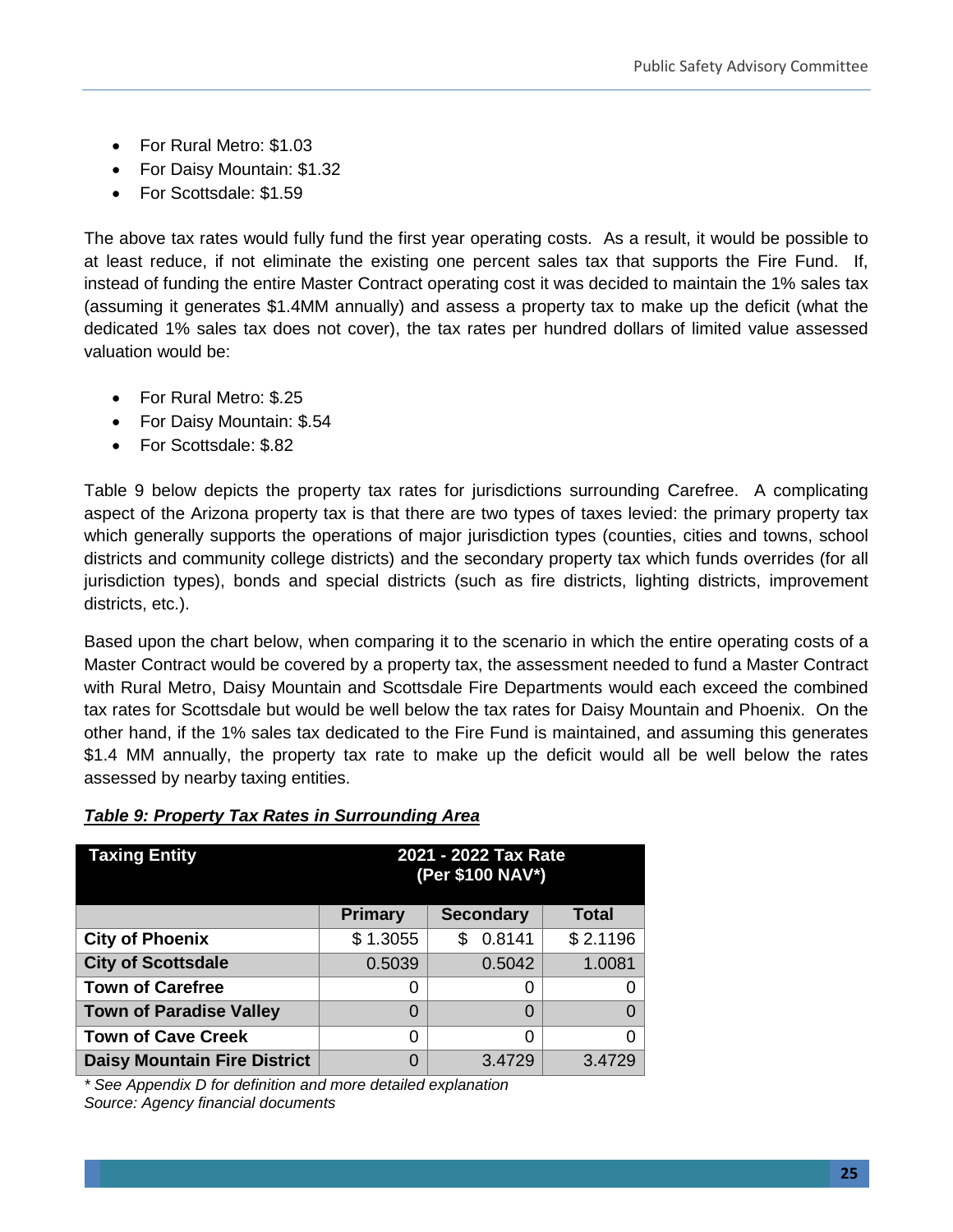- For Rural Metro: \$1.03
- For Daisy Mountain: \$1.32
- For Scottsdale: \$1.59

The above tax rates would fully fund the first year operating costs. As a result, it would be possible to at least reduce, if not eliminate the existing one percent sales tax that supports the Fire Fund. If, instead of funding the entire Master Contract operating cost it was decided to maintain the 1% sales tax (assuming it generates \$1.4MM annually) and assess a property tax to make up the deficit (what the dedicated 1% sales tax does not cover), the tax rates per hundred dollars of limited value assessed valuation would be:

- For Rural Metro: \$.25
- For Daisy Mountain: \$.54
- For Scottsdale: \$.82

Table 9 below depicts the property tax rates for jurisdictions surrounding Carefree. A complicating aspect of the Arizona property tax is that there are two types of taxes levied: the primary property tax which generally supports the operations of major jurisdiction types (counties, cities and towns, school districts and community college districts) and the secondary property tax which funds overrides (for all jurisdiction types), bonds and special districts (such as fire districts, lighting districts, improvement districts, etc.).

Based upon the chart below, when comparing it to the scenario in which the entire operating costs of a Master Contract would be covered by a property tax, the assessment needed to fund a Master Contract with Rural Metro, Daisy Mountain and Scottsdale Fire Departments would each exceed the combined tax rates for Scottsdale but would be well below the tax rates for Daisy Mountain and Phoenix. On the other hand, if the 1% sales tax dedicated to the Fire Fund is maintained, and assuming this generates \$1.4 MM annually, the property tax rate to make up the deficit would all be well below the rates assessed by nearby taxing entities.

| <b>Taxing Entity</b>                | 2021 - 2022 Tax Rate<br>(Per \$100 NAV*)           |               |          |  |  |  |  |  |  |
|-------------------------------------|----------------------------------------------------|---------------|----------|--|--|--|--|--|--|
|                                     | <b>Primary</b><br><b>Secondary</b><br><b>Total</b> |               |          |  |  |  |  |  |  |
| <b>City of Phoenix</b>              | \$1.3055                                           | 0.8141<br>\$. | \$2.1196 |  |  |  |  |  |  |
| <b>City of Scottsdale</b>           | 0.5039                                             | 0.5042        | 1.0081   |  |  |  |  |  |  |
| <b>Town of Carefree</b>             | 0                                                  | O             |          |  |  |  |  |  |  |
| <b>Town of Paradise Valley</b>      | 0                                                  | O             | $\Omega$ |  |  |  |  |  |  |
| <b>Town of Cave Creek</b>           | 0                                                  | ∩             | O        |  |  |  |  |  |  |
| <b>Daisy Mountain Fire District</b> | 0                                                  | 3.4729        | 3.4729   |  |  |  |  |  |  |

#### *Table 9: Property Tax Rates in Surrounding Area*

*\* See Appendix D for definition and more detailed explanation Source: Agency financial documents*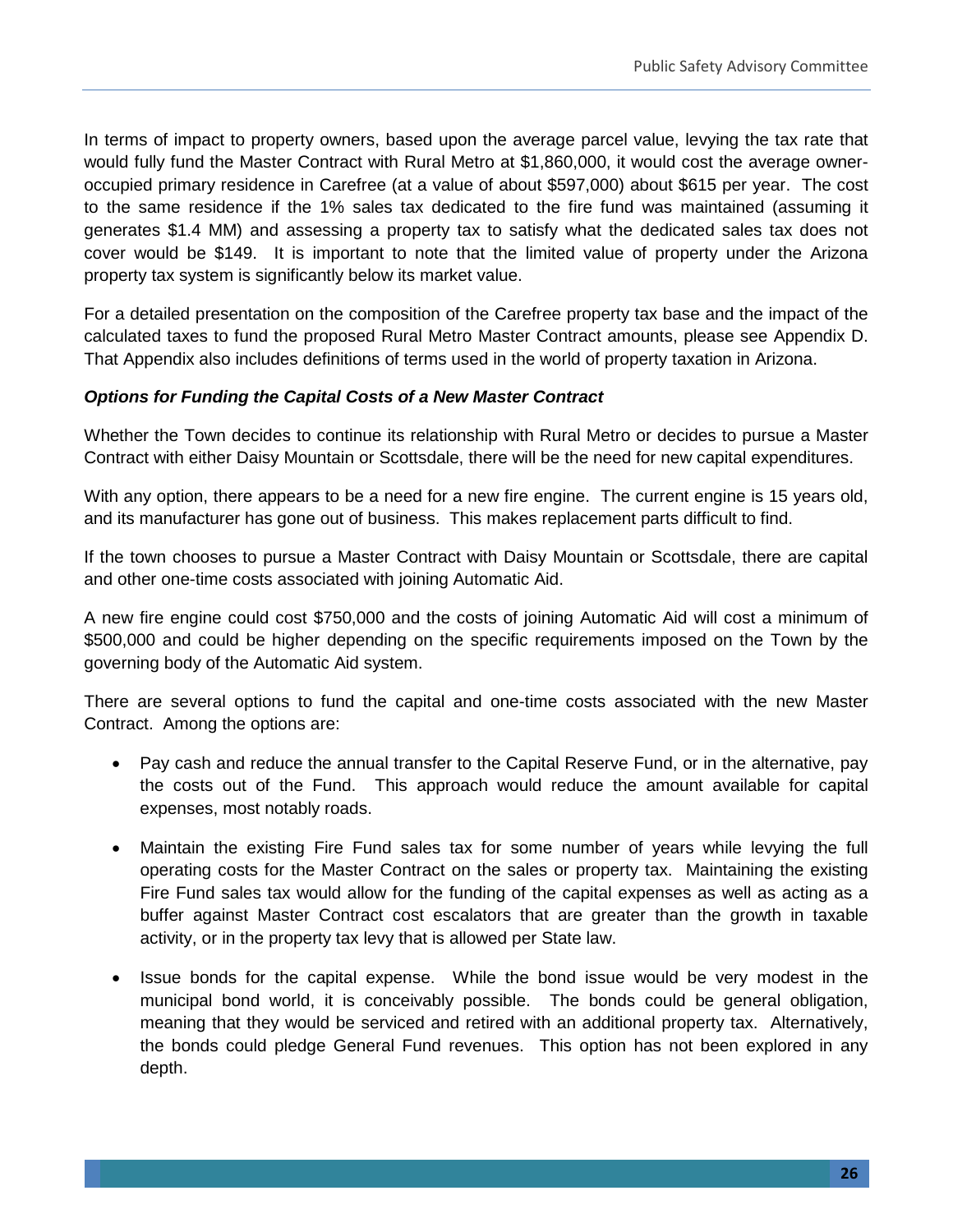In terms of impact to property owners, based upon the average parcel value, levying the tax rate that would fully fund the Master Contract with Rural Metro at \$1,860,000, it would cost the average owneroccupied primary residence in Carefree (at a value of about \$597,000) about \$615 per year. The cost to the same residence if the 1% sales tax dedicated to the fire fund was maintained (assuming it generates \$1.4 MM) and assessing a property tax to satisfy what the dedicated sales tax does not cover would be \$149. It is important to note that the limited value of property under the Arizona property tax system is significantly below its market value.

For a detailed presentation on the composition of the Carefree property tax base and the impact of the calculated taxes to fund the proposed Rural Metro Master Contract amounts, please see Appendix D. That Appendix also includes definitions of terms used in the world of property taxation in Arizona.

#### *Options for Funding the Capital Costs of a New Master Contract*

Whether the Town decides to continue its relationship with Rural Metro or decides to pursue a Master Contract with either Daisy Mountain or Scottsdale, there will be the need for new capital expenditures.

With any option, there appears to be a need for a new fire engine. The current engine is 15 years old, and its manufacturer has gone out of business. This makes replacement parts difficult to find.

If the town chooses to pursue a Master Contract with Daisy Mountain or Scottsdale, there are capital and other one-time costs associated with joining Automatic Aid.

A new fire engine could cost \$750,000 and the costs of joining Automatic Aid will cost a minimum of \$500,000 and could be higher depending on the specific requirements imposed on the Town by the governing body of the Automatic Aid system.

There are several options to fund the capital and one-time costs associated with the new Master Contract. Among the options are:

- Pay cash and reduce the annual transfer to the Capital Reserve Fund, or in the alternative, pay the costs out of the Fund. This approach would reduce the amount available for capital expenses, most notably roads.
- Maintain the existing Fire Fund sales tax for some number of years while levying the full operating costs for the Master Contract on the sales or property tax. Maintaining the existing Fire Fund sales tax would allow for the funding of the capital expenses as well as acting as a buffer against Master Contract cost escalators that are greater than the growth in taxable activity, or in the property tax levy that is allowed per State law.
- Issue bonds for the capital expense. While the bond issue would be very modest in the municipal bond world, it is conceivably possible. The bonds could be general obligation, meaning that they would be serviced and retired with an additional property tax. Alternatively, the bonds could pledge General Fund revenues. This option has not been explored in any depth.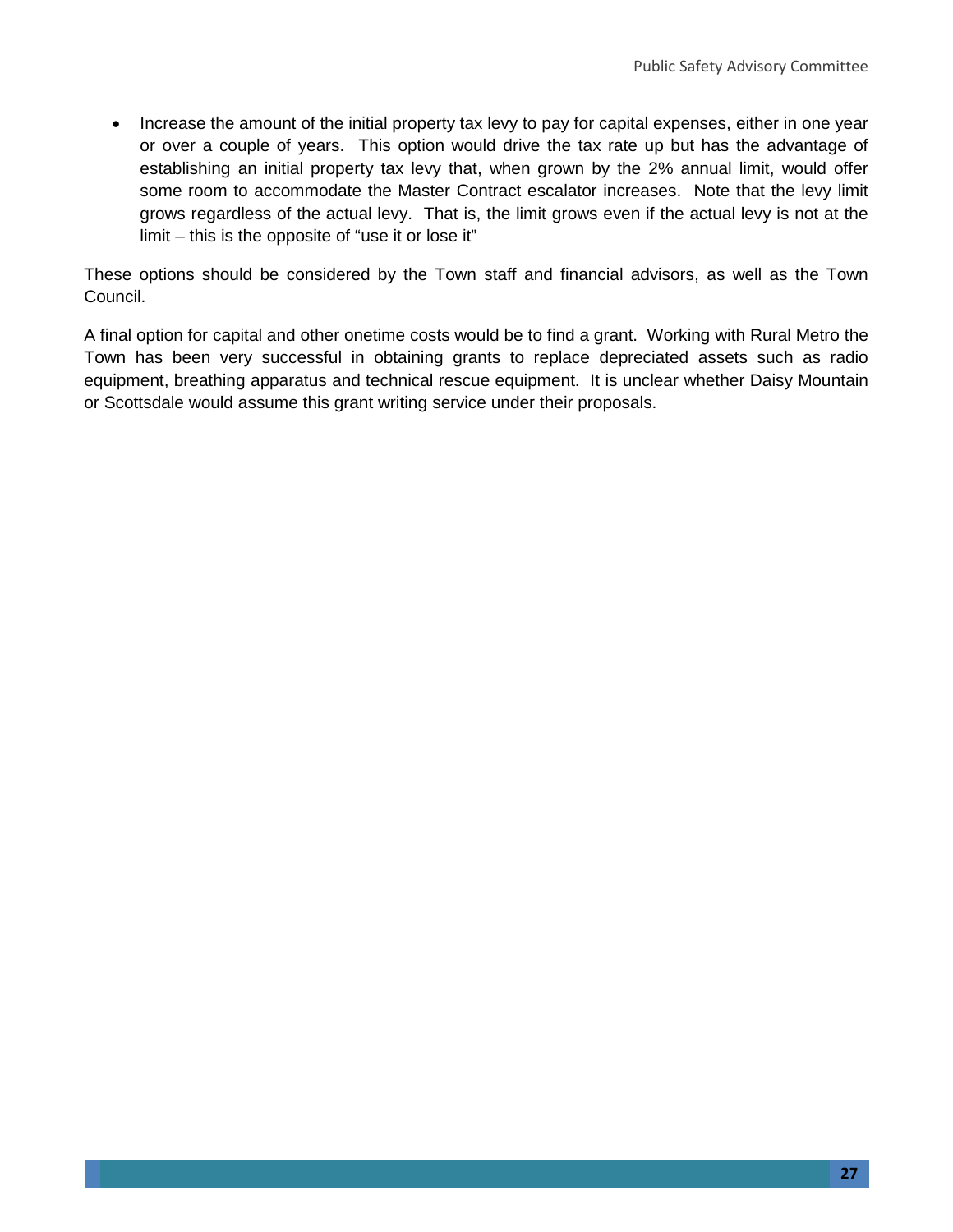• Increase the amount of the initial property tax levy to pay for capital expenses, either in one year or over a couple of years. This option would drive the tax rate up but has the advantage of establishing an initial property tax levy that, when grown by the 2% annual limit, would offer some room to accommodate the Master Contract escalator increases. Note that the levy limit grows regardless of the actual levy. That is, the limit grows even if the actual levy is not at the limit – this is the opposite of "use it or lose it"

These options should be considered by the Town staff and financial advisors, as well as the Town Council.

A final option for capital and other onetime costs would be to find a grant. Working with Rural Metro the Town has been very successful in obtaining grants to replace depreciated assets such as radio equipment, breathing apparatus and technical rescue equipment. It is unclear whether Daisy Mountain or Scottsdale would assume this grant writing service under their proposals.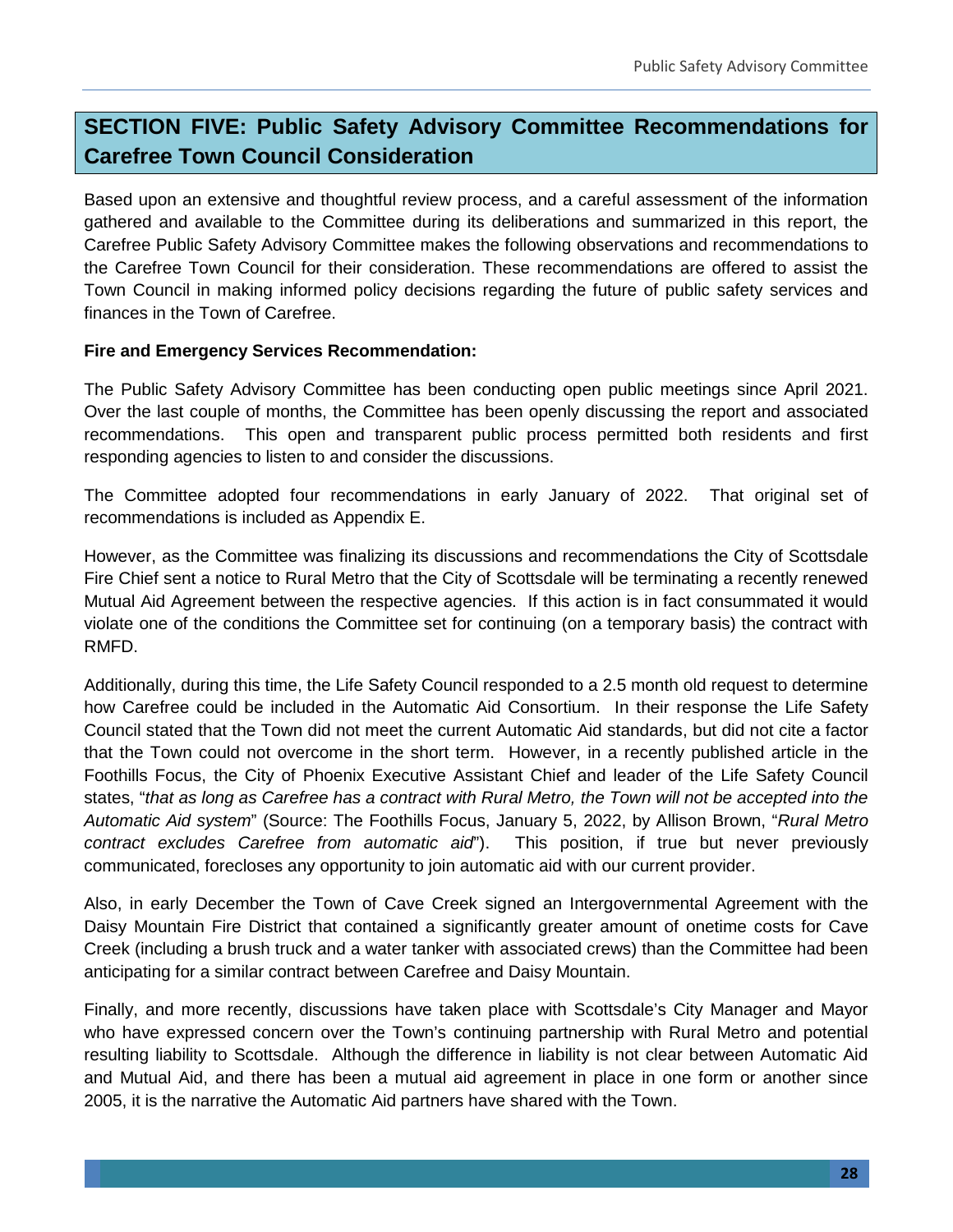# **SECTION FIVE: Public Safety Advisory Committee Recommendations for Carefree Town Council Consideration**

Based upon an extensive and thoughtful review process, and a careful assessment of the information gathered and available to the Committee during its deliberations and summarized in this report, the Carefree Public Safety Advisory Committee makes the following observations and recommendations to the Carefree Town Council for their consideration. These recommendations are offered to assist the Town Council in making informed policy decisions regarding the future of public safety services and finances in the Town of Carefree.

#### **Fire and Emergency Services Recommendation:**

The Public Safety Advisory Committee has been conducting open public meetings since April 2021. Over the last couple of months, the Committee has been openly discussing the report and associated recommendations. This open and transparent public process permitted both residents and first responding agencies to listen to and consider the discussions.

The Committee adopted four recommendations in early January of 2022. That original set of recommendations is included as Appendix E.

However, as the Committee was finalizing its discussions and recommendations the City of Scottsdale Fire Chief sent a notice to Rural Metro that the City of Scottsdale will be terminating a recently renewed Mutual Aid Agreement between the respective agencies. If this action is in fact consummated it would violate one of the conditions the Committee set for continuing (on a temporary basis) the contract with RMFD.

Additionally, during this time, the Life Safety Council responded to a 2.5 month old request to determine how Carefree could be included in the Automatic Aid Consortium. In their response the Life Safety Council stated that the Town did not meet the current Automatic Aid standards, but did not cite a factor that the Town could not overcome in the short term. However, in a recently published article in the Foothills Focus, the City of Phoenix Executive Assistant Chief and leader of the Life Safety Council states, "*that as long as Carefree has a contract with Rural Metro, the Town will not be accepted into the Automatic Aid system*" (Source: The Foothills Focus, January 5, 2022, by Allison Brown, "*Rural Metro contract excludes Carefree from automatic aid*"). This position, if true but never previously communicated, forecloses any opportunity to join automatic aid with our current provider.

Also, in early December the Town of Cave Creek signed an Intergovernmental Agreement with the Daisy Mountain Fire District that contained a significantly greater amount of onetime costs for Cave Creek (including a brush truck and a water tanker with associated crews) than the Committee had been anticipating for a similar contract between Carefree and Daisy Mountain.

Finally, and more recently, discussions have taken place with Scottsdale's City Manager and Mayor who have expressed concern over the Town's continuing partnership with Rural Metro and potential resulting liability to Scottsdale. Although the difference in liability is not clear between Automatic Aid and Mutual Aid, and there has been a mutual aid agreement in place in one form or another since 2005, it is the narrative the Automatic Aid partners have shared with the Town.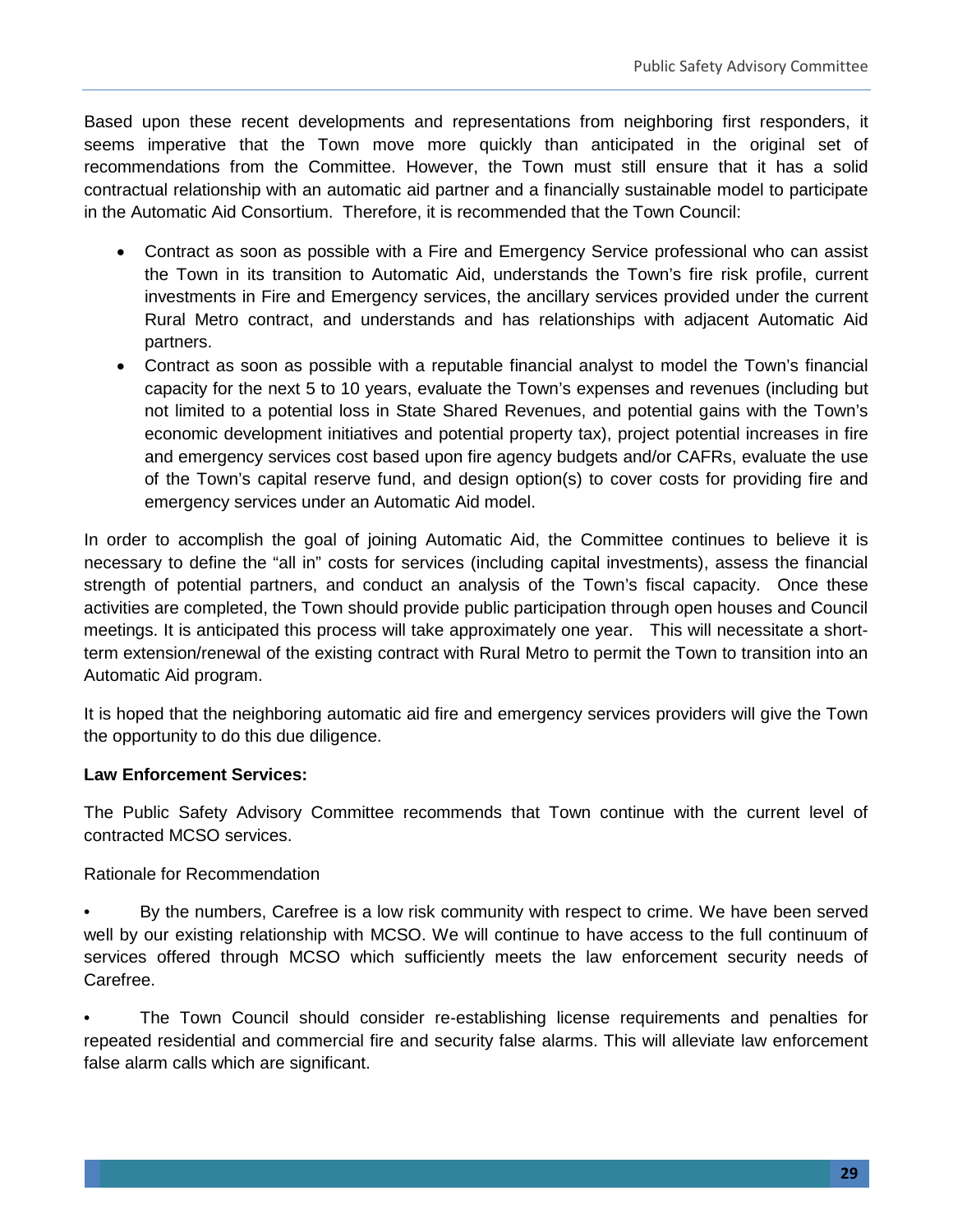Based upon these recent developments and representations from neighboring first responders, it seems imperative that the Town move more quickly than anticipated in the original set of recommendations from the Committee. However, the Town must still ensure that it has a solid contractual relationship with an automatic aid partner and a financially sustainable model to participate in the Automatic Aid Consortium. Therefore, it is recommended that the Town Council:

- Contract as soon as possible with a Fire and Emergency Service professional who can assist the Town in its transition to Automatic Aid, understands the Town's fire risk profile, current investments in Fire and Emergency services, the ancillary services provided under the current Rural Metro contract, and understands and has relationships with adjacent Automatic Aid partners.
- Contract as soon as possible with a reputable financial analyst to model the Town's financial capacity for the next 5 to 10 years, evaluate the Town's expenses and revenues (including but not limited to a potential loss in State Shared Revenues, and potential gains with the Town's economic development initiatives and potential property tax), project potential increases in fire and emergency services cost based upon fire agency budgets and/or CAFRs, evaluate the use of the Town's capital reserve fund, and design option(s) to cover costs for providing fire and emergency services under an Automatic Aid model.

In order to accomplish the goal of joining Automatic Aid, the Committee continues to believe it is necessary to define the "all in" costs for services (including capital investments), assess the financial strength of potential partners, and conduct an analysis of the Town's fiscal capacity. Once these activities are completed, the Town should provide public participation through open houses and Council meetings. It is anticipated this process will take approximately one year. This will necessitate a shortterm extension/renewal of the existing contract with Rural Metro to permit the Town to transition into an Automatic Aid program.

It is hoped that the neighboring automatic aid fire and emergency services providers will give the Town the opportunity to do this due diligence.

#### **Law Enforcement Services:**

The Public Safety Advisory Committee recommends that Town continue with the current level of contracted MCSO services.

#### Rationale for Recommendation

• By the numbers, Carefree is a low risk community with respect to crime. We have been served well by our existing relationship with MCSO. We will continue to have access to the full continuum of services offered through MCSO which sufficiently meets the law enforcement security needs of Carefree.

• The Town Council should consider re-establishing license requirements and penalties for repeated residential and commercial fire and security false alarms. This will alleviate law enforcement false alarm calls which are significant.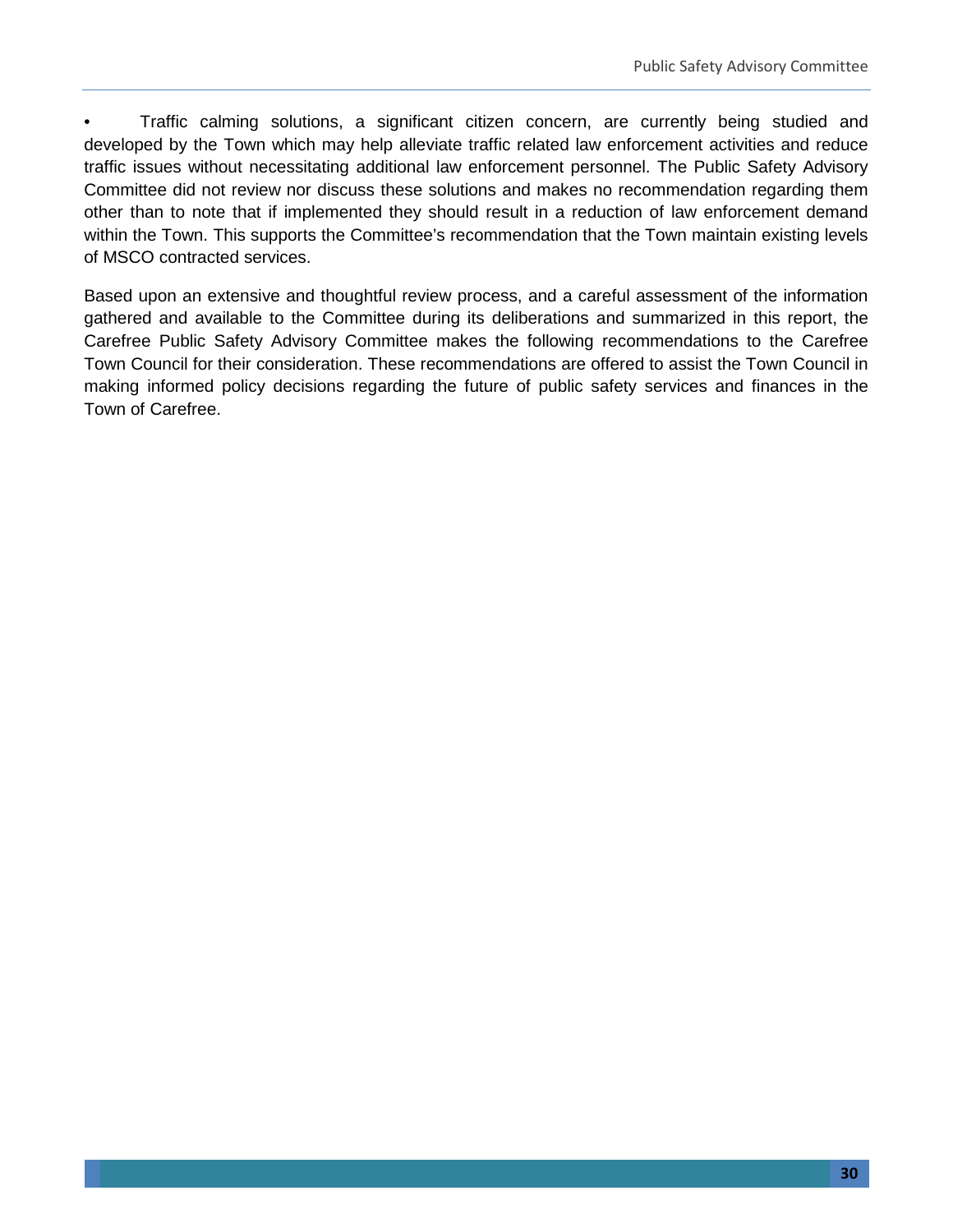• Traffic calming solutions, a significant citizen concern, are currently being studied and developed by the Town which may help alleviate traffic related law enforcement activities and reduce traffic issues without necessitating additional law enforcement personnel. The Public Safety Advisory Committee did not review nor discuss these solutions and makes no recommendation regarding them other than to note that if implemented they should result in a reduction of law enforcement demand within the Town. This supports the Committee's recommendation that the Town maintain existing levels of MSCO contracted services.

Based upon an extensive and thoughtful review process, and a careful assessment of the information gathered and available to the Committee during its deliberations and summarized in this report, the Carefree Public Safety Advisory Committee makes the following recommendations to the Carefree Town Council for their consideration. These recommendations are offered to assist the Town Council in making informed policy decisions regarding the future of public safety services and finances in the Town of Carefree.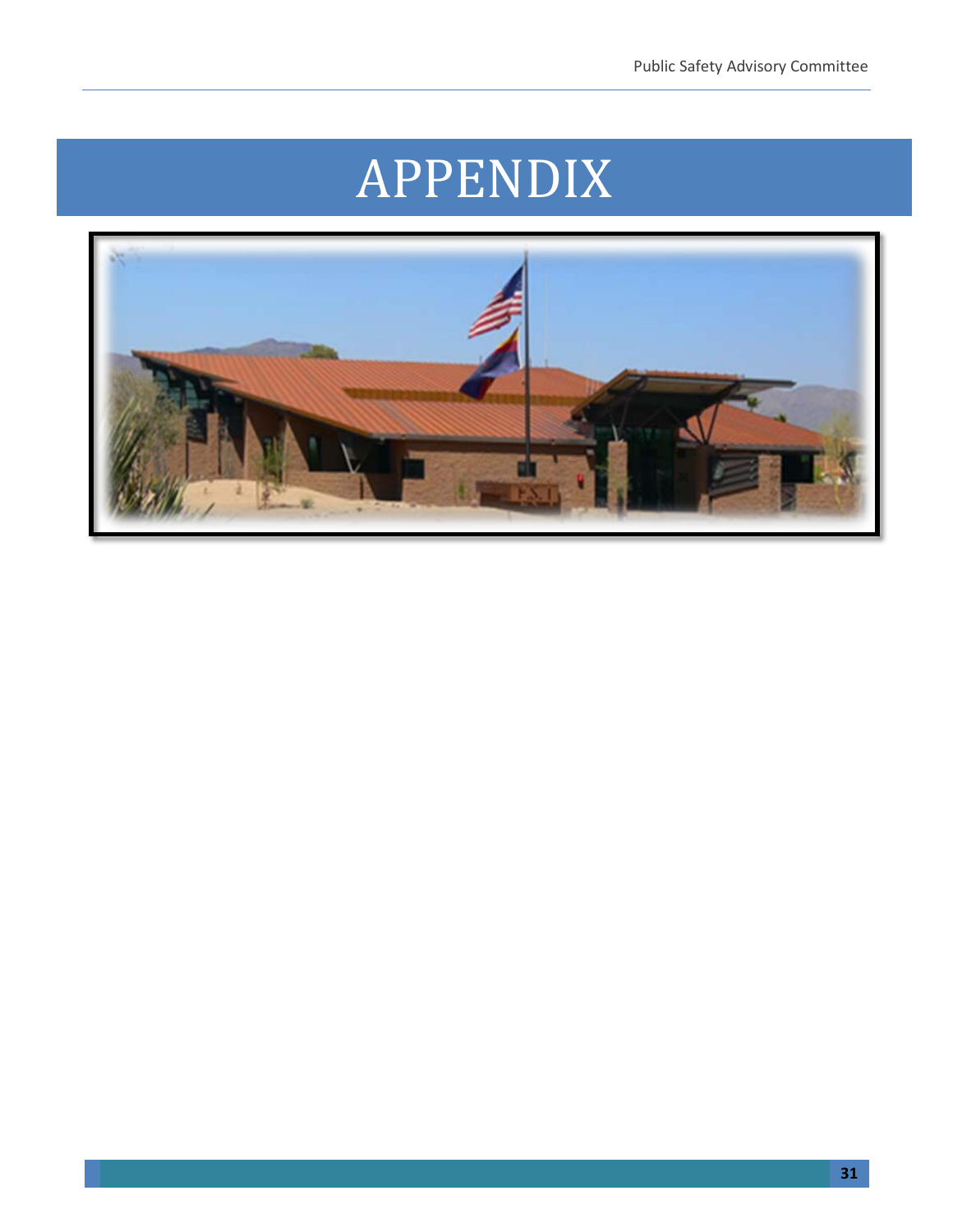# APPENDIX

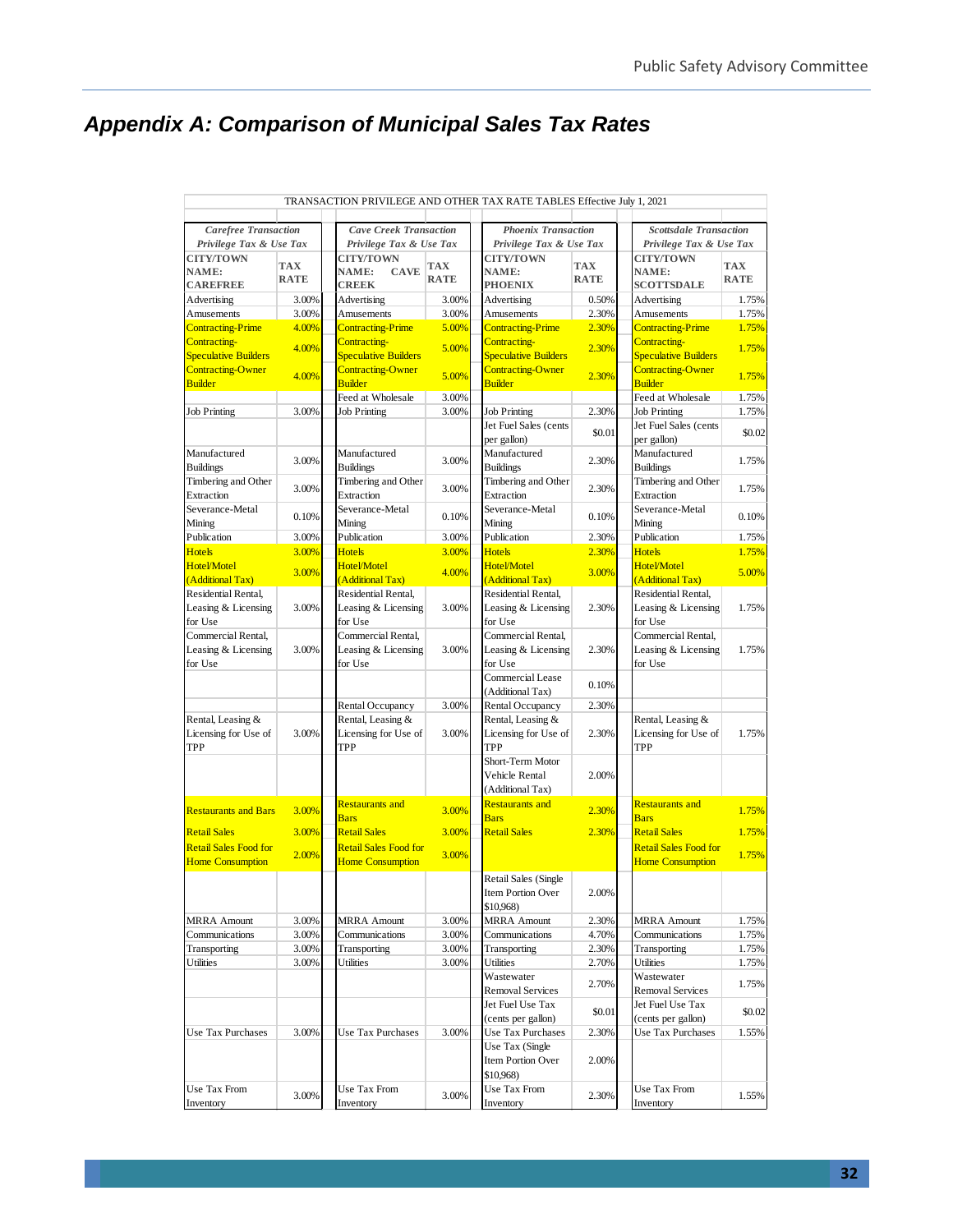# *Appendix A: Comparison of Municipal Sales Tax Rates*

|                                   |             | TRANSACTION PRIVILEGE AND OTHER TAX RATE TABLES Effective July 1, 2021 |             |                                   |             |                                   |             |  |  |
|-----------------------------------|-------------|------------------------------------------------------------------------|-------------|-----------------------------------|-------------|-----------------------------------|-------------|--|--|
| <b>Carefree Transaction</b>       |             | <b>Cave Creek Transaction</b><br><b>Phoenix Transaction</b>            |             |                                   |             | <b>Scottsdale Transaction</b>     |             |  |  |
| Privilege Tax & Use Tax           |             | Privilege Tax & Use Tax                                                |             | Privilege Tax & Use Tax           |             | Privilege Tax & Use Tax           |             |  |  |
| <b>CITY/TOWN</b>                  |             | <b>CITY/TOWN</b>                                                       |             | <b>CITY/TOWN</b>                  |             | <b>CITY/TOWN</b>                  |             |  |  |
| NAME:                             | <b>TAX</b>  | NAME:<br><b>CAVE</b>                                                   | <b>TAX</b>  | NAME:                             | <b>TAX</b>  | NAME:                             | <b>TAX</b>  |  |  |
| <b>CAREFREE</b>                   | <b>RATE</b> | <b>CREEK</b>                                                           | <b>RATE</b> | <b>PHOENIX</b>                    | <b>RATE</b> | <b>SCOTTSDALE</b>                 | <b>RATE</b> |  |  |
| Advertising                       | 3.00%       | Advertising                                                            | 3.00%       | Advertising                       | 0.50%       | Advertising                       | 1.75%       |  |  |
| Amusements                        | 3.00%       | Amusements                                                             | 3.00%       | Amusements                        | 2.30%       | Amusements                        | 1.75%       |  |  |
| <b>Contracting-Prime</b>          | 4.00%       | <b>Contracting-Prime</b>                                               | 5.00%       | <b>Contracting-Prime</b>          | 2.30%       | <b>Contracting-Prime</b>          | 1.75%       |  |  |
| Contracting-                      | 4.00%       | Contracting-                                                           | 5.00%       | Contracting-                      | 2.30%       | Contracting-                      | 1.75%       |  |  |
| <b>Speculative Builders</b>       |             | <b>Speculative Builders</b>                                            |             | <b>Speculative Builders</b>       |             | <b>Speculative Builders</b>       |             |  |  |
| <b>Contracting-Owner</b>          | 4.00%       | <b>Contracting-Owner</b>                                               | 5.00%       | <b>Contracting-Owner</b>          | 2.30%       | <b>Contracting-Owner</b>          | 1.75%       |  |  |
| <b>Builder</b>                    |             | <b>Builder</b>                                                         |             | <b>Builder</b>                    |             | <b>Builder</b>                    |             |  |  |
|                                   |             | Feed at Wholesale                                                      | 3.00%       |                                   |             | Feed at Wholesale                 | 1.75%       |  |  |
| <b>Job Printing</b>               | 3.00%       | <b>Job Printing</b>                                                    | 3.00%       | <b>Job Printing</b>               | 2.30%       | <b>Job Printing</b>               | 1.75%       |  |  |
|                                   |             |                                                                        |             | Jet Fuel Sales (cents             | \$0.01      | Jet Fuel Sales (cents             | \$0.02      |  |  |
|                                   |             |                                                                        |             | per gallon)                       |             | per gallon)                       |             |  |  |
| Manufactured                      | 3.00%       | Manufactured                                                           | 3.00%       | Manufactured                      | 2.30%       | Manufactured                      | 1.75%       |  |  |
| <b>Buildings</b>                  |             | <b>Buildings</b>                                                       |             | <b>Buildings</b>                  |             | <b>Buildings</b>                  |             |  |  |
| Timbering and Other<br>Extraction | 3.00%       | Timbering and Other<br>Extraction                                      | 3.00%       | Timbering and Other<br>Extraction | 2.30%       | Timbering and Other<br>Extraction | 1.75%       |  |  |
| Severance-Metal                   |             | Severance-Metal                                                        |             | Severance-Metal                   |             | Severance-Metal                   |             |  |  |
| Mining                            | 0.10%       | Mining                                                                 | 0.10%       | Mining                            | 0.10%       | Mining                            | 0.10%       |  |  |
| Publication                       | 3.00%       | Publication                                                            | 3.00%       | Publication                       | 2.30%       | Publication                       | 1.75%       |  |  |
| <b>Hotels</b>                     | 3.00%       | <b>Hotels</b>                                                          | 3.00%       | <b>Hotels</b>                     | 2.30%       | <b>Hotels</b>                     | 1.75%       |  |  |
| Hotel/Motel                       |             | Hotel/Motel                                                            |             | Hotel/Motel                       |             | <b>Hotel/Motel</b>                |             |  |  |
| (Additional Tax)                  | 3.00%       | (Additional Tax)                                                       | 4.00%       | (Additional Tax)                  | 3.00%       | (Additional Tax)                  | 5.00%       |  |  |
| Residential Rental,               |             | Residential Rental,                                                    |             | Residential Rental,               |             | Residential Rental,               |             |  |  |
| Leasing & Licensing               | 3.00%       | Leasing & Licensing                                                    | 3.00%       | Leasing & Licensing               | 2.30%       | Leasing & Licensing               | 1.75%       |  |  |
| for Use                           |             | for Use                                                                |             | for Use                           |             | for Use                           |             |  |  |
| Commercial Rental.                |             | Commercial Rental.                                                     |             | Commercial Rental,                |             | Commercial Rental.                |             |  |  |
| Leasing & Licensing               | 3.00%       | Leasing & Licensing                                                    | 3.00%       | Leasing & Licensing               | 2.30%       | Leasing & Licensing               | 1.75%       |  |  |
| for Use                           |             | for Use                                                                |             | for Use                           |             | for Use                           |             |  |  |
|                                   |             |                                                                        |             | Commercial Lease                  |             |                                   |             |  |  |
|                                   |             |                                                                        |             | (Additional Tax)                  | 0.10%       |                                   |             |  |  |
|                                   |             | Rental Occupancy                                                       | 3.00%       | Rental Occupancy                  | 2.30%       |                                   |             |  |  |
| Rental, Leasing &                 |             | Rental, Leasing &                                                      |             | Rental, Leasing &                 |             | Rental, Leasing &                 |             |  |  |
| Licensing for Use of              | 3.00%       | Licensing for Use of                                                   | 3.00%       | Licensing for Use of              | 2.30%       | Licensing for Use of              | 1.75%       |  |  |
| <b>TPP</b>                        |             | TPP                                                                    |             | TPP                               |             | TPP                               |             |  |  |
|                                   |             |                                                                        |             | Short-Term Motor                  |             |                                   |             |  |  |
|                                   |             |                                                                        |             | Vehicle Rental                    | 2.00%       |                                   |             |  |  |
|                                   |             |                                                                        |             | (Additional Tax)                  |             |                                   |             |  |  |
| <b>Restaurants and Bars</b>       | 3.00%       | <b>Restaurants and</b>                                                 | 3.00%       | <b>Restaurants and</b>            | 2.30%       | <b>Restaurants and</b>            | 1.75%       |  |  |
|                                   |             | <b>Bars</b>                                                            |             | <b>Bars</b>                       |             | <b>Bars</b>                       |             |  |  |
| <b>Retail Sales</b>               | 3.00%       | <b>Retail Sales</b>                                                    | 3.00%       | <b>Retail Sales</b>               | 2.30%       | <b>Retail Sales</b>               | 1.75%       |  |  |
| <b>Retail Sales Food for</b>      | 2.00%       | <b>Retail Sales Food for</b>                                           | 3.00%       |                                   |             | <b>Retail Sales Food for</b>      | 1.75%       |  |  |
| <b>Home Consumption</b>           |             | <b>Home Consumption</b>                                                |             |                                   |             | <b>Home Consumption</b>           |             |  |  |
|                                   |             |                                                                        |             | Retail Sales (Single              |             |                                   |             |  |  |
|                                   |             |                                                                        |             | Item Portion Over                 | 2.00%       |                                   |             |  |  |
|                                   |             |                                                                        |             | \$10,968)                         |             |                                   |             |  |  |
| <b>MRRA</b> Amount                | 3.00%       | <b>MRRA</b> Amount                                                     | 3.00%       | <b>MRRA</b> Amount                | 2.30%       | <b>MRRA</b> Amount                | 1.75%       |  |  |
| Communications                    | 3.00%       | Communications                                                         | 3.00%       | Communications                    | 4.70%       | Communications                    | 1.75%       |  |  |
| Transporting                      | 3.00%       | Transporting                                                           | 3.00%       | Transporting                      | 2.30%       | Transporting                      | 1.75%       |  |  |
| Utilities                         | 3.00%       | Utilities                                                              | 3.00%       | Utilities                         | 2.70%       | Utilities                         | 1.75%       |  |  |
|                                   |             |                                                                        |             | Wastewater                        | 2.70%       | Wastewater                        | 1.75%       |  |  |
|                                   |             |                                                                        |             | <b>Removal Services</b>           |             | <b>Removal Services</b>           |             |  |  |
|                                   |             |                                                                        |             | Jet Fuel Use Tax                  | \$0.01      | Jet Fuel Use Tax                  | \$0.02      |  |  |
|                                   |             |                                                                        |             | (cents per gallon)                |             | (cents per gallon)                |             |  |  |
| Use Tax Purchases                 | 3.00%       | Use Tax Purchases                                                      | 3.00%       | Use Tax Purchases                 | 2.30%       | Use Tax Purchases                 | 1.55%       |  |  |
|                                   |             |                                                                        |             | Use Tax (Single                   |             |                                   |             |  |  |
|                                   |             |                                                                        |             | Item Portion Over                 | 2.00%       |                                   |             |  |  |
|                                   |             |                                                                        |             | \$10.968)                         |             |                                   |             |  |  |
| Use Tax From                      | 3.00%       | Use Tax From                                                           | 3.00%       | Use Tax From                      | 2.30%       | Use Tax From                      | 1.55%       |  |  |
| Inventory                         |             | Inventory                                                              |             | Inventory                         |             | Inventory                         |             |  |  |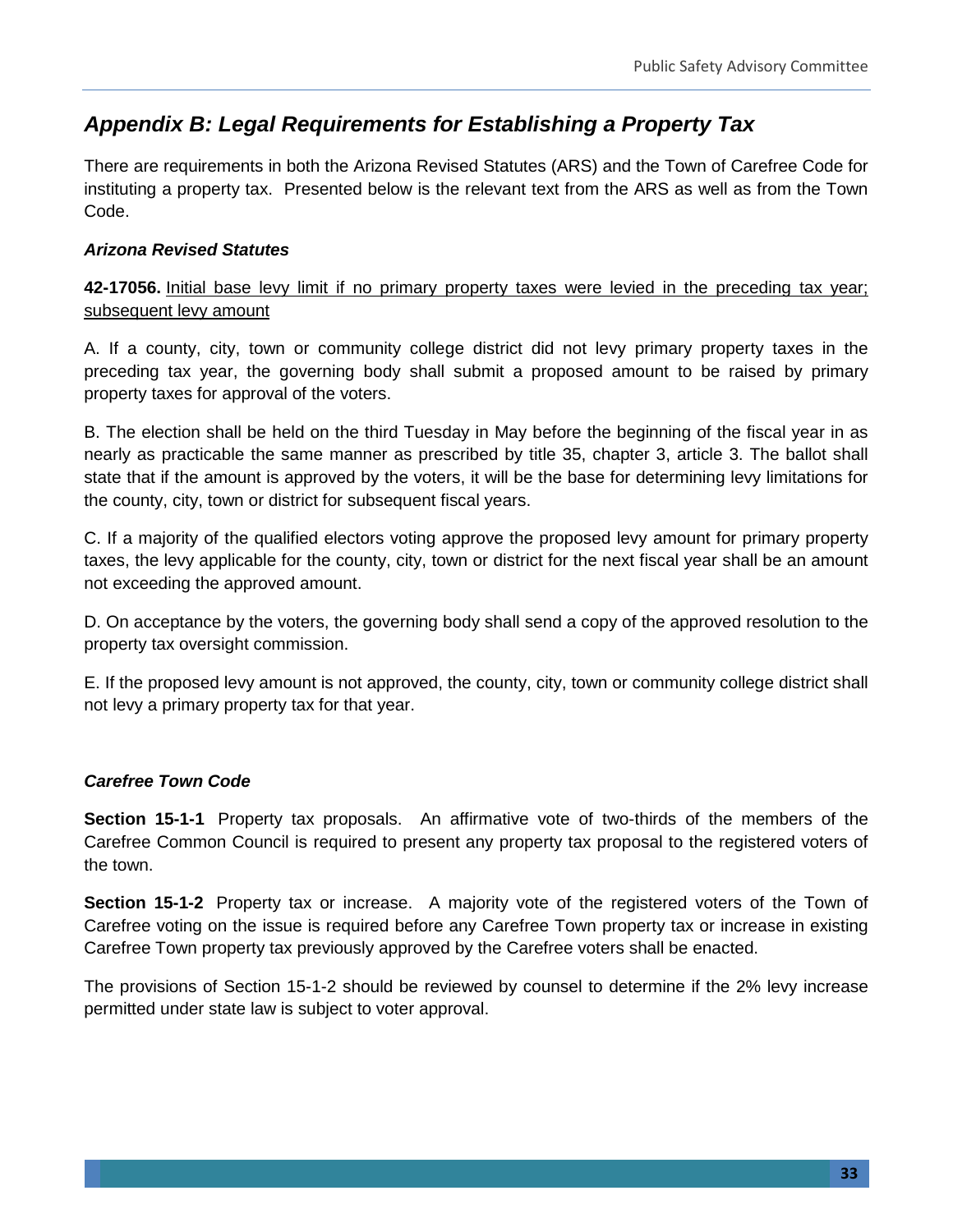## *Appendix B: Legal Requirements for Establishing a Property Tax*

There are requirements in both the Arizona Revised Statutes (ARS) and the Town of Carefree Code for instituting a property tax. Presented below is the relevant text from the ARS as well as from the Town Code.

#### *Arizona Revised Statutes*

**42-17056.** Initial base levy limit if no primary property taxes were levied in the preceding tax year; subsequent levy amount

A. If a county, city, town or community college district did not levy primary property taxes in the preceding tax year, the governing body shall submit a proposed amount to be raised by primary property taxes for approval of the voters.

B. The election shall be held on the third Tuesday in May before the beginning of the fiscal year in as nearly as practicable the same manner as prescribed by title 35, chapter 3, article 3. The ballot shall state that if the amount is approved by the voters, it will be the base for determining levy limitations for the county, city, town or district for subsequent fiscal years.

C. If a majority of the qualified electors voting approve the proposed levy amount for primary property taxes, the levy applicable for the county, city, town or district for the next fiscal year shall be an amount not exceeding the approved amount.

D. On acceptance by the voters, the governing body shall send a copy of the approved resolution to the property tax oversight commission.

E. If the proposed levy amount is not approved, the county, city, town or community college district shall not levy a primary property tax for that year.

#### *Carefree Town Code*

**Section 15-1-1** Property tax proposals. An affirmative vote of two-thirds of the members of the Carefree Common Council is required to present any property tax proposal to the registered voters of the town.

**Section 15-1-2** Property tax or increase. A majority vote of the registered voters of the Town of Carefree voting on the issue is required before any Carefree Town property tax or increase in existing Carefree Town property tax previously approved by the Carefree voters shall be enacted.

The provisions of Section 15-1-2 should be reviewed by counsel to determine if the 2% levy increase permitted under state law is subject to voter approval.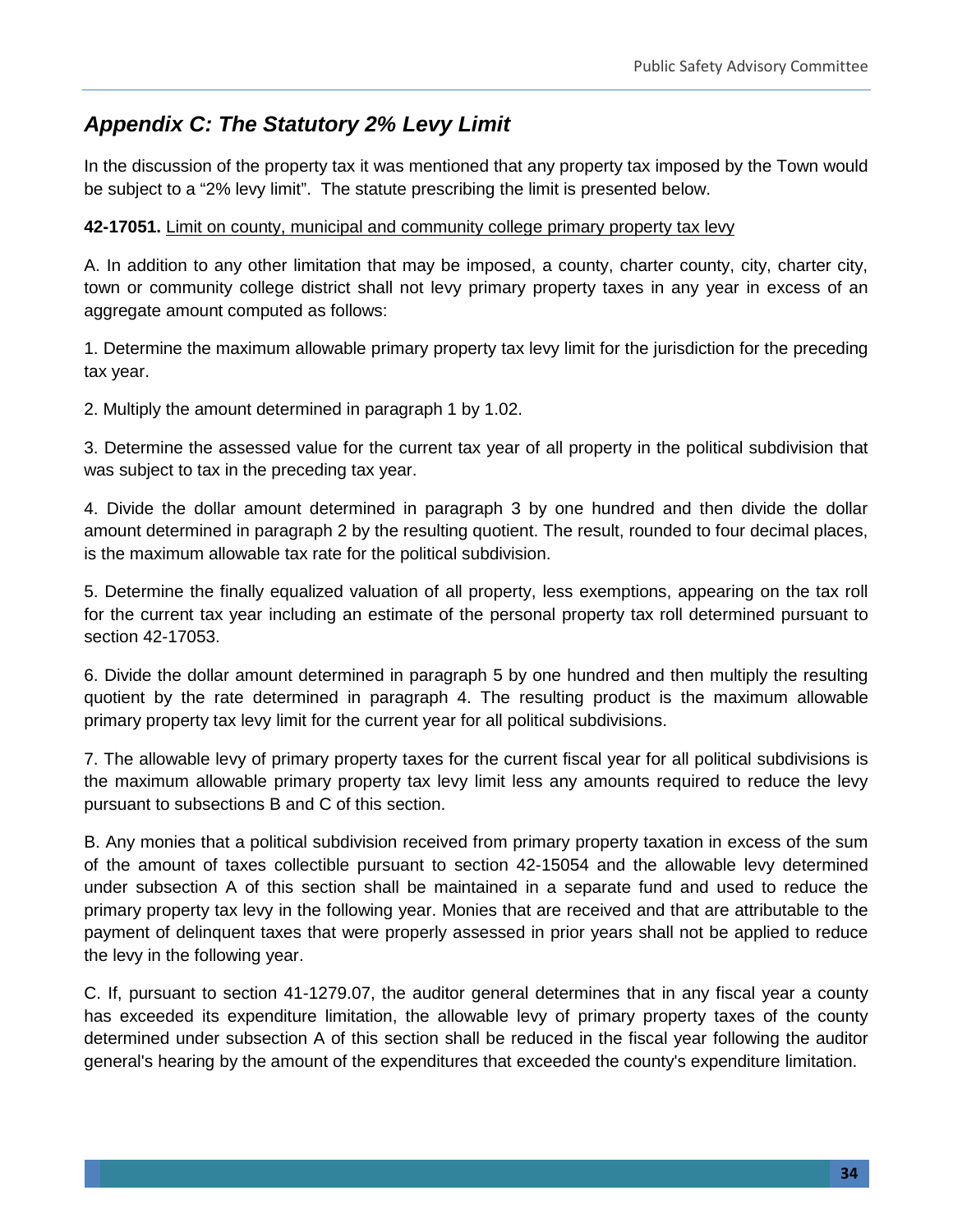# *Appendix C: The Statutory 2% Levy Limit*

In the discussion of the property tax it was mentioned that any property tax imposed by the Town would be subject to a "2% levy limit". The statute prescribing the limit is presented below.

#### **42-17051.** Limit on county, municipal and community college primary property tax levy

A. In addition to any other limitation that may be imposed, a county, charter county, city, charter city, town or community college district shall not levy primary property taxes in any year in excess of an aggregate amount computed as follows:

1. Determine the maximum allowable primary property tax levy limit for the jurisdiction for the preceding tax year.

2. Multiply the amount determined in paragraph 1 by 1.02.

3. Determine the assessed value for the current tax year of all property in the political subdivision that was subject to tax in the preceding tax year.

4. Divide the dollar amount determined in paragraph 3 by one hundred and then divide the dollar amount determined in paragraph 2 by the resulting quotient. The result, rounded to four decimal places, is the maximum allowable tax rate for the political subdivision.

5. Determine the finally equalized valuation of all property, less exemptions, appearing on the tax roll for the current tax year including an estimate of the personal property tax roll determined pursuant to section 42-17053.

6. Divide the dollar amount determined in paragraph 5 by one hundred and then multiply the resulting quotient by the rate determined in paragraph 4. The resulting product is the maximum allowable primary property tax levy limit for the current year for all political subdivisions.

7. The allowable levy of primary property taxes for the current fiscal year for all political subdivisions is the maximum allowable primary property tax levy limit less any amounts required to reduce the levy pursuant to subsections B and C of this section.

B. Any monies that a political subdivision received from primary property taxation in excess of the sum of the amount of taxes collectible pursuant to section 42-15054 and the allowable levy determined under subsection A of this section shall be maintained in a separate fund and used to reduce the primary property tax levy in the following year. Monies that are received and that are attributable to the payment of delinquent taxes that were properly assessed in prior years shall not be applied to reduce the levy in the following year.

C. If, pursuant to section 41-1279.07, the auditor general determines that in any fiscal year a county has exceeded its expenditure limitation, the allowable levy of primary property taxes of the county determined under subsection A of this section shall be reduced in the fiscal year following the auditor general's hearing by the amount of the expenditures that exceeded the county's expenditure limitation.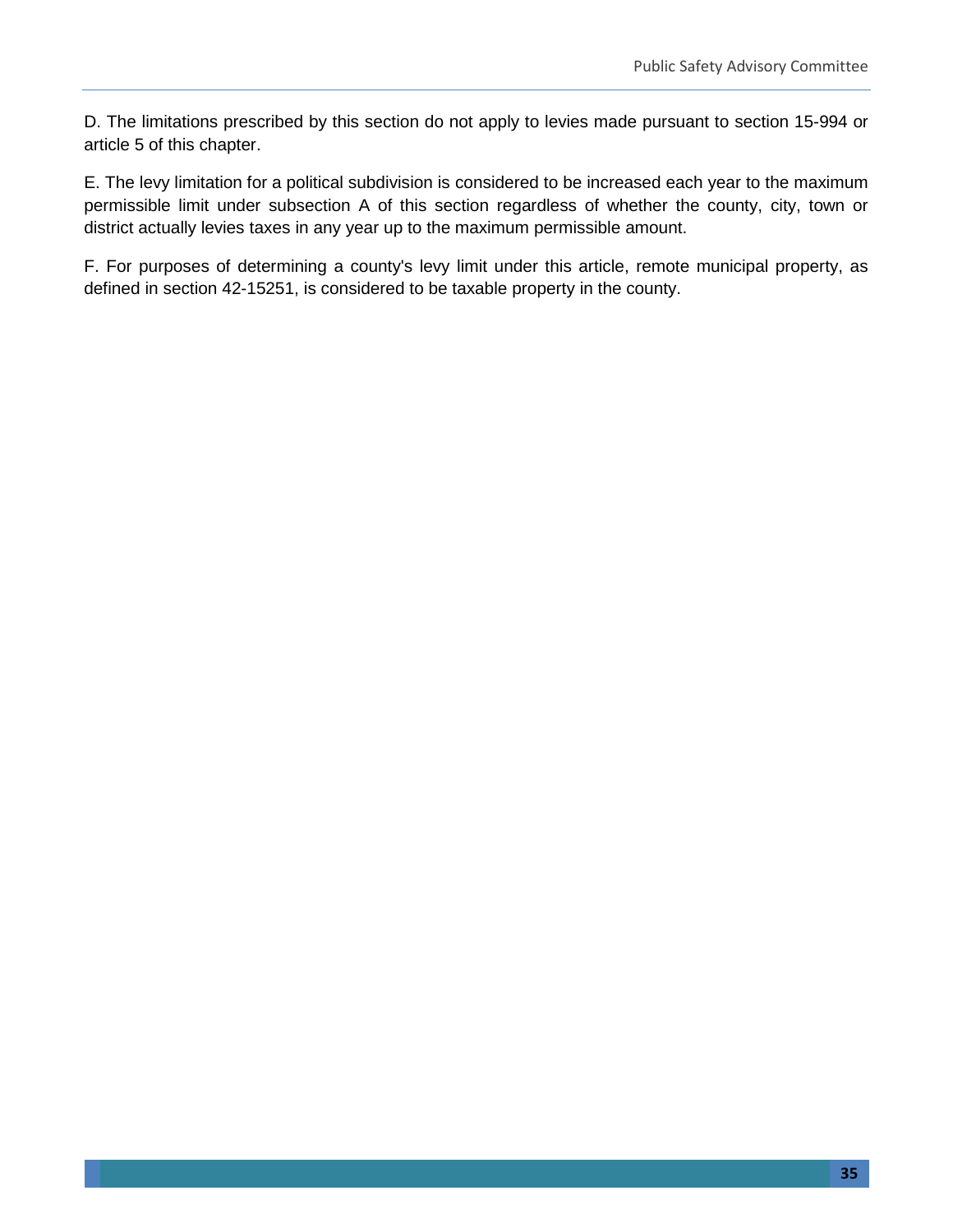D. The limitations prescribed by this section do not apply to levies made pursuant to section 15-994 or article 5 of this chapter.

E. The levy limitation for a political subdivision is considered to be increased each year to the maximum permissible limit under subsection A of this section regardless of whether the county, city, town or district actually levies taxes in any year up to the maximum permissible amount.

F. For purposes of determining a county's levy limit under this article, remote municipal property, as defined in section 42-15251, is considered to be taxable property in the county.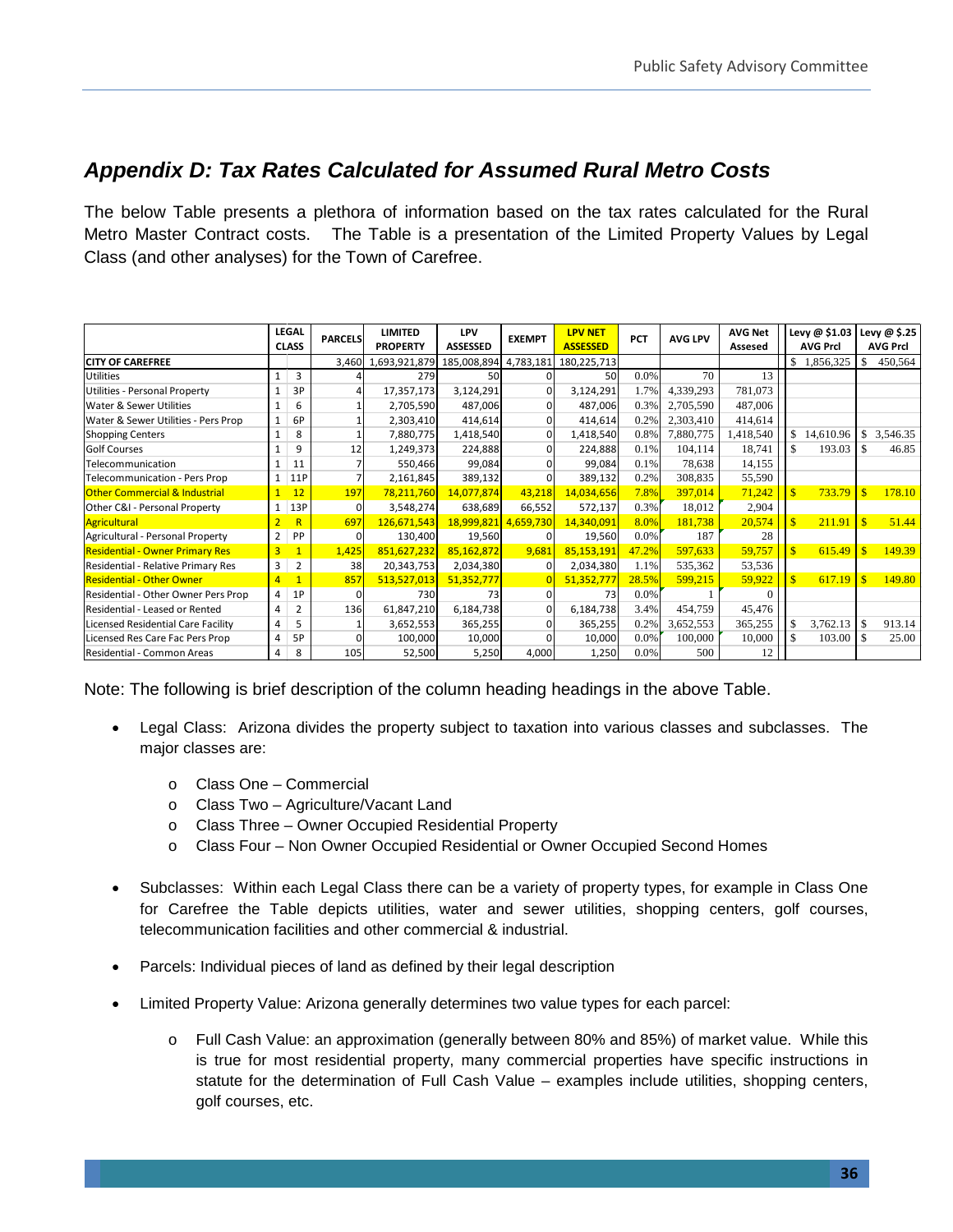## *Appendix D: Tax Rates Calculated for Assumed Rural Metro Costs*

The below Table presents a plethora of information based on the tax rates calculated for the Rural Metro Master Contract costs. The Table is a presentation of the Limited Property Values by Legal Class (and other analyses) for the Town of Carefree.

|                                          |                | <b>LEGAL</b>   |                | <b>LIMITED</b>  | <b>LPV</b>      |                                  | <b>LPV NET</b> |            |                | <b>AVG Net</b> |              | Levy @ \$1.03   |                         | Levy @ \$.25    |
|------------------------------------------|----------------|----------------|----------------|-----------------|-----------------|----------------------------------|----------------|------------|----------------|----------------|--------------|-----------------|-------------------------|-----------------|
|                                          |                | <b>CLASS</b>   | <b>PARCELS</b> | <b>PROPERTY</b> | <b>ASSESSED</b> | <b>EXEMPT</b><br><b>ASSESSED</b> |                | <b>PCT</b> | <b>AVG LPV</b> | Assesed        |              | <b>AVG Prcl</b> |                         | <b>AVG Prcl</b> |
| <b>CITY OF CAREFREE</b>                  |                |                | 3,460          | 1,693,921,879   | 185,008,894     | 4,783,181                        | 180,225,713    |            |                |                |              | 1,856,325       |                         | 450,564         |
| <b>Utilities</b>                         |                | 3              |                | 279             | 50              |                                  | 50             | 0.0%       | 70             | 13             |              |                 |                         |                 |
| Utilities - Personal Property            |                | 3P             |                | 17,357,173      | 3,124,291       |                                  | 3,124,291      | 1.7%       | 4,339,293      | 781,073        |              |                 |                         |                 |
| <b>Water &amp; Sewer Utilities</b>       |                | 6              |                | 2,705,590       | 487,006         |                                  | 487,006        | 0.3%       | 2,705,590      | 487,006        |              |                 |                         |                 |
| Water & Sewer Utilities - Pers Prop      |                | 6P             |                | 2,303,410       | 414,614         | $\Omega$                         | 414,614        | 0.2%       | 2,303,410      | 414,614        |              |                 |                         |                 |
| <b>Shopping Centers</b>                  |                | 8              |                | 7,880,775       | 1,418,540       |                                  | 1,418,540      | 0.8%       | 7,880,775      | 1,418,540      | \$           | 14,610.96       | S                       | 3,546.35        |
| <b>Golf Courses</b>                      |                | 9              | 12             | 1,249,373       | 224,888         |                                  | 224,888        | 0.1%       | 104,114        | 18,741         | \$.          | 193.03          | -S                      | 46.85           |
| Telecommunication                        |                | 11             |                | 550,466         | 99,084          |                                  | 99,084         | 0.1%       | 78,638         | 14,155         |              |                 |                         |                 |
| Telecommunication - Pers Prop            |                | 11P            |                | 2,161,845       | 389,132         |                                  | 389,132        | 0.2%       | 308,835        | 55,590         |              |                 |                         |                 |
| <b>Other Commercial &amp; Industrial</b> |                | 12             | 197            | 78,211,760      | 14,077,874      | 43,218                           | 14,034,656     | 7.8%       | 397,014        | 71,242         | $\mathbf{s}$ | 733.79          | $\mathbf{s}$            | 178.10          |
| Other C&I - Personal Property            |                | 13P            | $\Omega$       | 3,548,274       | 638,689         | 66,552                           | 572,137        | 0.3%       | 18,012         | 2,904          |              |                 |                         |                 |
| Agricultural                             | $\overline{2}$ | R              | 697            | 126,671,543     | 18,999,821      | 4,659,730                        | 14,340,091     | 8.0%       | 181,738        | 20,574         |              | 211.91          |                         | 51.44           |
| Agricultural - Personal Property         | 2              | PP             | 0              | 130,400         | 19,560          |                                  | 19,560         | 0.0%       | 187            | 28             |              |                 |                         |                 |
| <b>Residential - Owner Primary Res</b>   | 3              | $\overline{1}$ | 1,425          | 851,627,232     | 85,162,872      | 9,681                            | 85,153,191     | 47.2%      | 597,633        | 59,757         | $\mathbf{s}$ | 615.49          | $\mathbf{\hat{x}}$      | 149.39          |
| Residential - Relative Primary Res       | 3              | $\overline{2}$ | 38             | 20,343,753      | 2,034,380       |                                  | 2,034,380      | 1.1%       | 535,362        | 53,536         |              |                 |                         |                 |
| <b>Residential - Other Owner</b>         | 4              | $\overline{1}$ | 857            | 513,527,013     | 51,352,777      |                                  | 51,352,777     | 28.5%      | 599,215        | 59,922         |              | 617.19          | $\overline{\mathbf{s}}$ | 149.80          |
| Residential - Other Owner Pers Prop      | 4              | 1P             | n              | 730             | 73              |                                  | 73             | 0.0%       |                | $\Omega$       |              |                 |                         |                 |
| Residential - Leased or Rented           | 4              | $\overline{2}$ | 136            | 61,847,210      | 6,184,738       | $\Omega$                         | 6,184,738      | 3.4%       | 454,759        | 45,476         |              |                 |                         |                 |
| Licensed Residential Care Facility       | 4              | 5              |                | 3,652,553       | 365,255         | O                                | 365,255        | 0.2%       | 3,652,553      | 365,255        | \$           | 3,762.13        | <sup>\$</sup>           | 913.14          |
| Licensed Res Care Fac Pers Prop          | 4              | 5P             |                | 100,000         | 10,000          |                                  | 10,000         | 0.0%       | 100,000        | 10,000         | \$           | 103.00          |                         | 25.00           |
| Residential - Common Areas               | 4              | 8              | 105            | 52,500          | 5,250           | 4,000                            | 1,250          | 0.0%       | 500            | 12             |              |                 |                         |                 |

Note: The following is brief description of the column heading headings in the above Table.

- Legal Class: Arizona divides the property subject to taxation into various classes and subclasses. The major classes are:
	- o Class One Commercial
	- o Class Two Agriculture/Vacant Land
	- o Class Three Owner Occupied Residential Property
	- o Class Four Non Owner Occupied Residential or Owner Occupied Second Homes
- Subclasses: Within each Legal Class there can be a variety of property types, for example in Class One for Carefree the Table depicts utilities, water and sewer utilities, shopping centers, golf courses, telecommunication facilities and other commercial & industrial.
- Parcels: Individual pieces of land as defined by their legal description
- Limited Property Value: Arizona generally determines two value types for each parcel:
	- o Full Cash Value: an approximation (generally between 80% and 85%) of market value. While this is true for most residential property, many commercial properties have specific instructions in statute for the determination of Full Cash Value – examples include utilities, shopping centers, golf courses, etc.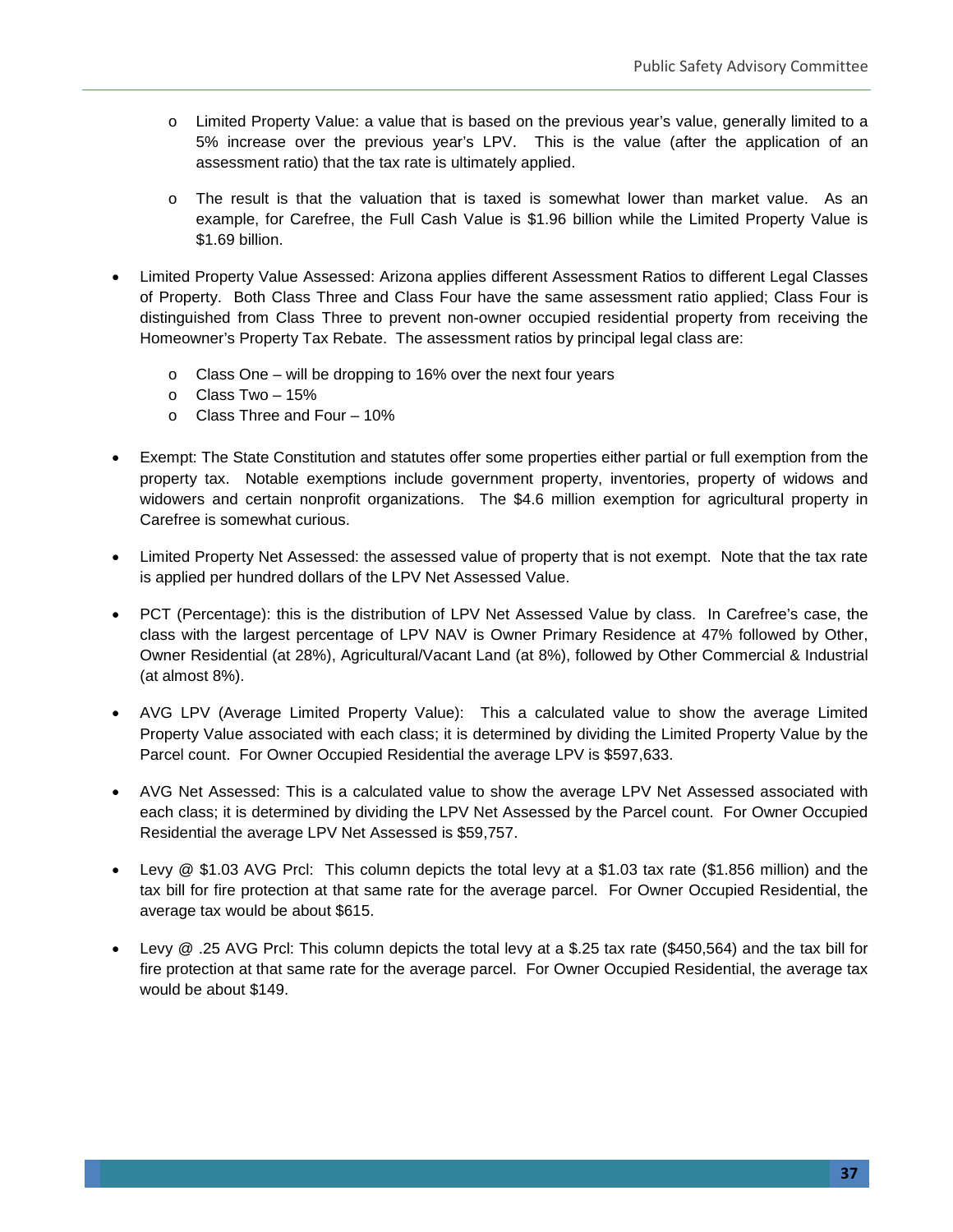- o Limited Property Value: a value that is based on the previous year's value, generally limited to a 5% increase over the previous year's LPV. This is the value (after the application of an assessment ratio) that the tax rate is ultimately applied.
- o The result is that the valuation that is taxed is somewhat lower than market value. As an example, for Carefree, the Full Cash Value is \$1.96 billion while the Limited Property Value is \$1.69 billion.
- Limited Property Value Assessed: Arizona applies different Assessment Ratios to different Legal Classes of Property. Both Class Three and Class Four have the same assessment ratio applied; Class Four is distinguished from Class Three to prevent non-owner occupied residential property from receiving the Homeowner's Property Tax Rebate. The assessment ratios by principal legal class are:
	- o Class One will be dropping to 16% over the next four years
	- o Class Two 15%
	- $\circ$  Class Three and Four 10%
- Exempt: The State Constitution and statutes offer some properties either partial or full exemption from the property tax. Notable exemptions include government property, inventories, property of widows and widowers and certain nonprofit organizations. The \$4.6 million exemption for agricultural property in Carefree is somewhat curious.
- Limited Property Net Assessed: the assessed value of property that is not exempt. Note that the tax rate is applied per hundred dollars of the LPV Net Assessed Value.
- PCT (Percentage): this is the distribution of LPV Net Assessed Value by class. In Carefree's case, the class with the largest percentage of LPV NAV is Owner Primary Residence at 47% followed by Other, Owner Residential (at 28%), Agricultural/Vacant Land (at 8%), followed by Other Commercial & Industrial (at almost 8%).
- AVG LPV (Average Limited Property Value): This a calculated value to show the average Limited Property Value associated with each class; it is determined by dividing the Limited Property Value by the Parcel count. For Owner Occupied Residential the average LPV is \$597,633.
- AVG Net Assessed: This is a calculated value to show the average LPV Net Assessed associated with each class; it is determined by dividing the LPV Net Assessed by the Parcel count. For Owner Occupied Residential the average LPV Net Assessed is \$59,757.
- Levy @ \$1.03 AVG Prcl: This column depicts the total levy at a \$1.03 tax rate (\$1.856 million) and the tax bill for fire protection at that same rate for the average parcel. For Owner Occupied Residential, the average tax would be about \$615.
- Levy @ .25 AVG Prcl: This column depicts the total levy at a \$.25 tax rate (\$450,564) and the tax bill for fire protection at that same rate for the average parcel. For Owner Occupied Residential, the average tax would be about \$149.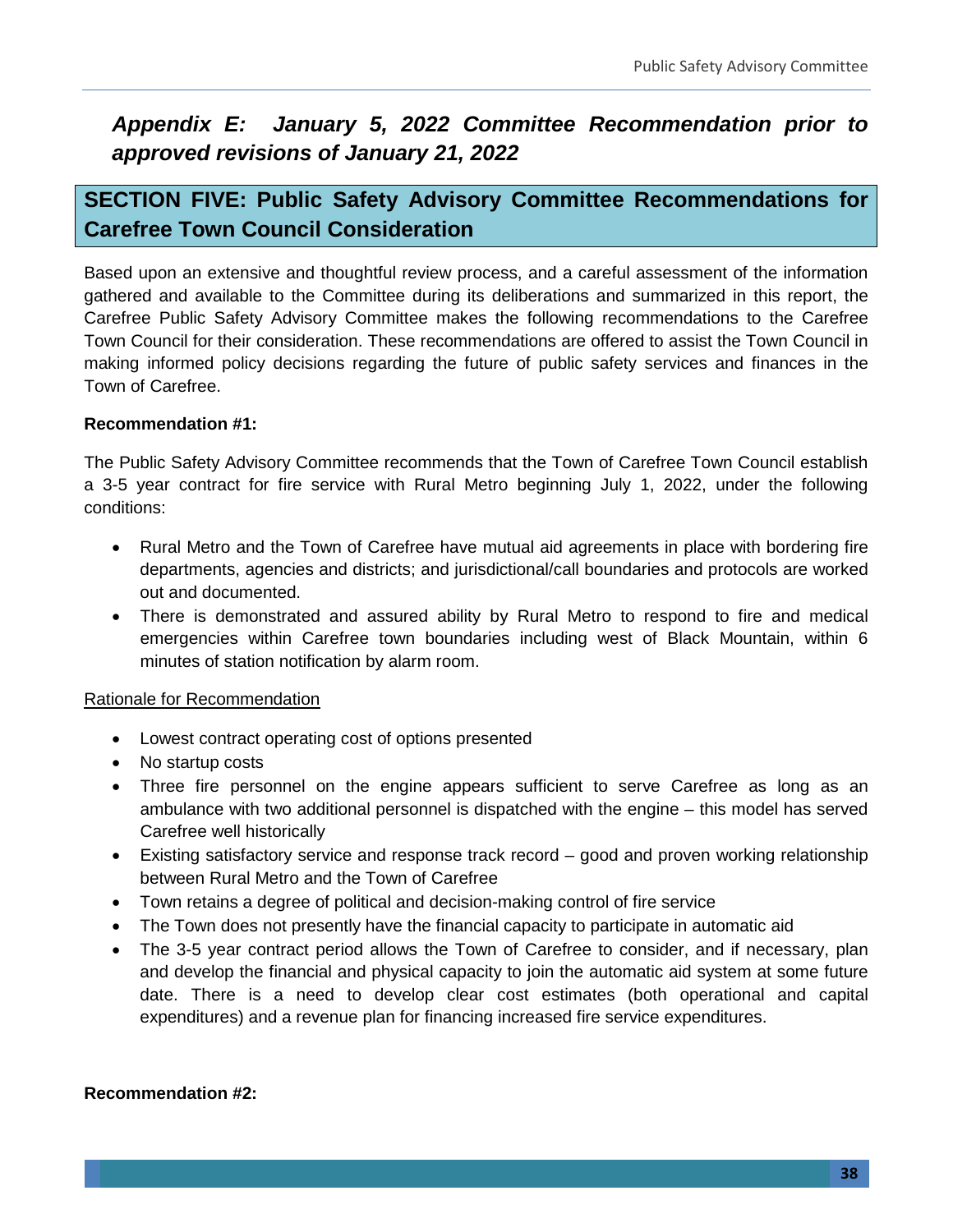# *Appendix E: January 5, 2022 Committee Recommendation prior to approved revisions of January 21, 2022*

# **SECTION FIVE: Public Safety Advisory Committee Recommendations for Carefree Town Council Consideration**

Based upon an extensive and thoughtful review process, and a careful assessment of the information gathered and available to the Committee during its deliberations and summarized in this report, the Carefree Public Safety Advisory Committee makes the following recommendations to the Carefree Town Council for their consideration. These recommendations are offered to assist the Town Council in making informed policy decisions regarding the future of public safety services and finances in the Town of Carefree.

#### **Recommendation #1:**

The Public Safety Advisory Committee recommends that the Town of Carefree Town Council establish a 3-5 year contract for fire service with Rural Metro beginning July 1, 2022, under the following conditions:

- Rural Metro and the Town of Carefree have mutual aid agreements in place with bordering fire departments, agencies and districts; and jurisdictional/call boundaries and protocols are worked out and documented.
- There is demonstrated and assured ability by Rural Metro to respond to fire and medical emergencies within Carefree town boundaries including west of Black Mountain, within 6 minutes of station notification by alarm room.

#### Rationale for Recommendation

- Lowest contract operating cost of options presented
- No startup costs
- Three fire personnel on the engine appears sufficient to serve Carefree as long as an ambulance with two additional personnel is dispatched with the engine – this model has served Carefree well historically
- Existing satisfactory service and response track record good and proven working relationship between Rural Metro and the Town of Carefree
- Town retains a degree of political and decision-making control of fire service
- The Town does not presently have the financial capacity to participate in automatic aid
- The 3-5 year contract period allows the Town of Carefree to consider, and if necessary, plan and develop the financial and physical capacity to join the automatic aid system at some future date. There is a need to develop clear cost estimates (both operational and capital expenditures) and a revenue plan for financing increased fire service expenditures.

#### **Recommendation #2:**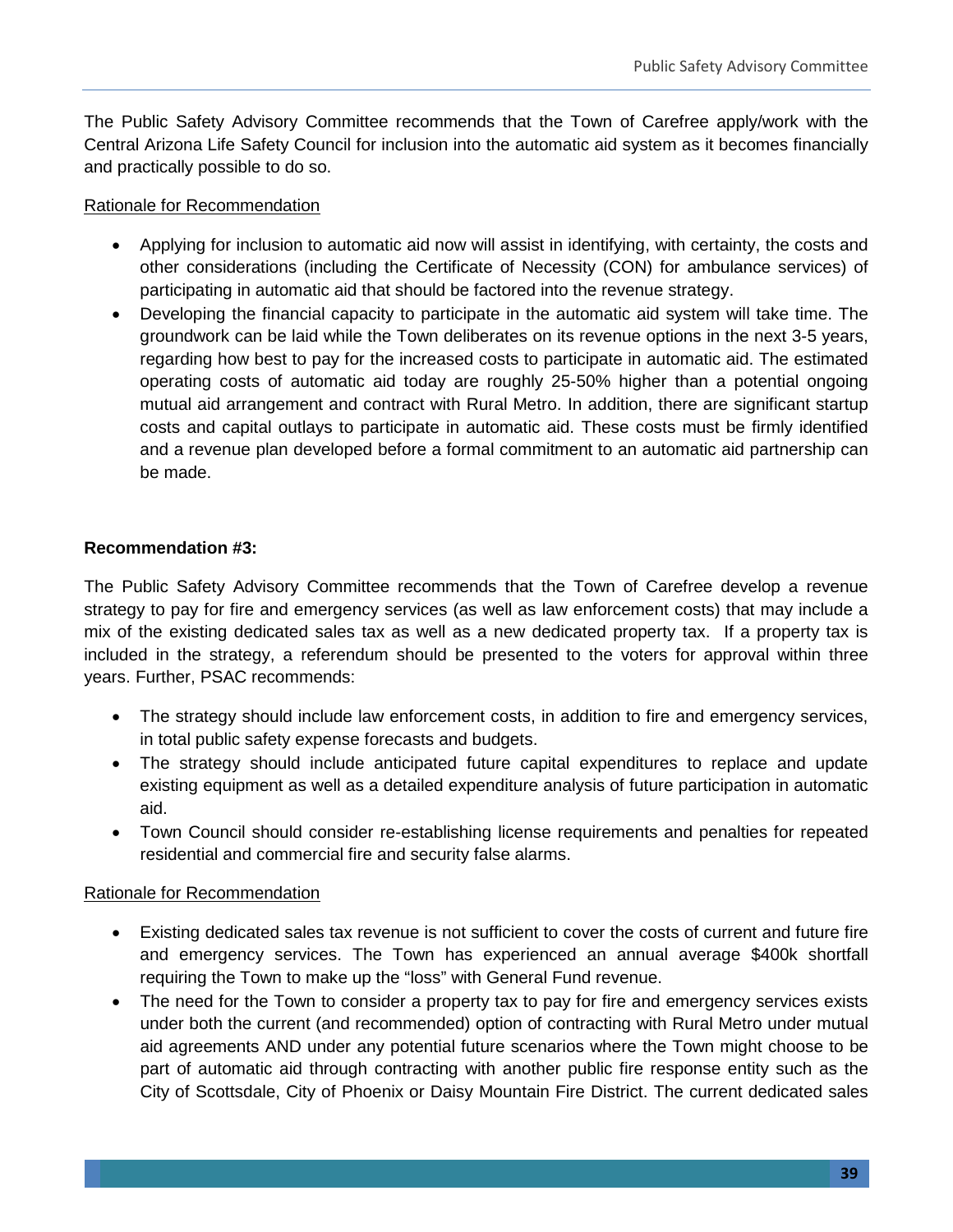The Public Safety Advisory Committee recommends that the Town of Carefree apply/work with the Central Arizona Life Safety Council for inclusion into the automatic aid system as it becomes financially and practically possible to do so.

#### Rationale for Recommendation

- Applying for inclusion to automatic aid now will assist in identifying, with certainty, the costs and other considerations (including the Certificate of Necessity (CON) for ambulance services) of participating in automatic aid that should be factored into the revenue strategy.
- Developing the financial capacity to participate in the automatic aid system will take time. The groundwork can be laid while the Town deliberates on its revenue options in the next 3-5 years, regarding how best to pay for the increased costs to participate in automatic aid. The estimated operating costs of automatic aid today are roughly 25-50% higher than a potential ongoing mutual aid arrangement and contract with Rural Metro. In addition, there are significant startup costs and capital outlays to participate in automatic aid. These costs must be firmly identified and a revenue plan developed before a formal commitment to an automatic aid partnership can be made.

#### **Recommendation #3:**

The Public Safety Advisory Committee recommends that the Town of Carefree develop a revenue strategy to pay for fire and emergency services (as well as law enforcement costs) that may include a mix of the existing dedicated sales tax as well as a new dedicated property tax. If a property tax is included in the strategy, a referendum should be presented to the voters for approval within three years. Further, PSAC recommends:

- The strategy should include law enforcement costs, in addition to fire and emergency services, in total public safety expense forecasts and budgets.
- The strategy should include anticipated future capital expenditures to replace and update existing equipment as well as a detailed expenditure analysis of future participation in automatic aid.
- Town Council should consider re-establishing license requirements and penalties for repeated residential and commercial fire and security false alarms.

#### Rationale for Recommendation

- Existing dedicated sales tax revenue is not sufficient to cover the costs of current and future fire and emergency services. The Town has experienced an annual average \$400k shortfall requiring the Town to make up the "loss" with General Fund revenue.
- The need for the Town to consider a property tax to pay for fire and emergency services exists under both the current (and recommended) option of contracting with Rural Metro under mutual aid agreements AND under any potential future scenarios where the Town might choose to be part of automatic aid through contracting with another public fire response entity such as the City of Scottsdale, City of Phoenix or Daisy Mountain Fire District. The current dedicated sales